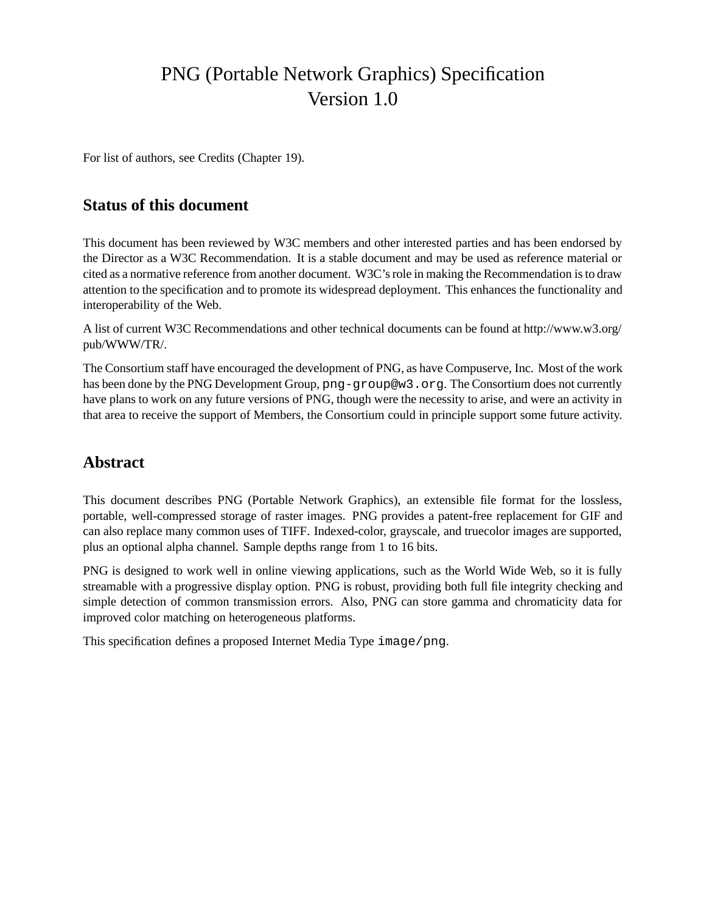# PNG (Portable Network Graphics) Specification Version 1.0

For list of authors, see Credits (Chapter 19).

# **Status of this document**

This document has been reviewed by W3C members and other interested parties and has been endorsed by the Director as a W3C Recommendation. It is a stable document and may be used as reference material or cited as a normative reference from another document. W3C's role in making the Recommendation is to draw attention to the specification and to promote its widespread deployment. This enhances the functionality and interoperability of the Web.

A list of current W3C Recommendations and other technical documents can be found at http://www.w3.org/ pub/WWW/TR/.

The Consortium staff have encouraged the development of PNG, as have Compuserve, Inc. Most of the work has been done by the PNG Development Group, png-group@w3.org. The Consortium does not currently have plans to work on any future versions of PNG, though were the necessity to arise, and were an activity in that area to receive the support of Members, the Consortium could in principle support some future activity.

# **Abstract**

This document describes PNG (Portable Network Graphics), an extensible file format for the lossless, portable, well-compressed storage of raster images. PNG provides a patent-free replacement for GIF and can also replace many common uses of TIFF. Indexed-color, grayscale, and truecolor images are supported, plus an optional alpha channel. Sample depths range from 1 to 16 bits.

PNG is designed to work well in online viewing applications, such as the World Wide Web, so it is fully streamable with a progressive display option. PNG is robust, providing both full file integrity checking and simple detection of common transmission errors. Also, PNG can store gamma and chromaticity data for improved color matching on heterogeneous platforms.

This specification defines a proposed Internet Media Type image/png.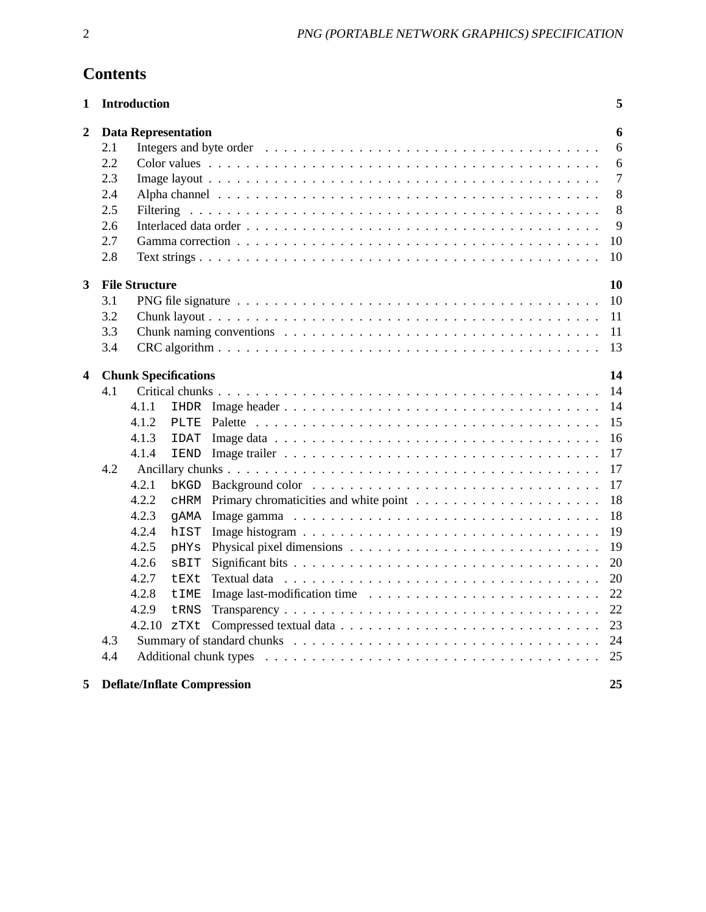# **Contents**

| 1                       |     | <b>Introduction</b>   |                             |                                                                                                 | 5              |
|-------------------------|-----|-----------------------|-----------------------------|-------------------------------------------------------------------------------------------------|----------------|
| $\overline{2}$          |     |                       | <b>Data Representation</b>  |                                                                                                 | 6              |
|                         | 2.1 |                       |                             |                                                                                                 | 6              |
|                         | 2.2 |                       |                             |                                                                                                 | 6              |
|                         | 2.3 |                       |                             |                                                                                                 | $\overline{7}$ |
|                         | 2.4 |                       |                             |                                                                                                 | 8              |
|                         | 2.5 |                       |                             |                                                                                                 | 8              |
|                         | 2.6 |                       |                             |                                                                                                 | 9              |
|                         | 2.7 |                       |                             |                                                                                                 | 10             |
|                         | 2.8 |                       |                             |                                                                                                 | 10             |
| $\overline{\mathbf{3}}$ |     | <b>File Structure</b> |                             |                                                                                                 | 10             |
|                         | 3.1 |                       |                             |                                                                                                 | 10             |
|                         | 3.2 |                       |                             |                                                                                                 | <sup>11</sup>  |
|                         | 3.3 |                       |                             |                                                                                                 | -11            |
|                         | 3.4 |                       |                             |                                                                                                 | 13             |
|                         |     |                       |                             |                                                                                                 |                |
| 4                       |     |                       | <b>Chunk Specifications</b> |                                                                                                 | 14             |
|                         | 4.1 |                       |                             |                                                                                                 | 14             |
|                         |     | 4.1.1                 |                             |                                                                                                 | 14             |
|                         |     | 4.1.2                 |                             |                                                                                                 | 15             |
|                         |     | 4.1.3                 | IDAT                        |                                                                                                 | 16             |
|                         |     | 4.1.4                 |                             |                                                                                                 | 17             |
|                         | 4.2 |                       |                             |                                                                                                 | 17             |
|                         |     | 4.2.1                 |                             | $bKGD$ Background color $\ldots \ldots \ldots \ldots \ldots \ldots \ldots \ldots \ldots \ldots$ | 17             |
|                         |     | 4.2.2                 | CHRM                        |                                                                                                 | 18             |
|                         |     | 4.2.3                 | gAMA                        |                                                                                                 | 18             |
|                         |     | 4.2.4                 | hIST                        |                                                                                                 | 19             |
|                         |     | 4.2.5                 | pHYs                        |                                                                                                 | 19             |
|                         |     | 4.2.6                 | SBIT                        |                                                                                                 | 20             |
|                         |     | 4.2.7                 | tEXt                        |                                                                                                 | 20             |
|                         |     | 4.2.8                 | <b>tIME</b>                 |                                                                                                 | 22             |
|                         |     | 4.2.9                 | tRNS                        |                                                                                                 | 22             |
|                         |     | 4.2.10 zTXt           |                             |                                                                                                 | 23             |
|                         | 4.3 |                       |                             |                                                                                                 | 24             |
|                         | 4.4 |                       |                             |                                                                                                 | 25             |
| 5                       |     |                       |                             | <b>Deflate/Inflate Compression</b>                                                              | 25             |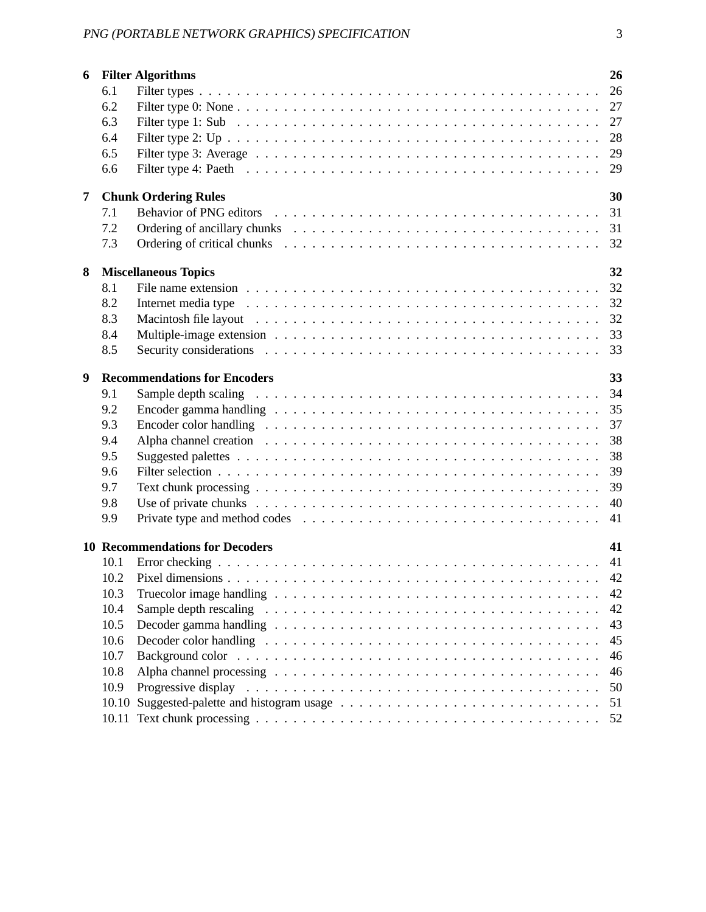| 6              |       | <b>Filter Algorithms</b>                                                                                                                                                                                                       | 26 |
|----------------|-------|--------------------------------------------------------------------------------------------------------------------------------------------------------------------------------------------------------------------------------|----|
|                | 6.1   |                                                                                                                                                                                                                                | 26 |
|                | 6.2   |                                                                                                                                                                                                                                |    |
|                | 6.3   |                                                                                                                                                                                                                                |    |
|                | 6.4   |                                                                                                                                                                                                                                |    |
|                | 6.5   |                                                                                                                                                                                                                                |    |
|                | 6.6   |                                                                                                                                                                                                                                |    |
| $\overline{7}$ |       | <b>Chunk Ordering Rules</b>                                                                                                                                                                                                    | 30 |
|                | 7.1   |                                                                                                                                                                                                                                | 31 |
|                | 7.2   |                                                                                                                                                                                                                                |    |
|                | 7.3   | Ordering of critical chunks entertainment is not an entertainment of critical chunks entertainment is not all the set of the set of the set of the set of the set of the set of the set of the set of the set of the set of th | 32 |
|                |       |                                                                                                                                                                                                                                | 32 |
| 8              | 8.1   | <b>Miscellaneous Topics</b>                                                                                                                                                                                                    | 32 |
|                | 8.2   |                                                                                                                                                                                                                                |    |
|                | 8.3   |                                                                                                                                                                                                                                |    |
|                | 8.4   |                                                                                                                                                                                                                                |    |
|                | 8.5   |                                                                                                                                                                                                                                | 33 |
|                |       |                                                                                                                                                                                                                                |    |
| 9              |       | <b>Recommendations for Encoders</b>                                                                                                                                                                                            | 33 |
|                | 9.1   |                                                                                                                                                                                                                                | 34 |
|                | 9.2   |                                                                                                                                                                                                                                | 35 |
|                | 9.3   |                                                                                                                                                                                                                                | 37 |
|                | 9.4   |                                                                                                                                                                                                                                |    |
|                | 9.5   |                                                                                                                                                                                                                                | 38 |
|                | 9.6   |                                                                                                                                                                                                                                | 39 |
|                | 9.7   |                                                                                                                                                                                                                                |    |
|                | 9.8   |                                                                                                                                                                                                                                | 40 |
|                | 9.9   |                                                                                                                                                                                                                                | 41 |
|                |       | <b>10 Recommendations for Decoders</b>                                                                                                                                                                                         | 41 |
|                | 10.1  |                                                                                                                                                                                                                                |    |
|                | 10.2  |                                                                                                                                                                                                                                |    |
|                | 10.3  | Truecolor image handling $\dots \dots \dots \dots \dots \dots \dots \dots \dots \dots \dots \dots \dots \dots \dots$                                                                                                           | 42 |
|                | 10.4  |                                                                                                                                                                                                                                | 42 |
|                | 10.5  |                                                                                                                                                                                                                                | 43 |
|                | 10.6  |                                                                                                                                                                                                                                | 45 |
|                | 10.7  |                                                                                                                                                                                                                                | 46 |
|                | 10.8  |                                                                                                                                                                                                                                | 46 |
|                | 10.9  | Progressive display                                                                                                                                                                                                            | 50 |
|                | 10.10 |                                                                                                                                                                                                                                | 51 |
|                |       |                                                                                                                                                                                                                                | 52 |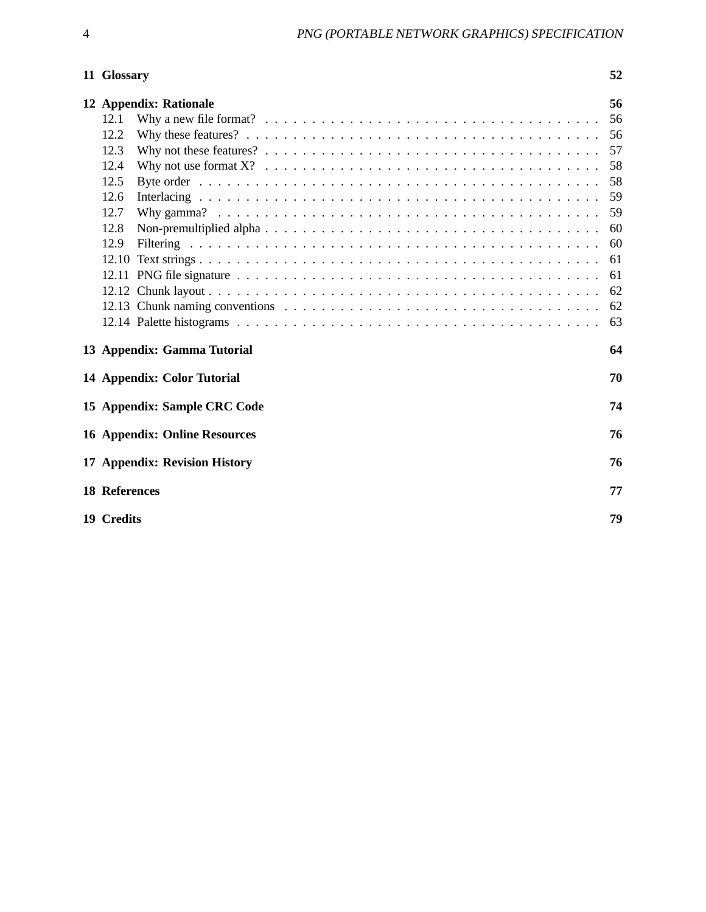# 11 Glossary

| ٠    |
|------|
|      |
| n an |

| 56<br>12 Appendix: Rationale               |                              |    |  |  |  |
|--------------------------------------------|------------------------------|----|--|--|--|
| 12.1                                       |                              | 56 |  |  |  |
| 12.2                                       |                              | 56 |  |  |  |
| 12.3                                       |                              | 57 |  |  |  |
| 12.4                                       |                              | 58 |  |  |  |
| 12.5                                       |                              | 58 |  |  |  |
| 12.6                                       |                              | 59 |  |  |  |
| 12.7                                       |                              | 59 |  |  |  |
| 12.8                                       |                              | 60 |  |  |  |
| 12.9                                       |                              | 60 |  |  |  |
|                                            |                              | 61 |  |  |  |
|                                            |                              | 61 |  |  |  |
|                                            |                              | 62 |  |  |  |
|                                            |                              | 62 |  |  |  |
|                                            |                              | 63 |  |  |  |
|                                            | 13 Appendix: Gamma Tutorial  | 64 |  |  |  |
| 70<br>14 Appendix: Color Tutorial          |                              |    |  |  |  |
|                                            | 15 Appendix: Sample CRC Code | 74 |  |  |  |
| 76<br><b>16 Appendix: Online Resources</b> |                              |    |  |  |  |
| 17 Appendix: Revision History<br>76        |                              |    |  |  |  |
| <b>18 References</b>                       |                              | 77 |  |  |  |
| 19 Credits<br>79                           |                              |    |  |  |  |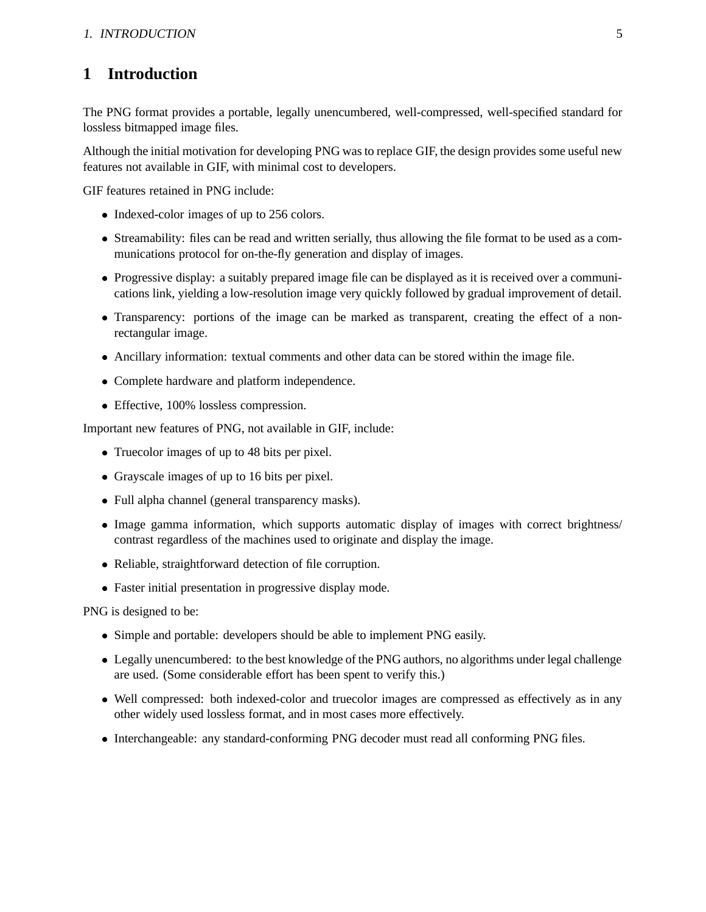# **1 Introduction**

The PNG format provides a portable, legally unencumbered, well-compressed, well-specified standard for lossless bitmapped image files.

Although the initial motivation for developing PNG was to replace GIF, the design provides some useful new features not available in GIF, with minimal cost to developers.

GIF features retained in PNG include:

- Indexed-color images of up to 256 colors.
- Streamability: files can be read and written serially, thus allowing the file format to be used as a communications protocol for on-the-fly generation and display of images.
- Progressive display: a suitably prepared image file can be displayed as it is received over a communications link, yielding a low-resolution image very quickly followed by gradual improvement of detail.
- Transparency: portions of the image can be marked as transparent, creating the effect of a nonrectangular image.
- Ancillary information: textual comments and other data can be stored within the image file.
- Complete hardware and platform independence.
- Effective, 100% lossless compression.

Important new features of PNG, not available in GIF, include:

- Truecolor images of up to 48 bits per pixel.
- Grayscale images of up to 16 bits per pixel.
- Full alpha channel (general transparency masks).
- Image gamma information, which supports automatic display of images with correct brightness/ contrast regardless of the machines used to originate and display the image.
- Reliable, straightforward detection of file corruption.
- Faster initial presentation in progressive display mode.

PNG is designed to be:

- Simple and portable: developers should be able to implement PNG easily.
- Legally unencumbered: to the best knowledge of the PNG authors, no algorithms under legal challenge are used. (Some considerable effort has been spent to verify this.)
- Well compressed: both indexed-color and truecolor images are compressed as effectively as in any other widely used lossless format, and in most cases more effectively.
- Interchangeable: any standard-conforming PNG decoder must read all conforming PNG files.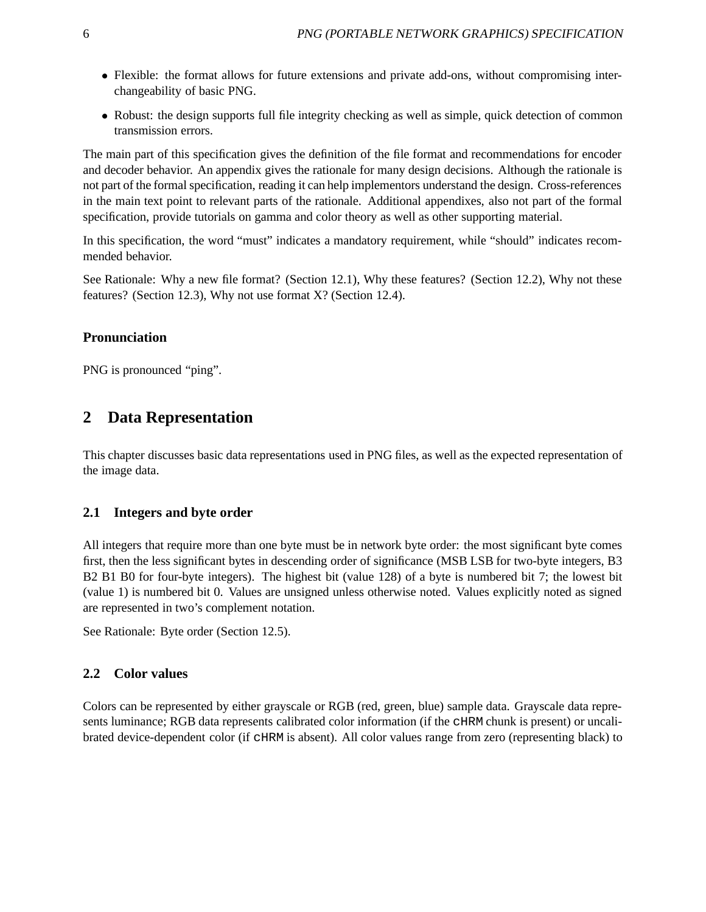- Flexible: the format allows for future extensions and private add-ons, without compromising interchangeability of basic PNG.
- Robust: the design supports full file integrity checking as well as simple, quick detection of common transmission errors.

The main part of this specification gives the definition of the file format and recommendations for encoder and decoder behavior. An appendix gives the rationale for many design decisions. Although the rationale is not part of the formal specification, reading it can help implementors understand the design. Cross-references in the main text point to relevant parts of the rationale. Additional appendixes, also not part of the formal specification, provide tutorials on gamma and color theory as well as other supporting material.

In this specification, the word "must" indicates a mandatory requirement, while "should" indicates recommended behavior.

See Rationale: Why a new file format? (Section 12.1), Why these features? (Section 12.2), Why not these features? (Section 12.3), Why not use format X? (Section 12.4).

### **Pronunciation**

PNG is pronounced "ping".

# **2 Data Representation**

This chapter discusses basic data representations used in PNG files, as well as the expected representation of the image data.

#### **2.1 Integers and byte order**

All integers that require more than one byte must be in network byte order: the most significant byte comes first, then the less significant bytes in descending order of significance (MSB LSB for two-byte integers, B3 B2 B1 B0 for four-byte integers). The highest bit (value 128) of a byte is numbered bit 7; the lowest bit (value 1) is numbered bit 0. Values are unsigned unless otherwise noted. Values explicitly noted as signed are represented in two's complement notation.

See Rationale: Byte order (Section 12.5).

#### **2.2 Color values**

Colors can be represented by either grayscale or RGB (red, green, blue) sample data. Grayscale data represents luminance; RGB data represents calibrated color information (if the cHRM chunk is present) or uncalibrated device-dependent color (if cHRM is absent). All color values range from zero (representing black) to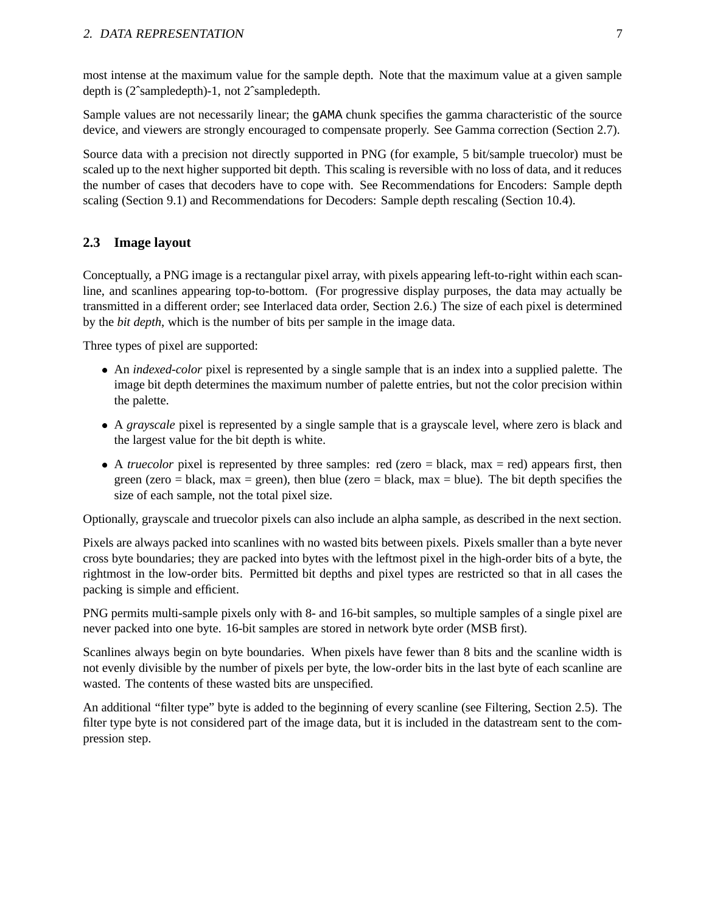most intense at the maximum value for the sample depth. Note that the maximum value at a given sample depth is (2ˆsampledepth)-1, not 2ˆsampledepth.

Sample values are not necessarily linear; the gAMA chunk specifies the gamma characteristic of the source device, and viewers are strongly encouraged to compensate properly. See Gamma correction (Section 2.7).

Source data with a precision not directly supported in PNG (for example, 5 bit/sample truecolor) must be scaled up to the next higher supported bit depth. This scaling is reversible with no loss of data, and it reduces the number of cases that decoders have to cope with. See Recommendations for Encoders: Sample depth scaling (Section 9.1) and Recommendations for Decoders: Sample depth rescaling (Section 10.4).

#### **2.3 Image layout**

Conceptually, a PNG image is a rectangular pixel array, with pixels appearing left-to-right within each scanline, and scanlines appearing top-to-bottom. (For progressive display purposes, the data may actually be transmitted in a different order; see Interlaced data order, Section 2.6.) The size of each pixel is determined by the *bit depth*, which is the number of bits per sample in the image data.

Three types of pixel are supported:

- An *indexed-color* pixel is represented by a single sample that is an index into a supplied palette. The image bit depth determines the maximum number of palette entries, but not the color precision within the palette.
- A *grayscale* pixel is represented by a single sample that is a grayscale level, where zero is black and the largest value for the bit depth is white.
- $\bullet$  A *truecolor* pixel is represented by three samples: red (zero = black, max = red) appears first, then green (zero = black, max = green), then blue (zero = black, max = blue). The bit depth specifies the size of each sample, not the total pixel size.

Optionally, grayscale and truecolor pixels can also include an alpha sample, as described in the next section.

Pixels are always packed into scanlines with no wasted bits between pixels. Pixels smaller than a byte never cross byte boundaries; they are packed into bytes with the leftmost pixel in the high-order bits of a byte, the rightmost in the low-order bits. Permitted bit depths and pixel types are restricted so that in all cases the packing is simple and efficient.

PNG permits multi-sample pixels only with 8- and 16-bit samples, so multiple samples of a single pixel are never packed into one byte. 16-bit samples are stored in network byte order (MSB first).

Scanlines always begin on byte boundaries. When pixels have fewer than 8 bits and the scanline width is not evenly divisible by the number of pixels per byte, the low-order bits in the last byte of each scanline are wasted. The contents of these wasted bits are unspecified.

An additional "filter type" byte is added to the beginning of every scanline (see Filtering, Section 2.5). The filter type byte is not considered part of the image data, but it is included in the datastream sent to the compression step.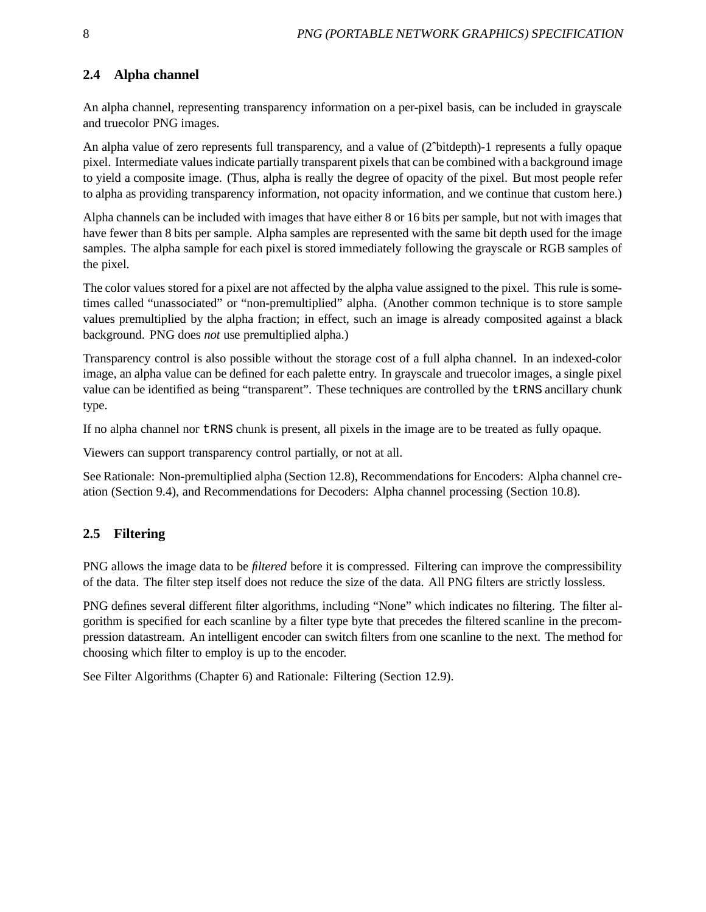# **2.4 Alpha channel**

An alpha channel, representing transparency information on a per-pixel basis, can be included in grayscale and truecolor PNG images.

An alpha value of zero represents full transparency, and a value of (2ˆbitdepth)-1 represents a fully opaque pixel. Intermediate values indicate partially transparent pixels that can be combined with a background image to yield a composite image. (Thus, alpha is really the degree of opacity of the pixel. But most people refer to alpha as providing transparency information, not opacity information, and we continue that custom here.)

Alpha channels can be included with images that have either 8 or 16 bits per sample, but not with images that have fewer than 8 bits per sample. Alpha samples are represented with the same bit depth used for the image samples. The alpha sample for each pixel is stored immediately following the grayscale or RGB samples of the pixel.

The color values stored for a pixel are not affected by the alpha value assigned to the pixel. This rule is sometimes called "unassociated" or "non-premultiplied" alpha. (Another common technique is to store sample values premultiplied by the alpha fraction; in effect, such an image is already composited against a black background. PNG does *not* use premultiplied alpha.)

Transparency control is also possible without the storage cost of a full alpha channel. In an indexed-color image, an alpha value can be defined for each palette entry. In grayscale and truecolor images, a single pixel value can be identified as being "transparent". These techniques are controlled by the tRNS ancillary chunk type.

If no alpha channel nor tRNS chunk is present, all pixels in the image are to be treated as fully opaque.

Viewers can support transparency control partially, or not at all.

See Rationale: Non-premultiplied alpha (Section 12.8), Recommendations for Encoders: Alpha channel creation (Section 9.4), and Recommendations for Decoders: Alpha channel processing (Section 10.8).

# **2.5 Filtering**

PNG allows the image data to be *filtered* before it is compressed. Filtering can improve the compressibility of the data. The filter step itself does not reduce the size of the data. All PNG filters are strictly lossless.

PNG defines several different filter algorithms, including "None" which indicates no filtering. The filter algorithm is specified for each scanline by a filter type byte that precedes the filtered scanline in the precompression datastream. An intelligent encoder can switch filters from one scanline to the next. The method for choosing which filter to employ is up to the encoder.

See Filter Algorithms (Chapter 6) and Rationale: Filtering (Section 12.9).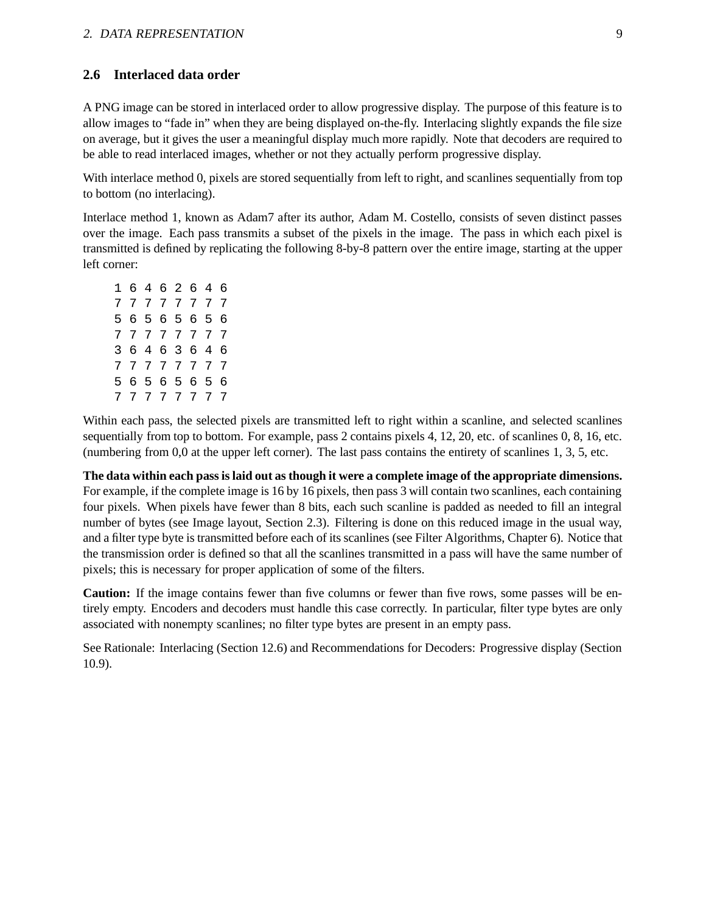#### **2.6 Interlaced data order**

A PNG image can be stored in interlaced order to allow progressive display. The purpose of this feature is to allow images to "fade in" when they are being displayed on-the-fly. Interlacing slightly expands the file size on average, but it gives the user a meaningful display much more rapidly. Note that decoders are required to be able to read interlaced images, whether or not they actually perform progressive display.

With interlace method 0, pixels are stored sequentially from left to right, and scanlines sequentially from top to bottom (no interlacing).

Interlace method 1, known as Adam7 after its author, Adam M. Costello, consists of seven distinct passes over the image. Each pass transmits a subset of the pixels in the image. The pass in which each pixel is transmitted is defined by replicating the following 8-by-8 pattern over the entire image, starting at the upper left corner:

| 1  | 6 |      |                 | 4 6 2 6         |                 | 4 | 6   |
|----|---|------|-----------------|-----------------|-----------------|---|-----|
| 7  | 7 | 7    | $7\phantom{.0}$ | $7^{\circ}$     | 7               | 7 | 7   |
| 5. | 6 | 5    | 6               | 5               | 6               | 5 | 6   |
| 7  |   | 7777 |                 |                 | $7\phantom{.0}$ | 7 | - 7 |
| 3  | 6 | 4    | $6\overline{6}$ | 3               | 6               | 4 | 6   |
| 7  | 7 | 7    | $7\overline{ }$ | $7\phantom{.0}$ | 7               | 7 | -7  |
| 5  | 6 | 5.   | 6               | 5               | 6               | 5 | 6   |
| 7  | 7 | 7    | 7               | 7               | 7               | 7 | 7   |

Within each pass, the selected pixels are transmitted left to right within a scanline, and selected scanlines sequentially from top to bottom. For example, pass 2 contains pixels 4, 12, 20, etc. of scanlines 0, 8, 16, etc. (numbering from 0,0 at the upper left corner). The last pass contains the entirety of scanlines 1, 3, 5, etc.

**The data within each pass is laid out as though it were a complete image of the appropriate dimensions.** For example, if the complete image is 16 by 16 pixels, then pass 3 will contain two scanlines, each containing four pixels. When pixels have fewer than 8 bits, each such scanline is padded as needed to fill an integral number of bytes (see Image layout, Section 2.3). Filtering is done on this reduced image in the usual way, and a filter type byte is transmitted before each of its scanlines (see Filter Algorithms, Chapter 6). Notice that the transmission order is defined so that all the scanlines transmitted in a pass will have the same number of pixels; this is necessary for proper application of some of the filters.

**Caution:** If the image contains fewer than five columns or fewer than five rows, some passes will be entirely empty. Encoders and decoders must handle this case correctly. In particular, filter type bytes are only associated with nonempty scanlines; no filter type bytes are present in an empty pass.

See Rationale: Interlacing (Section 12.6) and Recommendations for Decoders: Progressive display (Section 10.9).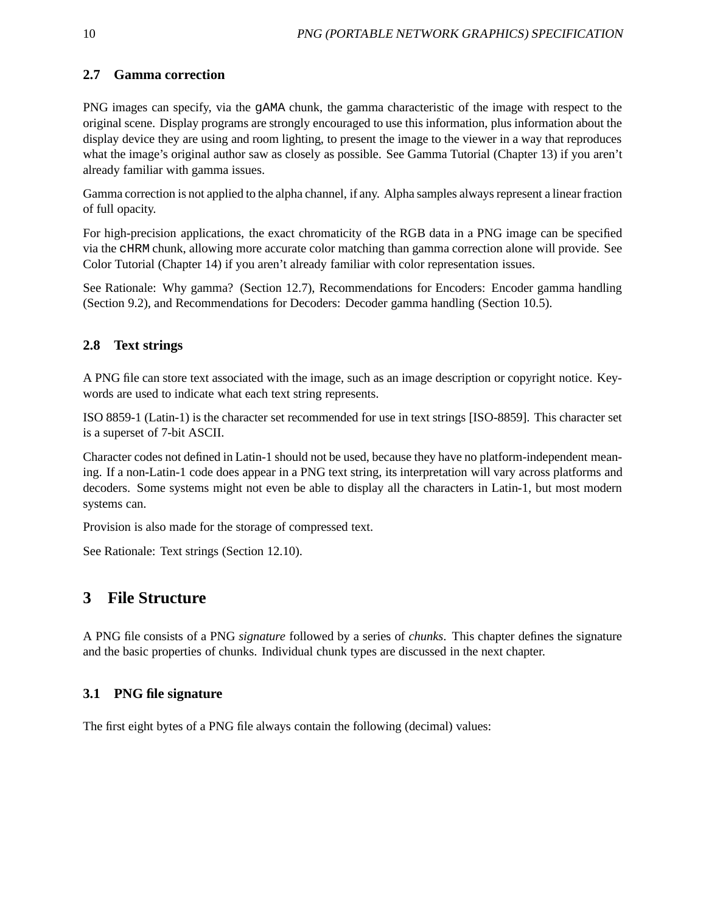# **2.7 Gamma correction**

PNG images can specify, via the gAMA chunk, the gamma characteristic of the image with respect to the original scene. Display programs are strongly encouraged to use this information, plus information about the display device they are using and room lighting, to present the image to the viewer in a way that reproduces what the image's original author saw as closely as possible. See Gamma Tutorial (Chapter 13) if you aren't already familiar with gamma issues.

Gamma correction is not applied to the alpha channel, if any. Alpha samples always represent a linear fraction of full opacity.

For high-precision applications, the exact chromaticity of the RGB data in a PNG image can be specified via the cHRM chunk, allowing more accurate color matching than gamma correction alone will provide. See Color Tutorial (Chapter 14) if you aren't already familiar with color representation issues.

See Rationale: Why gamma? (Section 12.7), Recommendations for Encoders: Encoder gamma handling (Section 9.2), and Recommendations for Decoders: Decoder gamma handling (Section 10.5).

# **2.8 Text strings**

A PNG file can store text associated with the image, such as an image description or copyright notice. Keywords are used to indicate what each text string represents.

ISO 8859-1 (Latin-1) is the character set recommended for use in text strings [ISO-8859]. This character set is a superset of 7-bit ASCII.

Character codes not defined in Latin-1 should not be used, because they have no platform-independent meaning. If a non-Latin-1 code does appear in a PNG text string, its interpretation will vary across platforms and decoders. Some systems might not even be able to display all the characters in Latin-1, but most modern systems can.

Provision is also made for the storage of compressed text.

See Rationale: Text strings (Section 12.10).

# **3 File Structure**

A PNG file consists of a PNG *signature* followed by a series of *chunks*. This chapter defines the signature and the basic properties of chunks. Individual chunk types are discussed in the next chapter.

# **3.1 PNG file signature**

The first eight bytes of a PNG file always contain the following (decimal) values: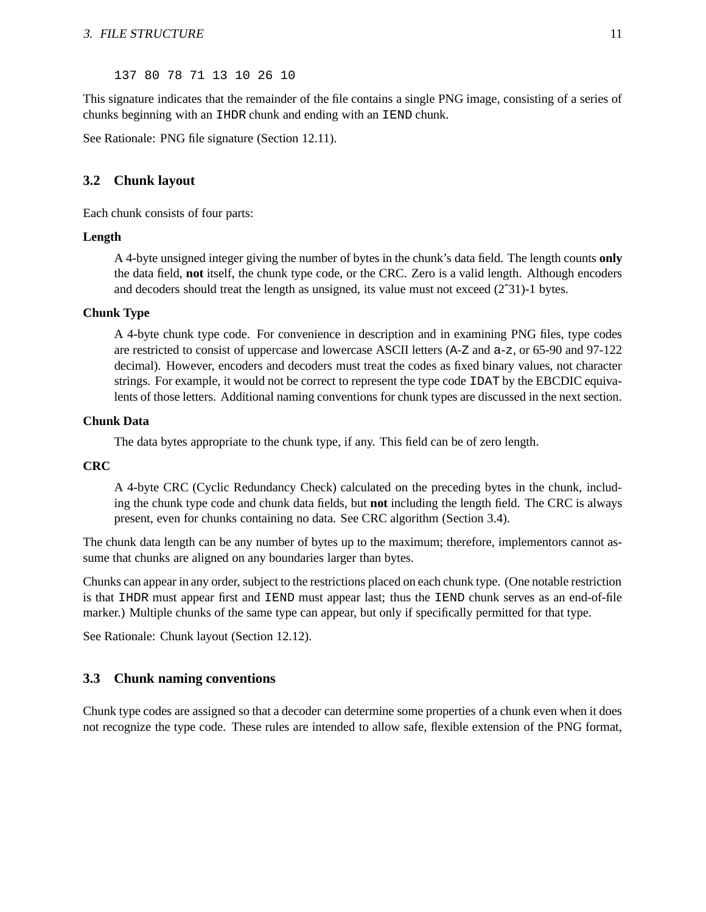137 80 78 71 13 10 26 10

This signature indicates that the remainder of the file contains a single PNG image, consisting of a series of chunks beginning with an IHDR chunk and ending with an IEND chunk.

See Rationale: PNG file signature (Section 12.11).

#### **3.2 Chunk layout**

Each chunk consists of four parts:

#### **Length**

A 4-byte unsigned integer giving the number of bytes in the chunk's data field. The length counts **only** the data field, **not** itself, the chunk type code, or the CRC. Zero is a valid length. Although encoders and decoders should treat the length as unsigned, its value must not exceed (2ˆ31)-1 bytes.

#### **Chunk Type**

A 4-byte chunk type code. For convenience in description and in examining PNG files, type codes are restricted to consist of uppercase and lowercase ASCII letters (A-Z and a-z, or 65-90 and 97-122 decimal). However, encoders and decoders must treat the codes as fixed binary values, not character strings. For example, it would not be correct to represent the type code IDAT by the EBCDIC equivalents of those letters. Additional naming conventions for chunk types are discussed in the next section.

#### **Chunk Data**

The data bytes appropriate to the chunk type, if any. This field can be of zero length.

#### **CRC**

A 4-byte CRC (Cyclic Redundancy Check) calculated on the preceding bytes in the chunk, including the chunk type code and chunk data fields, but **not** including the length field. The CRC is always present, even for chunks containing no data. See CRC algorithm (Section 3.4).

The chunk data length can be any number of bytes up to the maximum; therefore, implementors cannot assume that chunks are aligned on any boundaries larger than bytes.

Chunks can appear in any order, subject to the restrictions placed on each chunk type. (One notable restriction is that IHDR must appear first and IEND must appear last; thus the IEND chunk serves as an end-of-file marker.) Multiple chunks of the same type can appear, but only if specifically permitted for that type.

See Rationale: Chunk layout (Section 12.12).

#### **3.3 Chunk naming conventions**

Chunk type codes are assigned so that a decoder can determine some properties of a chunk even when it does not recognize the type code. These rules are intended to allow safe, flexible extension of the PNG format,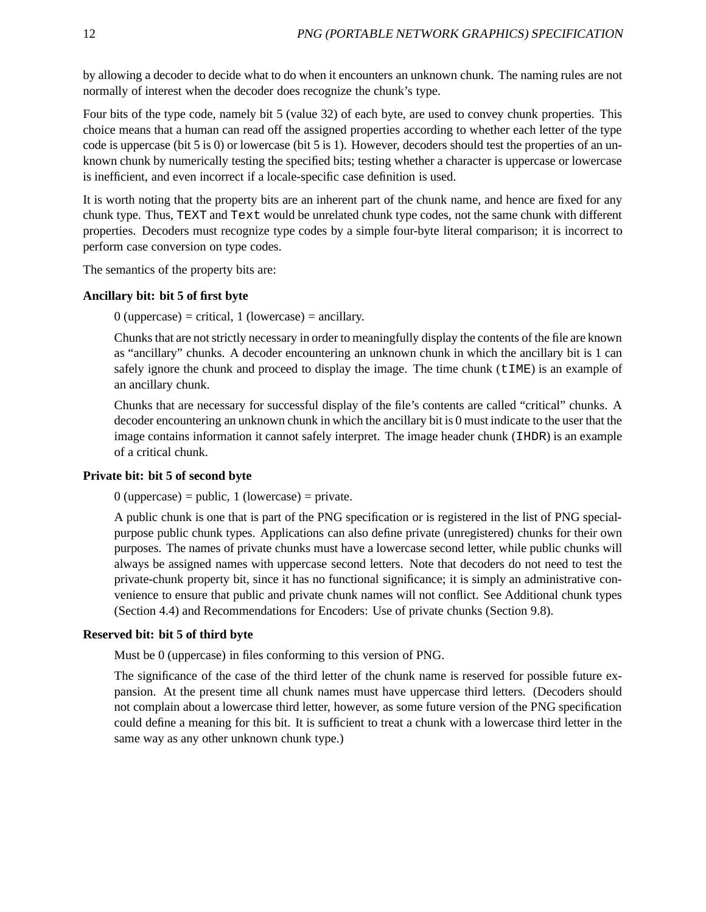by allowing a decoder to decide what to do when it encounters an unknown chunk. The naming rules are not normally of interest when the decoder does recognize the chunk's type.

Four bits of the type code, namely bit 5 (value 32) of each byte, are used to convey chunk properties. This choice means that a human can read off the assigned properties according to whether each letter of the type code is uppercase (bit 5 is 0) or lowercase (bit 5 is 1). However, decoders should test the properties of an unknown chunk by numerically testing the specified bits; testing whether a character is uppercase or lowercase is inefficient, and even incorrect if a locale-specific case definition is used.

It is worth noting that the property bits are an inherent part of the chunk name, and hence are fixed for any chunk type. Thus, TEXT and Text would be unrelated chunk type codes, not the same chunk with different properties. Decoders must recognize type codes by a simple four-byte literal comparison; it is incorrect to perform case conversion on type codes.

The semantics of the property bits are:

#### **Ancillary bit: bit 5 of first byte**

 $0$  (uppercase) = critical, 1 (lowercase) = ancillary.

Chunks that are not strictly necessary in order to meaningfully display the contents of the file are known as "ancillary" chunks. A decoder encountering an unknown chunk in which the ancillary bit is 1 can safely ignore the chunk and proceed to display the image. The time chunk  $(t \text{IME})$  is an example of an ancillary chunk.

Chunks that are necessary for successful display of the file's contents are called "critical" chunks. A decoder encountering an unknown chunk in which the ancillary bit is 0 must indicate to the user that the image contains information it cannot safely interpret. The image header chunk (IHDR) is an example of a critical chunk.

#### **Private bit: bit 5 of second byte**

 $0$  (uppercase) = public, 1 (lowercase) = private.

A public chunk is one that is part of the PNG specification or is registered in the list of PNG specialpurpose public chunk types. Applications can also define private (unregistered) chunks for their own purposes. The names of private chunks must have a lowercase second letter, while public chunks will always be assigned names with uppercase second letters. Note that decoders do not need to test the private-chunk property bit, since it has no functional significance; it is simply an administrative convenience to ensure that public and private chunk names will not conflict. See Additional chunk types (Section 4.4) and Recommendations for Encoders: Use of private chunks (Section 9.8).

#### **Reserved bit: bit 5 of third byte**

Must be 0 (uppercase) in files conforming to this version of PNG.

The significance of the case of the third letter of the chunk name is reserved for possible future expansion. At the present time all chunk names must have uppercase third letters. (Decoders should not complain about a lowercase third letter, however, as some future version of the PNG specification could define a meaning for this bit. It is sufficient to treat a chunk with a lowercase third letter in the same way as any other unknown chunk type.)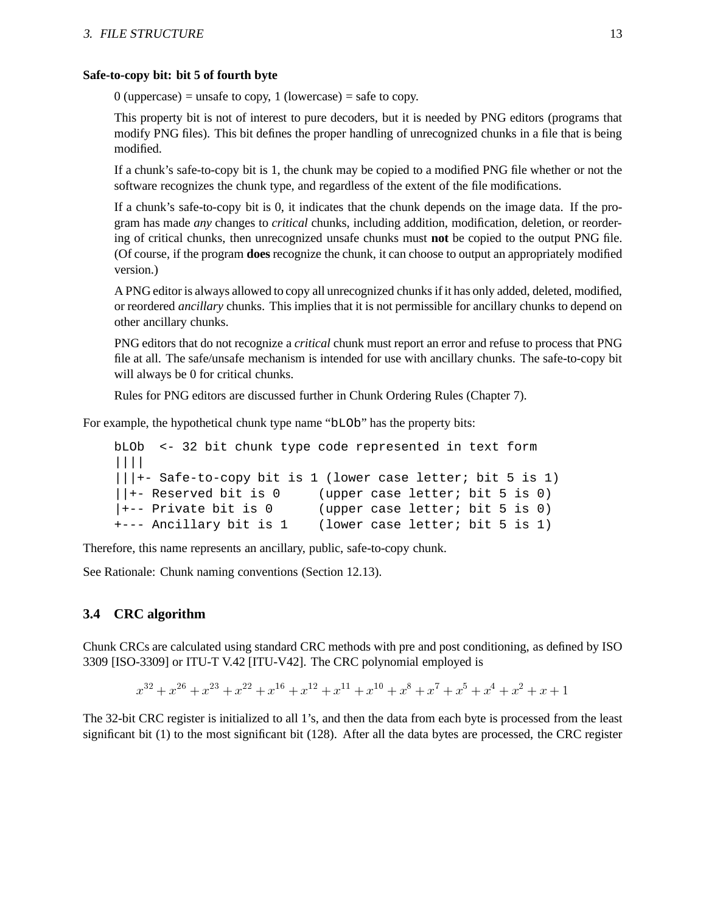#### **Safe-to-copy bit: bit 5 of fourth byte**

 $0$  (uppercase) = unsafe to copy, 1 (lowercase) = safe to copy.

This property bit is not of interest to pure decoders, but it is needed by PNG editors (programs that modify PNG files). This bit defines the proper handling of unrecognized chunks in a file that is being modified.

If a chunk's safe-to-copy bit is 1, the chunk may be copied to a modified PNG file whether or not the software recognizes the chunk type, and regardless of the extent of the file modifications.

If a chunk's safe-to-copy bit is 0, it indicates that the chunk depends on the image data. If the program has made *any* changes to *critical* chunks, including addition, modification, deletion, or reordering of critical chunks, then unrecognized unsafe chunks must **not** be copied to the output PNG file. (Of course, if the program **does** recognize the chunk, it can choose to output an appropriately modified version.)

A PNG editor is always allowed to copy all unrecognized chunks if it has only added, deleted, modified, or reordered *ancillary* chunks. This implies that it is not permissible for ancillary chunks to depend on other ancillary chunks.

PNG editors that do not recognize a *critical* chunk must report an error and refuse to process that PNG file at all. The safe/unsafe mechanism is intended for use with ancillary chunks. The safe-to-copy bit will always be 0 for critical chunks.

Rules for PNG editors are discussed further in Chunk Ordering Rules (Chapter 7).

For example, the hypothetical chunk type name "bLOb" has the property bits:

```
bLOb <- 32 bit chunk type code represented in text form
||||
|||+- Safe-to-copy bit is 1 (lower case letter; bit 5 is 1)
||+- Reserved bit is 0 (upper case letter; bit 5 is 0)
|+- Private bit is 0 (upper case letter; bit 5 is 0)
+--- Ancillary bit is 1 (lower case letter; bit 5 is 1)
```
Therefore, this name represents an ancillary, public, safe-to-copy chunk.

See Rationale: Chunk naming conventions (Section 12.13).

### **3.4 CRC algorithm**

Chunk CRCs are calculated using standard CRC methods with pre and post conditioning, as defined by ISO 3309 [ISO-3309] or ITU-T V.42 [ITU-V42]. The CRC polynomial employed is

 $x^{32} + x^{26} + x^{23} + x^{22} + x^{16} + x^{12} + x^{11} + x^{10} + x^8 + x^7 + x^5 + x^4 + x^2 + x + 1$ 

The 32-bit CRC register is initialized to all 1's, and then the data from each byte is processed from the least significant bit (1) to the most significant bit (128). After all the data bytes are processed, the CRC register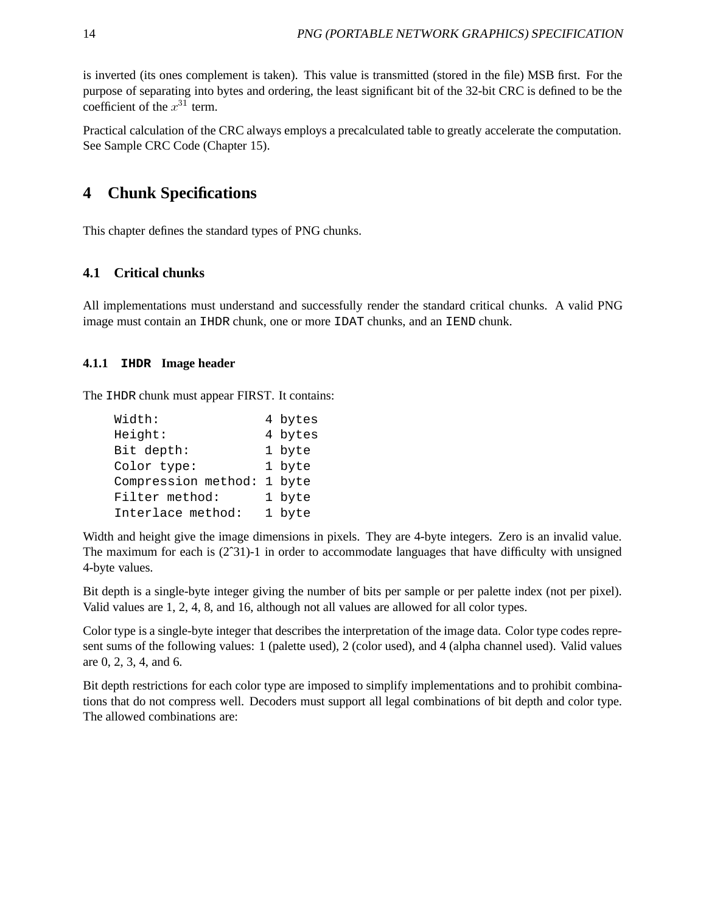is inverted (its ones complement is taken). This value is transmitted (stored in the file) MSB first. For the purpose of separating into bytes and ordering, the least significant bit of the 32-bit CRC is defined to be the coefficient of the  $x^{31}$  term.

Practical calculation of the CRC always employs a precalculated table to greatly accelerate the computation. See Sample CRC Code (Chapter 15).

# **4 Chunk Specifications**

This chapter defines the standard types of PNG chunks.

### **4.1 Critical chunks**

All implementations must understand and successfully render the standard critical chunks. A valid PNG image must contain an IHDR chunk, one or more IDAT chunks, and an IEND chunk.

#### **4.1.1 IHDR Image header**

The IHDR chunk must appear FIRST. It contains:

| Width:              | 4 bytes |
|---------------------|---------|
| Height:             | 4 bytes |
| Bit depth:          | 1 byte  |
| Color type:         | 1 byte  |
| Compression method: | 1 byte  |
| Filter method:      | 1 byte  |
| Interlace method:   | 1 byte  |

Width and height give the image dimensions in pixels. They are 4-byte integers. Zero is an invalid value. The maximum for each is (2ˆ31)-1 in order to accommodate languages that have difficulty with unsigned 4-byte values.

Bit depth is a single-byte integer giving the number of bits per sample or per palette index (not per pixel). Valid values are 1, 2, 4, 8, and 16, although not all values are allowed for all color types.

Color type is a single-byte integer that describes the interpretation of the image data. Color type codes represent sums of the following values: 1 (palette used), 2 (color used), and 4 (alpha channel used). Valid values are 0, 2, 3, 4, and 6.

Bit depth restrictions for each color type are imposed to simplify implementations and to prohibit combinations that do not compress well. Decoders must support all legal combinations of bit depth and color type. The allowed combinations are: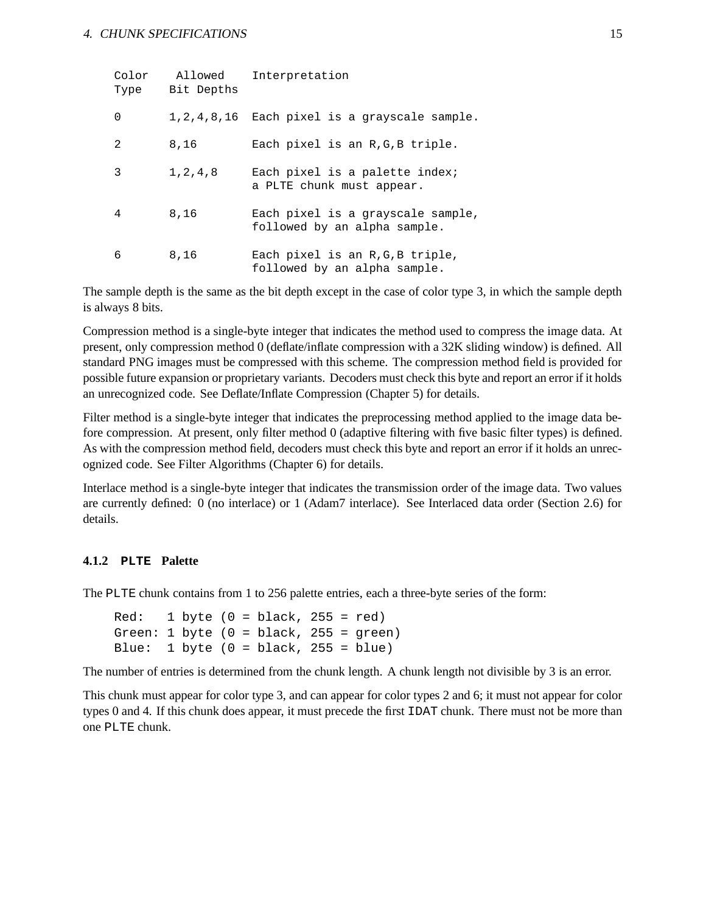| Color<br>Type | Allowed<br>Bit Depths | Interpretation                                                    |
|---------------|-----------------------|-------------------------------------------------------------------|
| 0             |                       | $1, 2, 4, 8, 16$ Each pixel is a grayscale sample.                |
| 2             | 8,16                  | Each pixel is an R.G.B triple.                                    |
| 3             | 1, 2, 4, 8            | Each pixel is a palette index;<br>a PLTE chunk must appear.       |
| 4             | 8,16                  | Each pixel is a grayscale sample,<br>followed by an alpha sample. |
| 6             | 8,16                  | Each pixel is an R, G, B triple,<br>followed by an alpha sample.  |

The sample depth is the same as the bit depth except in the case of color type 3, in which the sample depth is always 8 bits.

Compression method is a single-byte integer that indicates the method used to compress the image data. At present, only compression method 0 (deflate/inflate compression with a 32K sliding window) is defined. All standard PNG images must be compressed with this scheme. The compression method field is provided for possible future expansion or proprietary variants. Decoders must check this byte and report an error if it holds an unrecognized code. See Deflate/Inflate Compression (Chapter 5) for details.

Filter method is a single-byte integer that indicates the preprocessing method applied to the image data before compression. At present, only filter method 0 (adaptive filtering with five basic filter types) is defined. As with the compression method field, decoders must check this byte and report an error if it holds an unrecognized code. See Filter Algorithms (Chapter 6) for details.

Interlace method is a single-byte integer that indicates the transmission order of the image data. Two values are currently defined: 0 (no interlace) or 1 (Adam7 interlace). See Interlaced data order (Section 2.6) for details.

#### **4.1.2 PLTE Palette**

The PLTE chunk contains from 1 to 256 palette entries, each a three-byte series of the form:

```
Red: 1 byte (0 = black, 255 = red)Green: 1 byte (0 = black, 255 = green)Blue: 1 byte (0 = black, 255 = blue)
```
The number of entries is determined from the chunk length. A chunk length not divisible by 3 is an error.

This chunk must appear for color type 3, and can appear for color types 2 and 6; it must not appear for color types 0 and 4. If this chunk does appear, it must precede the first IDAT chunk. There must not be more than one PLTE chunk.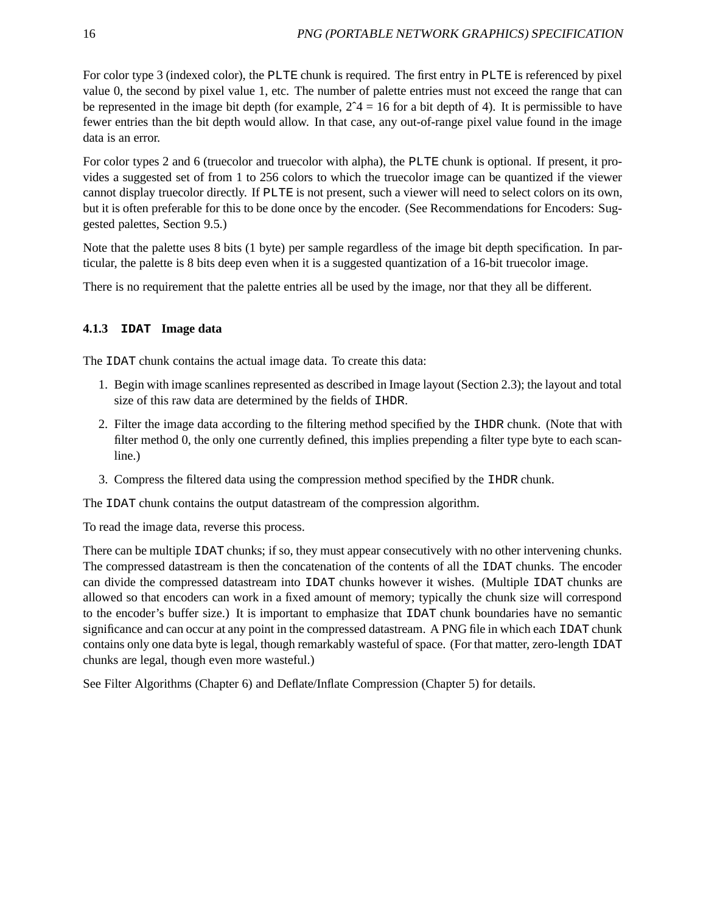For color type 3 (indexed color), the PLTE chunk is required. The first entry in PLTE is referenced by pixel value 0, the second by pixel value 1, etc. The number of palette entries must not exceed the range that can be represented in the image bit depth (for example,  $2^4 = 16$  for a bit depth of 4). It is permissible to have fewer entries than the bit depth would allow. In that case, any out-of-range pixel value found in the image data is an error.

For color types 2 and 6 (truecolor and truecolor with alpha), the PLTE chunk is optional. If present, it provides a suggested set of from 1 to 256 colors to which the truecolor image can be quantized if the viewer cannot display truecolor directly. If PLTE is not present, such a viewer will need to select colors on its own, but it is often preferable for this to be done once by the encoder. (See Recommendations for Encoders: Suggested palettes, Section 9.5.)

Note that the palette uses 8 bits (1 byte) per sample regardless of the image bit depth specification. In particular, the palette is 8 bits deep even when it is a suggested quantization of a 16-bit truecolor image.

There is no requirement that the palette entries all be used by the image, nor that they all be different.

#### **4.1.3 IDAT Image data**

The IDAT chunk contains the actual image data. To create this data:

- 1. Begin with image scanlines represented as described in Image layout (Section 2.3); the layout and total size of this raw data are determined by the fields of IHDR.
- 2. Filter the image data according to the filtering method specified by the IHDR chunk. (Note that with filter method 0, the only one currently defined, this implies prepending a filter type byte to each scanline.)
- 3. Compress the filtered data using the compression method specified by the IHDR chunk.

The IDAT chunk contains the output datastream of the compression algorithm.

To read the image data, reverse this process.

There can be multiple IDAT chunks; if so, they must appear consecutively with no other intervening chunks. The compressed datastream is then the concatenation of the contents of all the IDAT chunks. The encoder can divide the compressed datastream into IDAT chunks however it wishes. (Multiple IDAT chunks are allowed so that encoders can work in a fixed amount of memory; typically the chunk size will correspond to the encoder's buffer size.) It is important to emphasize that IDAT chunk boundaries have no semantic significance and can occur at any point in the compressed datastream. A PNG file in which each IDAT chunk contains only one data byte is legal, though remarkably wasteful of space. (For that matter, zero-length IDAT chunks are legal, though even more wasteful.)

See Filter Algorithms (Chapter 6) and Deflate/Inflate Compression (Chapter 5) for details.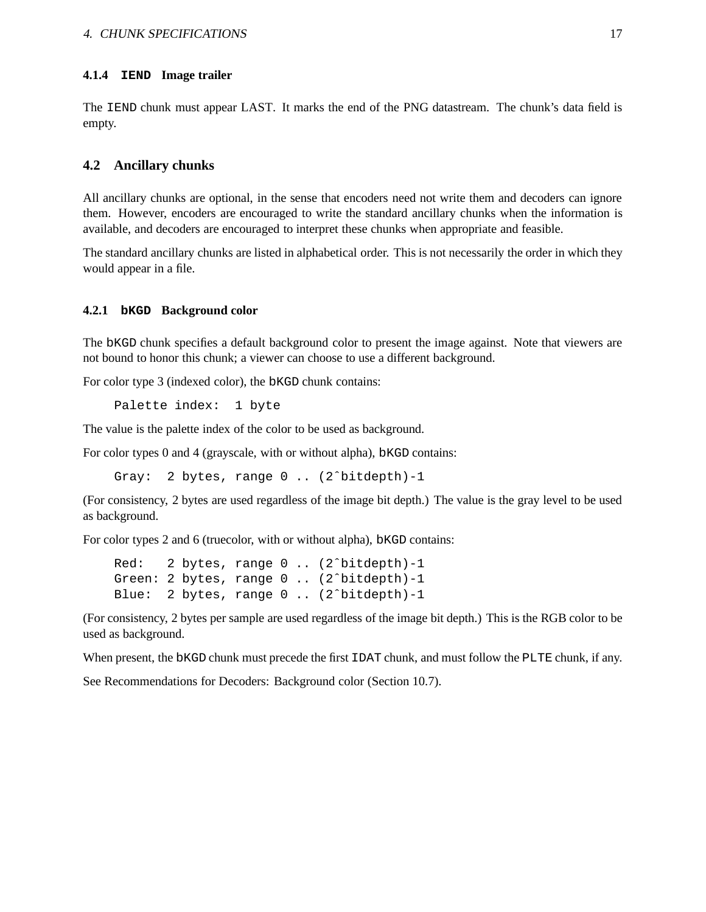#### **4.1.4 IEND Image trailer**

The IEND chunk must appear LAST. It marks the end of the PNG datastream. The chunk's data field is empty.

#### **4.2 Ancillary chunks**

All ancillary chunks are optional, in the sense that encoders need not write them and decoders can ignore them. However, encoders are encouraged to write the standard ancillary chunks when the information is available, and decoders are encouraged to interpret these chunks when appropriate and feasible.

The standard ancillary chunks are listed in alphabetical order. This is not necessarily the order in which they would appear in a file.

#### **4.2.1 bKGD Background color**

The bKGD chunk specifies a default background color to present the image against. Note that viewers are not bound to honor this chunk; a viewer can choose to use a different background.

For color type 3 (indexed color), the bKGD chunk contains:

Palette index: 1 byte

The value is the palette index of the color to be used as background.

For color types 0 and 4 (grayscale, with or without alpha), bKGD contains:

Gray: 2 bytes, range 0 .. (2ˆbitdepth)-1

(For consistency, 2 bytes are used regardless of the image bit depth.) The value is the gray level to be used as background.

For color types 2 and 6 (truecolor, with or without alpha), bKGD contains:

```
Red: 2 bytes, range 0 .. (2ˆbitdepth)-1
Green: 2 bytes, range 0 .. (2^bitdepth)-1
Blue: 2 bytes, range 0 .. (2ˆbitdepth)-1
```
(For consistency, 2 bytes per sample are used regardless of the image bit depth.) This is the RGB color to be used as background.

When present, the bKGD chunk must precede the first IDAT chunk, and must follow the PLTE chunk, if any.

See Recommendations for Decoders: Background color (Section 10.7).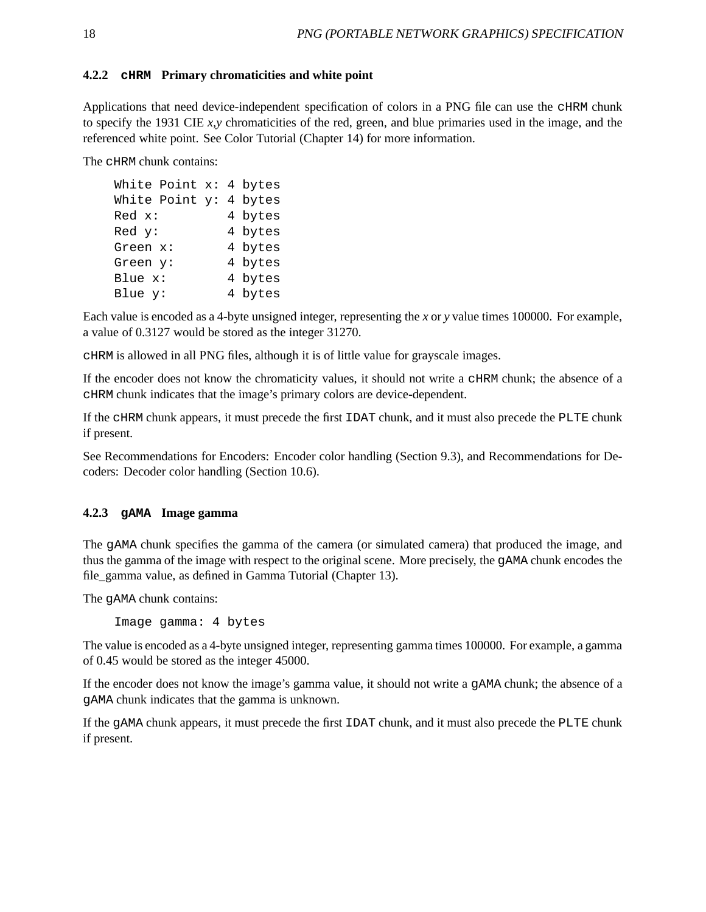#### **4.2.2 cHRM Primary chromaticities and white point**

Applications that need device-independent specification of colors in a PNG file can use the CHRM chunk to specify the 1931 CIE *x,y* chromaticities of the red, green, and blue primaries used in the image, and the referenced white point. See Color Tutorial (Chapter 14) for more information.

The cHRM chunk contains:

```
White Point x: 4 bytes
White Point y: 4 bytes
Red x: 4 bytes
Red y: 4 bytes
Green x: 4 bytes
Green y: 4 bytes
Blue x: 4 bytes
Blue y: 4 bytes
```
Each value is encoded as a 4-byte unsigned integer, representing the *x* or *y* value times 100000. For example, a value of 0.3127 would be stored as the integer 31270.

cHRM is allowed in all PNG files, although it is of little value for grayscale images.

If the encoder does not know the chromaticity values, it should not write a cHRM chunk; the absence of a cHRM chunk indicates that the image's primary colors are device-dependent.

If the cHRM chunk appears, it must precede the first IDAT chunk, and it must also precede the PLTE chunk if present.

See Recommendations for Encoders: Encoder color handling (Section 9.3), and Recommendations for Decoders: Decoder color handling (Section 10.6).

#### **4.2.3 gAMA Image gamma**

The gAMA chunk specifies the gamma of the camera (or simulated camera) that produced the image, and thus the gamma of the image with respect to the original scene. More precisely, the gAMA chunk encodes the file\_gamma value, as defined in Gamma Tutorial (Chapter 13).

The gAMA chunk contains:

Image gamma: 4 bytes

The value is encoded as a 4-byte unsigned integer, representing gamma times 100000. For example, a gamma of 0.45 would be stored as the integer 45000.

If the encoder does not know the image's gamma value, it should not write a gAMA chunk; the absence of a gAMA chunk indicates that the gamma is unknown.

If the gAMA chunk appears, it must precede the first IDAT chunk, and it must also precede the PLTE chunk if present.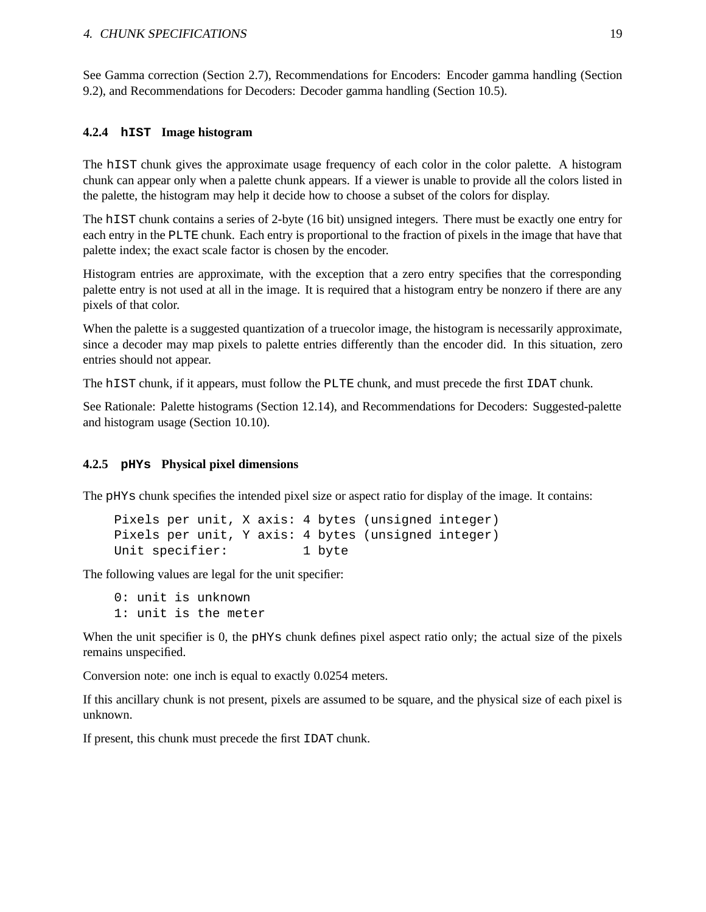#### 4. CHUNK SPECIFICATIONS 19

See Gamma correction (Section 2.7), Recommendations for Encoders: Encoder gamma handling (Section 9.2), and Recommendations for Decoders: Decoder gamma handling (Section 10.5).

#### **4.2.4 hIST Image histogram**

The hIST chunk gives the approximate usage frequency of each color in the color palette. A histogram chunk can appear only when a palette chunk appears. If a viewer is unable to provide all the colors listed in the palette, the histogram may help it decide how to choose a subset of the colors for display.

The hIST chunk contains a series of 2-byte (16 bit) unsigned integers. There must be exactly one entry for each entry in the PLTE chunk. Each entry is proportional to the fraction of pixels in the image that have that palette index; the exact scale factor is chosen by the encoder.

Histogram entries are approximate, with the exception that a zero entry specifies that the corresponding palette entry is not used at all in the image. It is required that a histogram entry be nonzero if there are any pixels of that color.

When the palette is a suggested quantization of a truecolor image, the histogram is necessarily approximate, since a decoder may map pixels to palette entries differently than the encoder did. In this situation, zero entries should not appear.

The hIST chunk, if it appears, must follow the PLTE chunk, and must precede the first IDAT chunk.

See Rationale: Palette histograms (Section 12.14), and Recommendations for Decoders: Suggested-palette and histogram usage (Section 10.10).

#### **4.2.5 pHYs Physical pixel dimensions**

The pHYs chunk specifies the intended pixel size or aspect ratio for display of the image. It contains:

Pixels per unit, X axis: 4 bytes (unsigned integer) Pixels per unit, Y axis: 4 bytes (unsigned integer) Unit specifier: 1 byte

The following values are legal for the unit specifier:

0: unit is unknown 1: unit is the meter

When the unit specifier is 0, the pHYs chunk defines pixel aspect ratio only; the actual size of the pixels remains unspecified.

Conversion note: one inch is equal to exactly 0.0254 meters.

If this ancillary chunk is not present, pixels are assumed to be square, and the physical size of each pixel is unknown.

If present, this chunk must precede the first IDAT chunk.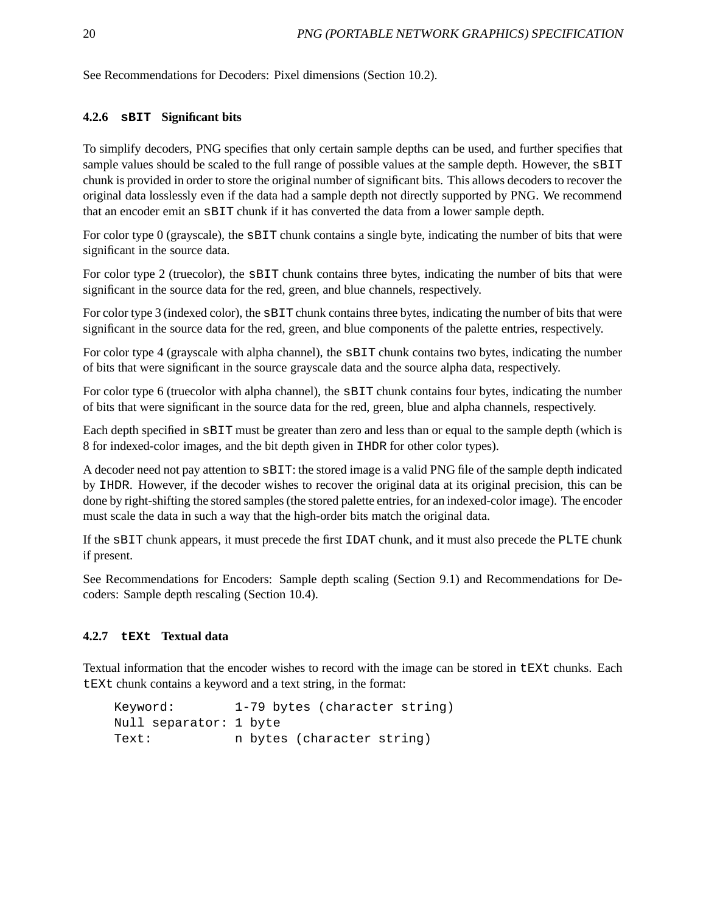See Recommendations for Decoders: Pixel dimensions (Section 10.2).

#### **4.2.6 sBIT Significant bits**

To simplify decoders, PNG specifies that only certain sample depths can be used, and further specifies that sample values should be scaled to the full range of possible values at the sample depth. However, the SBIT chunk is provided in order to store the original number of significant bits. This allows decoders to recover the original data losslessly even if the data had a sample depth not directly supported by PNG. We recommend that an encoder emit an sBIT chunk if it has converted the data from a lower sample depth.

For color type 0 (grayscale), the sBIT chunk contains a single byte, indicating the number of bits that were significant in the source data.

For color type 2 (truecolor), the sBIT chunk contains three bytes, indicating the number of bits that were significant in the source data for the red, green, and blue channels, respectively.

For color type 3 (indexed color), the sBIT chunk contains three bytes, indicating the number of bits that were significant in the source data for the red, green, and blue components of the palette entries, respectively.

For color type 4 (grayscale with alpha channel), the sBIT chunk contains two bytes, indicating the number of bits that were significant in the source grayscale data and the source alpha data, respectively.

For color type 6 (truecolor with alpha channel), the sBIT chunk contains four bytes, indicating the number of bits that were significant in the source data for the red, green, blue and alpha channels, respectively.

Each depth specified in sBIT must be greater than zero and less than or equal to the sample depth (which is 8 for indexed-color images, and the bit depth given in IHDR for other color types).

A decoder need not pay attention to sBIT: the stored image is a valid PNG file of the sample depth indicated by IHDR. However, if the decoder wishes to recover the original data at its original precision, this can be done by right-shifting the stored samples (the stored palette entries, for an indexed-color image). The encoder must scale the data in such a way that the high-order bits match the original data.

If the sBIT chunk appears, it must precede the first IDAT chunk, and it must also precede the PLTE chunk if present.

See Recommendations for Encoders: Sample depth scaling (Section 9.1) and Recommendations for Decoders: Sample depth rescaling (Section 10.4).

#### **4.2.7 tEXt Textual data**

Textual information that the encoder wishes to record with the image can be stored in tEXt chunks. Each tEXt chunk contains a keyword and a text string, in the format:

Keyword: 1-79 bytes (character string) Null separator: 1 byte Text: n bytes (character string)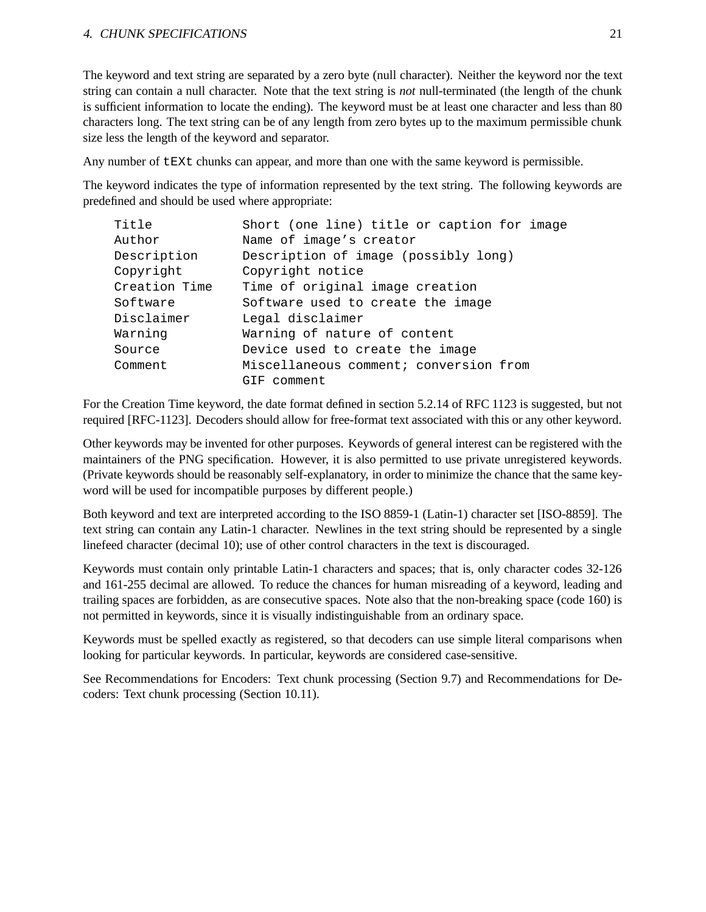#### 4. CHUNK SPECIFICATIONS 21

The keyword and text string are separated by a zero byte (null character). Neither the keyword nor the text string can contain a null character. Note that the text string is *not* null-terminated (the length of the chunk is sufficient information to locate the ending). The keyword must be at least one character and less than 80 characters long. The text string can be of any length from zero bytes up to the maximum permissible chunk size less the length of the keyword and separator.

Any number of  $E X t$  chunks can appear, and more than one with the same keyword is permissible.

The keyword indicates the type of information represented by the text string. The following keywords are predefined and should be used where appropriate:

| Title         | Short (one line) title or caption for image |  |  |  |
|---------------|---------------------------------------------|--|--|--|
| Author        | Name of image's creator                     |  |  |  |
| Description   | Description of image (possibly long)        |  |  |  |
| Copyright     | Copyright notice                            |  |  |  |
| Creation Time | Time of original image creation             |  |  |  |
| Software      | Software used to create the image           |  |  |  |
| Disclaimer    | Legal disclaimer                            |  |  |  |
| Warning       | Warning of nature of content                |  |  |  |
| Source        | Device used to create the image             |  |  |  |
| Comment       | Miscellaneous comment; conversion from      |  |  |  |
|               | GIF comment                                 |  |  |  |

For the Creation Time keyword, the date format defined in section 5.2.14 of RFC 1123 is suggested, but not required [RFC-1123]. Decoders should allow for free-format text associated with this or any other keyword.

Other keywords may be invented for other purposes. Keywords of general interest can be registered with the maintainers of the PNG specification. However, it is also permitted to use private unregistered keywords. (Private keywords should be reasonably self-explanatory, in order to minimize the chance that the same keyword will be used for incompatible purposes by different people.)

Both keyword and text are interpreted according to the ISO 8859-1 (Latin-1) character set [ISO-8859]. The text string can contain any Latin-1 character. Newlines in the text string should be represented by a single linefeed character (decimal 10); use of other control characters in the text is discouraged.

Keywords must contain only printable Latin-1 characters and spaces; that is, only character codes 32-126 and 161-255 decimal are allowed. To reduce the chances for human misreading of a keyword, leading and trailing spaces are forbidden, as are consecutive spaces. Note also that the non-breaking space (code 160) is not permitted in keywords, since it is visually indistinguishable from an ordinary space.

Keywords must be spelled exactly as registered, so that decoders can use simple literal comparisons when looking for particular keywords. In particular, keywords are considered case-sensitive.

See Recommendations for Encoders: Text chunk processing (Section 9.7) and Recommendations for Decoders: Text chunk processing (Section 10.11).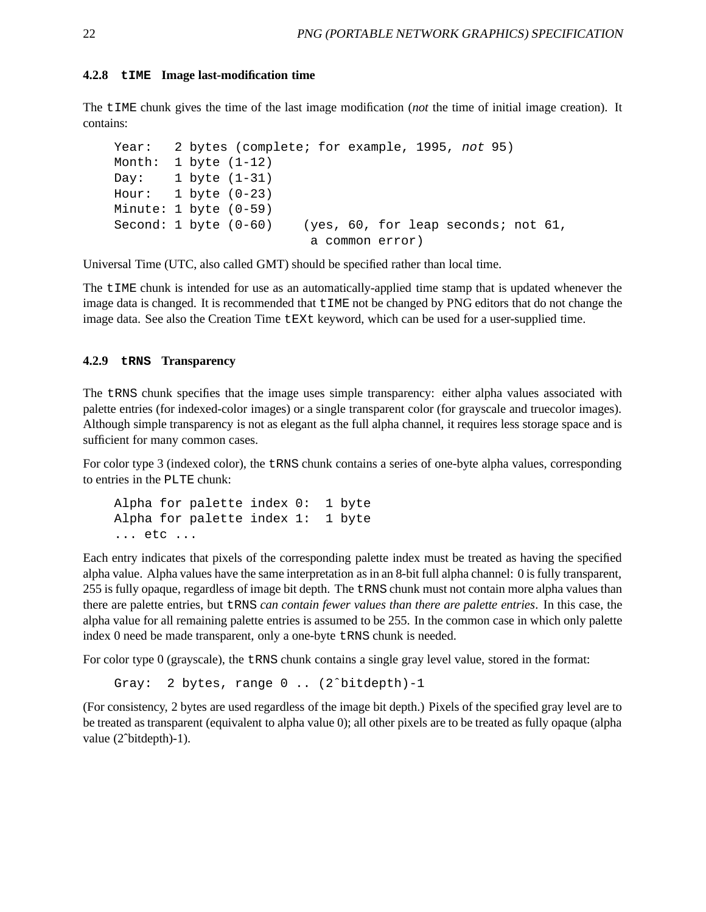#### **4.2.8 tIME Image last-modification time**

The tIME chunk gives the time of the last image modification (*not* the time of initial image creation). It contains:

```
Year: 2 bytes (complete; for example, 1995, not 95)
Month: 1 byte (1-12)
Day: 1 \text{ byte } (1-31)Hour: 1 \text{ byte } (0-23)Minute: 1 byte (0-59)
Second: 1 byte (0-60) (yes, 60, for leap seconds; not 61,
                           a common error)
```
Universal Time (UTC, also called GMT) should be specified rather than local time.

The tIME chunk is intended for use as an automatically-applied time stamp that is updated whenever the image data is changed. It is recommended that tIME not be changed by PNG editors that do not change the image data. See also the Creation Time tEXt keyword, which can be used for a user-supplied time.

#### **4.2.9 tRNS Transparency**

The tRNS chunk specifies that the image uses simple transparency: either alpha values associated with palette entries (for indexed-color images) or a single transparent color (for grayscale and truecolor images). Although simple transparency is not as elegant as the full alpha channel, it requires less storage space and is sufficient for many common cases.

For color type 3 (indexed color), the tRNS chunk contains a series of one-byte alpha values, corresponding to entries in the PLTE chunk:

```
Alpha for palette index 0: 1 byte
Alpha for palette index 1: 1 byte
... etc ...
```
Each entry indicates that pixels of the corresponding palette index must be treated as having the specified alpha value. Alpha values have the same interpretation as in an 8-bit full alpha channel: 0 is fully transparent, 255 is fully opaque, regardless of image bit depth. The tRNS chunk must not contain more alpha values than there are palette entries, but tRNS *can contain fewer values than there are palette entries*. In this case, the alpha value for all remaining palette entries is assumed to be 255. In the common case in which only palette index 0 need be made transparent, only a one-byte tRNS chunk is needed.

For color type 0 (grayscale), the tRNS chunk contains a single gray level value, stored in the format:

Gray: 2 bytes, range 0 .. (2ˆbitdepth)-1

(For consistency, 2 bytes are used regardless of the image bit depth.) Pixels of the specified gray level are to be treated as transparent (equivalent to alpha value 0); all other pixels are to be treated as fully opaque (alpha value (2<sup>o</sup>bitdepth)-1).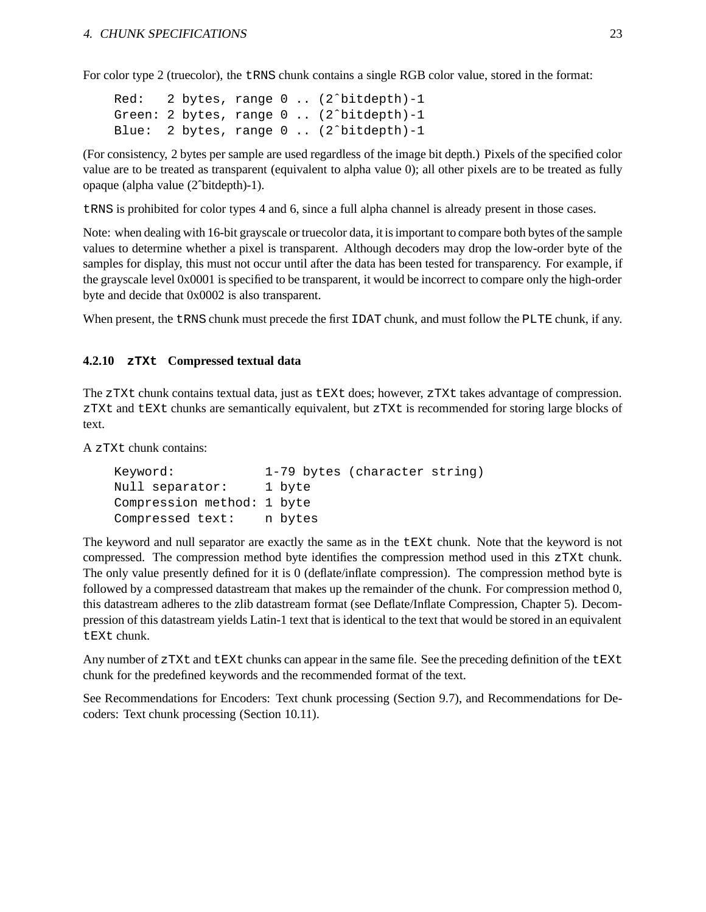For color type 2 (truecolor), the tRNS chunk contains a single RGB color value, stored in the format:

```
Red: 2 bytes, range 0 .. (2ˆbitdepth)-1
Green: 2 bytes, range 0 .. (2^bitdepth)-1
Blue: 2 bytes, range 0 .. (2ˆbitdepth)-1
```
(For consistency, 2 bytes per sample are used regardless of the image bit depth.) Pixels of the specified color value are to be treated as transparent (equivalent to alpha value 0); all other pixels are to be treated as fully opaque (alpha value (2ˆbitdepth)-1).

tRNS is prohibited for color types 4 and 6, since a full alpha channel is already present in those cases.

Note: when dealing with 16-bit grayscale or truecolor data, it is important to compare both bytes of the sample values to determine whether a pixel is transparent. Although decoders may drop the low-order byte of the samples for display, this must not occur until after the data has been tested for transparency. For example, if the grayscale level 0x0001 is specified to be transparent, it would be incorrect to compare only the high-order byte and decide that 0x0002 is also transparent.

When present, the tRNS chunk must precede the first IDAT chunk, and must follow the PLTE chunk, if any.

### **4.2.10 zTXt Compressed textual data**

The zTXt chunk contains textual data, just as tEXt does; however, zTXt takes advantage of compression. zTXt and tEXt chunks are semantically equivalent, but zTXt is recommended for storing large blocks of text.

A zTXt chunk contains:

```
Keyword: 1-79 bytes (character string)
Null separator: 1 byte
Compression method: 1 byte
Compressed text: n bytes
```
The keyword and null separator are exactly the same as in the tEXt chunk. Note that the keyword is not compressed. The compression method byte identifies the compression method used in this zTXt chunk. The only value presently defined for it is 0 (deflate/inflate compression). The compression method byte is followed by a compressed datastream that makes up the remainder of the chunk. For compression method 0, this datastream adheres to the zlib datastream format (see Deflate/Inflate Compression, Chapter 5). Decompression of this datastream yields Latin-1 text that is identical to the text that would be stored in an equivalent tEXt chunk.

Any number of zTXt and tEXt chunks can appear in the same file. See the preceding definition of the tEXt chunk for the predefined keywords and the recommended format of the text.

See Recommendations for Encoders: Text chunk processing (Section 9.7), and Recommendations for Decoders: Text chunk processing (Section 10.11).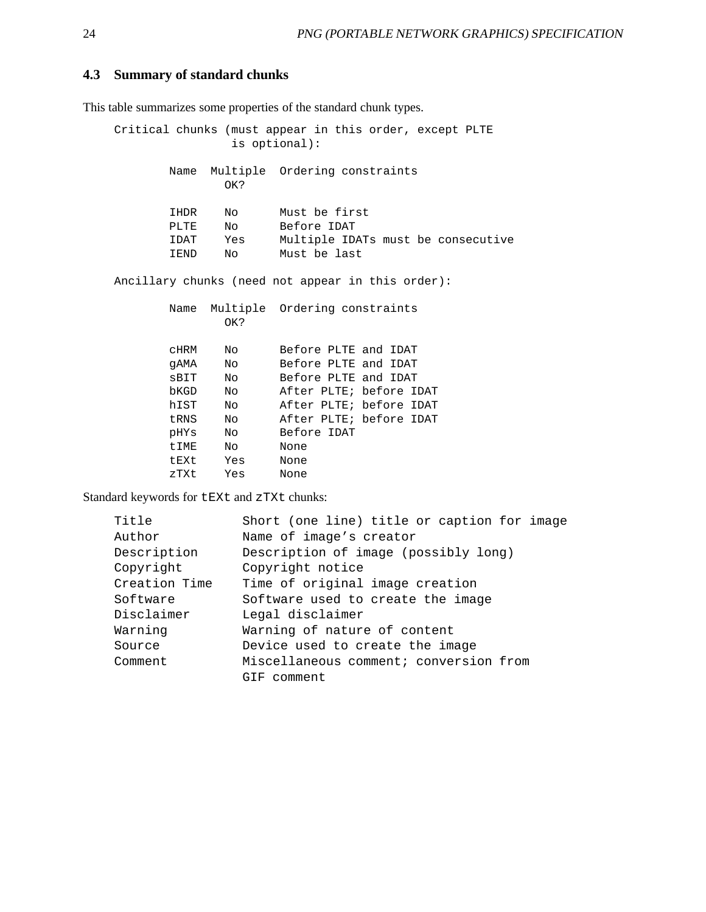#### **4.3 Summary of standard chunks**

This table summarizes some properties of the standard chunk types.

Critical chunks (must appear in this order, except PLTE is optional): Name Multiple Ordering constraints OK? IHDR No Must be first PLTE No Before IDAT IDAT Yes Multiple IDATs must be consecutive IEND No Must be last Ancillary chunks (need not appear in this order): Name Multiple Ordering constraints OK? cHRM No Before PLTE and IDAT gAMA No Before PLTE and IDAT sBIT No Before PLTE and IDAT bKGD No After PLTE; before IDAT hIST No After PLTE; before IDAT tRNS No After PLTE; before IDAT pHYs No Before IDAT tIME No None

Standard keywords for tEXt and zTXt chunks:

tEXt Yes None zTXt Yes None

| Title         | Short (one line) title or caption for image |  |  |  |  |
|---------------|---------------------------------------------|--|--|--|--|
| Author        | Name of image's creator                     |  |  |  |  |
| Description   | Description of image (possibly long)        |  |  |  |  |
| Copyright     | Copyright notice                            |  |  |  |  |
| Creation Time | Time of original image creation             |  |  |  |  |
| Software      | Software used to create the image           |  |  |  |  |
| Disclaimer    | Legal disclaimer                            |  |  |  |  |
| Warning       | Warning of nature of content                |  |  |  |  |
| Source        | Device used to create the image             |  |  |  |  |
| Comment       | Miscellaneous comment; conversion from      |  |  |  |  |
|               | GIF comment                                 |  |  |  |  |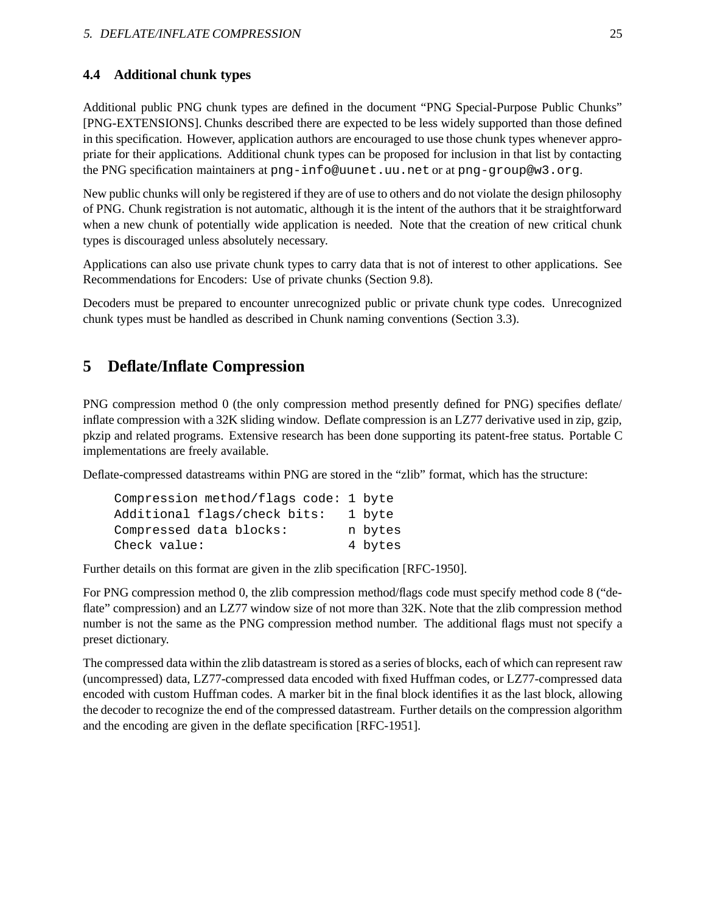### **4.4 Additional chunk types**

Additional public PNG chunk types are defined in the document "PNG Special-Purpose Public Chunks" [PNG-EXTENSIONS]. Chunks described there are expected to be less widely supported than those defined in this specification. However, application authors are encouraged to use those chunk types whenever appropriate for their applications. Additional chunk types can be proposed for inclusion in that list by contacting the PNG specification maintainers at png-info@uunet.uu.net or at png-group@w3.org.

New public chunks will only be registered if they are of use to others and do not violate the design philosophy of PNG. Chunk registration is not automatic, although it is the intent of the authors that it be straightforward when a new chunk of potentially wide application is needed. Note that the creation of new critical chunk types is discouraged unless absolutely necessary.

Applications can also use private chunk types to carry data that is not of interest to other applications. See Recommendations for Encoders: Use of private chunks (Section 9.8).

Decoders must be prepared to encounter unrecognized public or private chunk type codes. Unrecognized chunk types must be handled as described in Chunk naming conventions (Section 3.3).

# **5 Deflate/Inflate Compression**

PNG compression method 0 (the only compression method presently defined for PNG) specifies deflate/ inflate compression with a 32K sliding window. Deflate compression is an LZ77 derivative used in zip, gzip, pkzip and related programs. Extensive research has been done supporting its patent-free status. Portable C implementations are freely available.

Deflate-compressed datastreams within PNG are stored in the "zlib" format, which has the structure:

| Compression method/flags code: 1 byte |         |
|---------------------------------------|---------|
| Additional flags/check bits:          | 1 byte  |
| Compressed data blocks:               | n bytes |
| Check value:                          | 4 bytes |

Further details on this format are given in the zlib specification [RFC-1950].

For PNG compression method 0, the zlib compression method/flags code must specify method code 8 ("deflate" compression) and an LZ77 window size of not more than 32K. Note that the zlib compression method number is not the same as the PNG compression method number. The additional flags must not specify a preset dictionary.

The compressed data within the zlib datastream is stored as a series of blocks, each of which can represent raw (uncompressed) data, LZ77-compressed data encoded with fixed Huffman codes, or LZ77-compressed data encoded with custom Huffman codes. A marker bit in the final block identifies it as the last block, allowing the decoder to recognize the end of the compressed datastream. Further details on the compression algorithm and the encoding are given in the deflate specification [RFC-1951].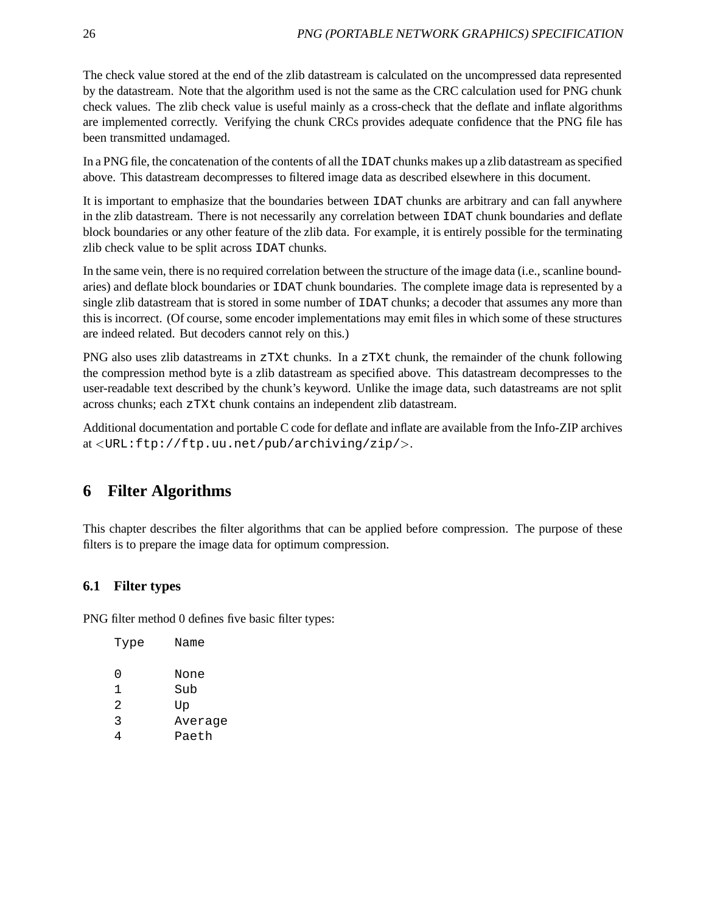The check value stored at the end of the zlib datastream is calculated on the uncompressed data represented by the datastream. Note that the algorithm used is not the same as the CRC calculation used for PNG chunk check values. The zlib check value is useful mainly as a cross-check that the deflate and inflate algorithms are implemented correctly. Verifying the chunk CRCs provides adequate confidence that the PNG file has been transmitted undamaged.

In a PNG file, the concatenation of the contents of all the IDAT chunks makes up a zlib datastream as specified above. This datastream decompresses to filtered image data as described elsewhere in this document.

It is important to emphasize that the boundaries between IDAT chunks are arbitrary and can fall anywhere in the zlib datastream. There is not necessarily any correlation between IDAT chunk boundaries and deflate block boundaries or any other feature of the zlib data. For example, it is entirely possible for the terminating zlib check value to be split across IDAT chunks.

In the same vein, there is no required correlation between the structure of the image data (i.e., scanline boundaries) and deflate block boundaries or IDAT chunk boundaries. The complete image data is represented by a single zlib datastream that is stored in some number of IDAT chunks; a decoder that assumes any more than this is incorrect. (Of course, some encoder implementations may emit files in which some of these structures are indeed related. But decoders cannot rely on this.)

PNG also uses zlib datastreams in zTXt chunks. In a zTXt chunk, the remainder of the chunk following the compression method byte is a zlib datastream as specified above. This datastream decompresses to the user-readable text described by the chunk's keyword. Unlike the image data, such datastreams are not split across chunks; each zTXt chunk contains an independent zlib datastream.

Additional documentation and portable C code for deflate and inflate are available from the Info-ZIP archives at <sup>&</sup>lt;URL:ftp://ftp.uu.net/pub/archiving/zip/>.

# **6 Filter Algorithms**

This chapter describes the filter algorithms that can be applied before compression. The purpose of these filters is to prepare the image data for optimum compression.

# **6.1 Filter types**

PNG filter method 0 defines five basic filter types:

| Type | Name    |
|------|---------|
| 0    | None    |
| 1    | Sub     |
| 2.   | Up      |
| 3    | Average |
|      | Paeth   |
|      |         |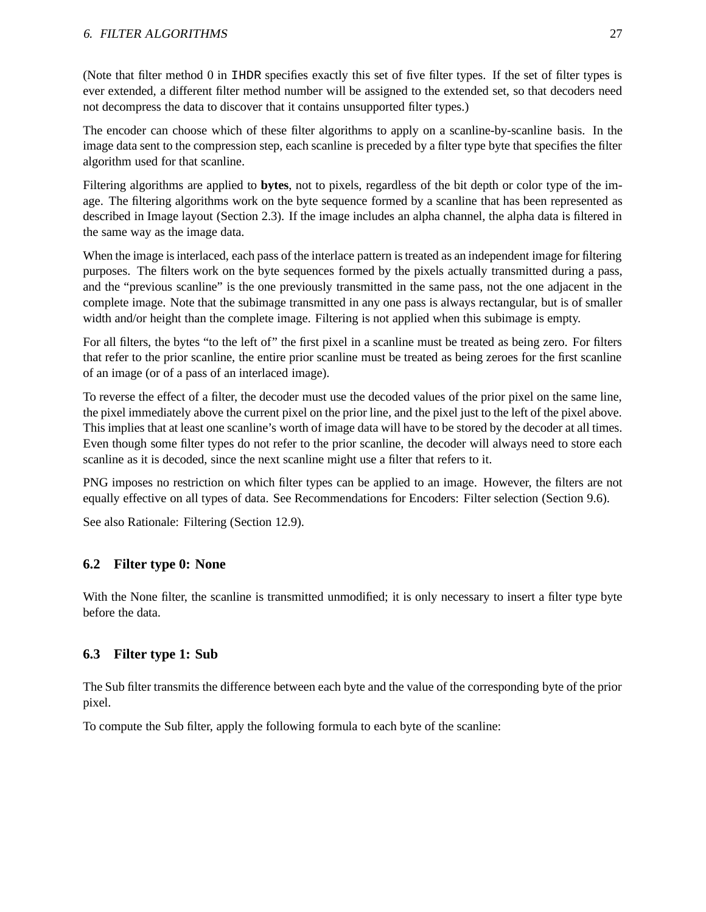(Note that filter method 0 in IHDR specifies exactly this set of five filter types. If the set of filter types is ever extended, a different filter method number will be assigned to the extended set, so that decoders need not decompress the data to discover that it contains unsupported filter types.)

The encoder can choose which of these filter algorithms to apply on a scanline-by-scanline basis. In the image data sent to the compression step, each scanline is preceded by a filter type byte that specifies the filter algorithm used for that scanline.

Filtering algorithms are applied to **bytes**, not to pixels, regardless of the bit depth or color type of the image. The filtering algorithms work on the byte sequence formed by a scanline that has been represented as described in Image layout (Section 2.3). If the image includes an alpha channel, the alpha data is filtered in the same way as the image data.

When the image is interlaced, each pass of the interlace pattern is treated as an independent image for filtering purposes. The filters work on the byte sequences formed by the pixels actually transmitted during a pass, and the "previous scanline" is the one previously transmitted in the same pass, not the one adjacent in the complete image. Note that the subimage transmitted in any one pass is always rectangular, but is of smaller width and/or height than the complete image. Filtering is not applied when this subimage is empty.

For all filters, the bytes "to the left of" the first pixel in a scanline must be treated as being zero. For filters that refer to the prior scanline, the entire prior scanline must be treated as being zeroes for the first scanline of an image (or of a pass of an interlaced image).

To reverse the effect of a filter, the decoder must use the decoded values of the prior pixel on the same line, the pixel immediately above the current pixel on the prior line, and the pixel just to the left of the pixel above. This implies that at least one scanline's worth of image data will have to be stored by the decoder at all times. Even though some filter types do not refer to the prior scanline, the decoder will always need to store each scanline as it is decoded, since the next scanline might use a filter that refers to it.

PNG imposes no restriction on which filter types can be applied to an image. However, the filters are not equally effective on all types of data. See Recommendations for Encoders: Filter selection (Section 9.6).

See also Rationale: Filtering (Section 12.9).

### **6.2 Filter type 0: None**

With the None filter, the scanline is transmitted unmodified; it is only necessary to insert a filter type byte before the data.

### **6.3 Filter type 1: Sub**

The Sub filter transmits the difference between each byte and the value of the corresponding byte of the prior pixel.

To compute the Sub filter, apply the following formula to each byte of the scanline: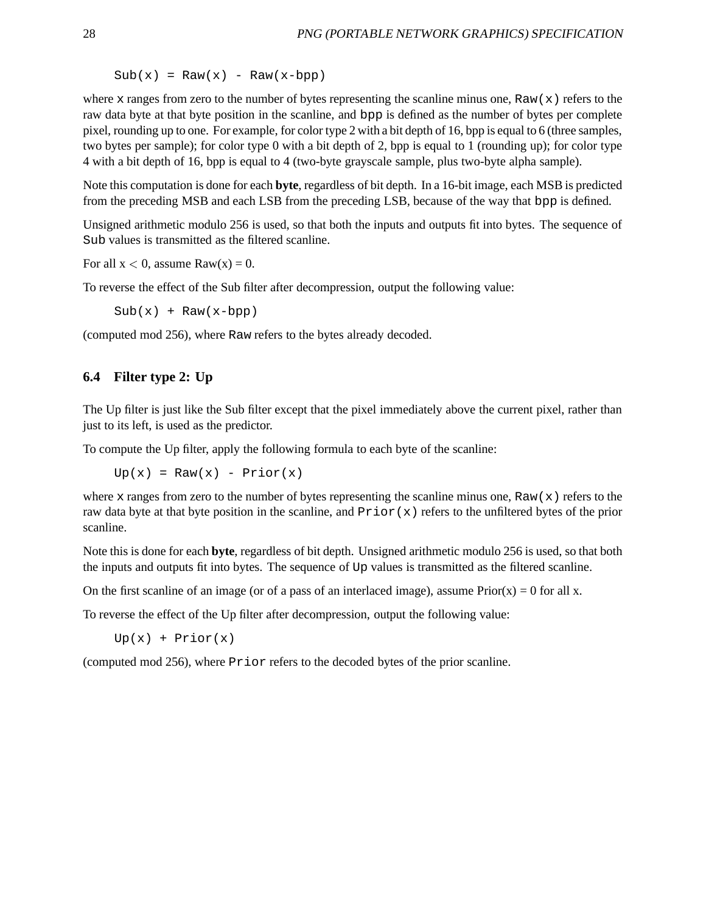$Sub(x) = Raw(x) - Raw(x-bpp)$ 

where x ranges from zero to the number of bytes representing the scanline minus one, Raw(x) refers to the raw data byte at that byte position in the scanline, and bpp is defined as the number of bytes per complete pixel, rounding up to one. For example, for color type 2 with a bit depth of 16, bpp is equal to 6 (three samples, two bytes per sample); for color type 0 with a bit depth of 2, bpp is equal to 1 (rounding up); for color type 4 with a bit depth of 16, bpp is equal to 4 (two-byte grayscale sample, plus two-byte alpha sample).

Note this computation is done for each **byte**, regardless of bit depth. In a 16-bit image, each MSB is predicted from the preceding MSB and each LSB from the preceding LSB, because of the way that bpp is defined.

Unsigned arithmetic modulo 256 is used, so that both the inputs and outputs fit into bytes. The sequence of Sub values is transmitted as the filtered scanline.

For all  $x < 0$ , assume Raw $(x) = 0$ .

To reverse the effect of the Sub filter after decompression, output the following value:

 $Sub(x) + Raw(x-bpp)$ 

(computed mod 256), where Raw refers to the bytes already decoded.

### **6.4 Filter type 2: Up**

The Up filter is just like the Sub filter except that the pixel immediately above the current pixel, rather than just to its left, is used as the predictor.

To compute the Up filter, apply the following formula to each byte of the scanline:

 $Up(x) = Raw(x) - Prior(x)$ 

where x ranges from zero to the number of bytes representing the scanline minus one,  $\text{Raw}(x)$  refers to the raw data byte at that byte position in the scanline, and Prior(x) refers to the unfiltered bytes of the prior scanline.

Note this is done for each **byte**, regardless of bit depth. Unsigned arithmetic modulo 256 is used, so that both the inputs and outputs fit into bytes. The sequence of Up values is transmitted as the filtered scanline.

On the first scanline of an image (or of a pass of an interlaced image), assume  $Prior(x) = 0$  for all x.

To reverse the effect of the Up filter after decompression, output the following value:

 $Up(x) + Prior(x)$ 

(computed mod 256), where Prior refers to the decoded bytes of the prior scanline.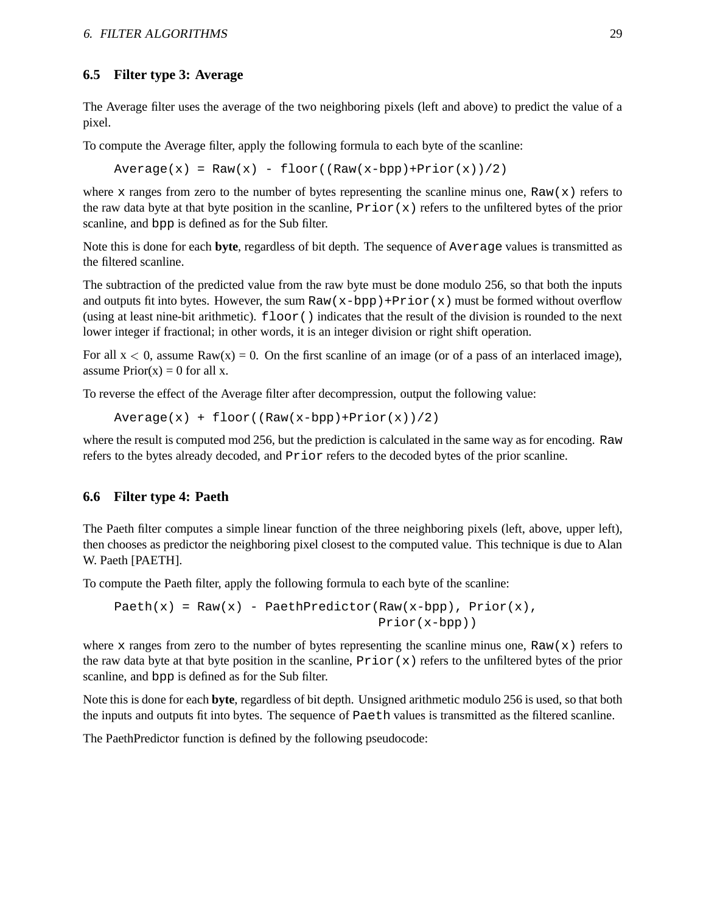### **6.5 Filter type 3: Average**

The Average filter uses the average of the two neighboring pixels (left and above) to predict the value of a pixel.

To compute the Average filter, apply the following formula to each byte of the scanline:

 $Average(x) = Raw(x) - floor((Raw(x-bpp)+Prior(x))/2)$ 

where x ranges from zero to the number of bytes representing the scanline minus one, Raw(x) refers to the raw data byte at that byte position in the scanline,  $\text{Prior}(x)$  refers to the unfiltered bytes of the prior scanline, and bpp is defined as for the Sub filter.

Note this is done for each **byte**, regardless of bit depth. The sequence of Average values is transmitted as the filtered scanline.

The subtraction of the predicted value from the raw byte must be done modulo 256, so that both the inputs and outputs fit into bytes. However, the sum Raw(x-bpp)+Prior(x) must be formed without overflow (using at least nine-bit arithmetic). floor() indicates that the result of the division is rounded to the next lower integer if fractional; in other words, it is an integer division or right shift operation.

For all  $x < 0$ , assume Raw(x) = 0. On the first scanline of an image (or of a pass of an interlaced image), assume  $Prior(x) = 0$  for all x.

To reverse the effect of the Average filter after decompression, output the following value:

 $Average(x) + floor((Raw(x-bpp)+Prior(x))/2)$ 

where the result is computed mod 256, but the prediction is calculated in the same way as for encoding. Raw refers to the bytes already decoded, and Prior refers to the decoded bytes of the prior scanline.

#### **6.6 Filter type 4: Paeth**

The Paeth filter computes a simple linear function of the three neighboring pixels (left, above, upper left), then chooses as predictor the neighboring pixel closest to the computed value. This technique is due to Alan W. Paeth [PAETH].

To compute the Paeth filter, apply the following formula to each byte of the scanline:

```
Paeth(x) = Raw(x) - PaethPredictor(Raw(x-bpp), Prior(x),
                                   Prior(x-bpp))
```
where x ranges from zero to the number of bytes representing the scanline minus one,  $\text{Raw}(x)$  refers to the raw data byte at that byte position in the scanline,  $Prior(x)$  refers to the unfiltered bytes of the prior scanline, and bpp is defined as for the Sub filter.

Note this is done for each **byte**, regardless of bit depth. Unsigned arithmetic modulo 256 is used, so that both the inputs and outputs fit into bytes. The sequence of Paeth values is transmitted as the filtered scanline.

The PaethPredictor function is defined by the following pseudocode: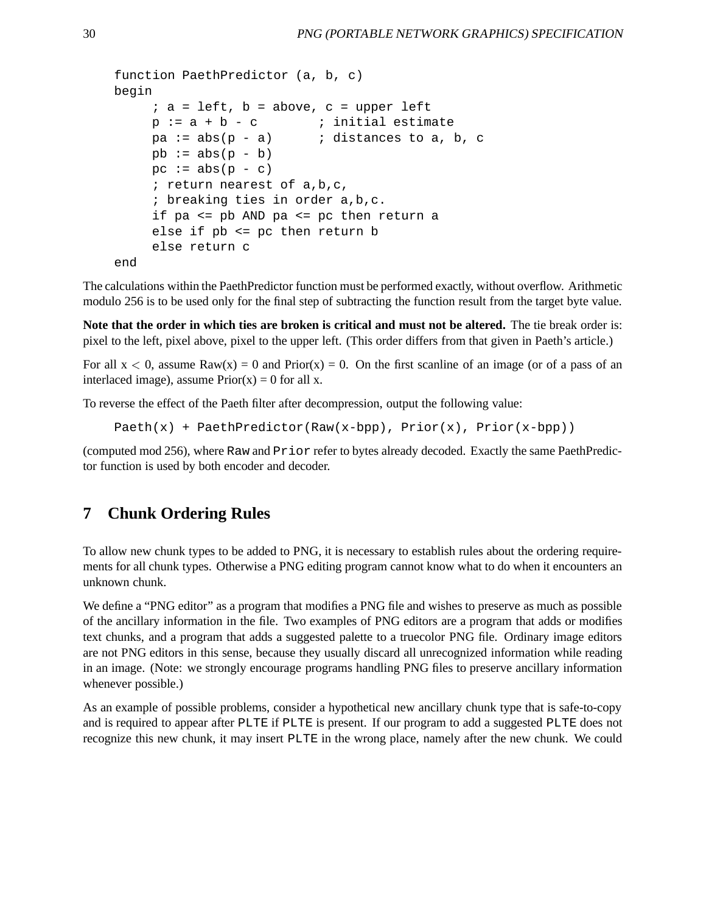```
function PaethPredictor (a, b, c)
begin
     ; a = left, b = above, c = upper leftp := a + b - c ; initial estimate
    pa := abs(p - a) ; distances to a, b, c
    pb := abs(p - b)pc := abs(p - c); return nearest of a,b,c,
     ; breaking ties in order a,b,c.
     if pa <= pb AND pa <= pc then return a
     else if pb <= pc then return b
     else return c
end
```
The calculations within the PaethPredictor function must be performed exactly, without overflow. Arithmetic modulo 256 is to be used only for the final step of subtracting the function result from the target byte value.

**Note that the order in which ties are broken is critical and must not be altered.** The tie break order is: pixel to the left, pixel above, pixel to the upper left. (This order differs from that given in Paeth's article.)

For all  $x < 0$ , assume Raw(x) = 0 and Prior(x) = 0. On the first scanline of an image (or of a pass of an interlaced image), assume  $Prior(x) = 0$  for all x.

To reverse the effect of the Paeth filter after decompression, output the following value:

```
Paeth(x) + PaethPredictor(Raw(x-bpp), Prior(x), Prior(x-bpp))
```
(computed mod 256), where Raw and Prior refer to bytes already decoded. Exactly the same PaethPredictor function is used by both encoder and decoder.

# **7 Chunk Ordering Rules**

To allow new chunk types to be added to PNG, it is necessary to establish rules about the ordering requirements for all chunk types. Otherwise a PNG editing program cannot know what to do when it encounters an unknown chunk.

We define a "PNG editor" as a program that modifies a PNG file and wishes to preserve as much as possible of the ancillary information in the file. Two examples of PNG editors are a program that adds or modifies text chunks, and a program that adds a suggested palette to a truecolor PNG file. Ordinary image editors are not PNG editors in this sense, because they usually discard all unrecognized information while reading in an image. (Note: we strongly encourage programs handling PNG files to preserve ancillary information whenever possible.)

As an example of possible problems, consider a hypothetical new ancillary chunk type that is safe-to-copy and is required to appear after PLTE if PLTE is present. If our program to add a suggested PLTE does not recognize this new chunk, it may insert PLTE in the wrong place, namely after the new chunk. We could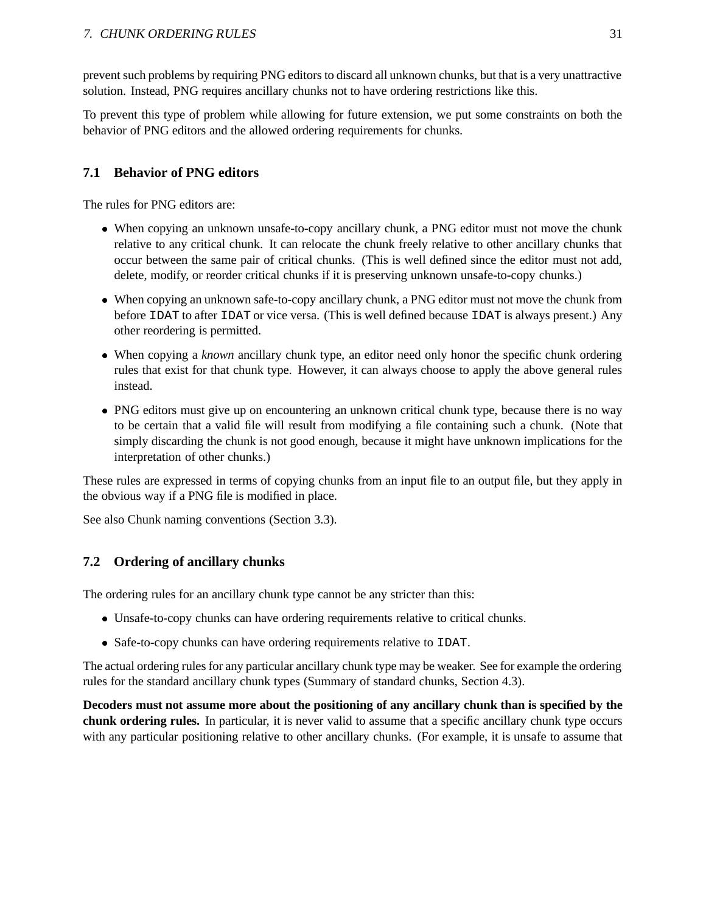prevent such problems by requiring PNG editors to discard all unknown chunks, but that is a very unattractive solution. Instead, PNG requires ancillary chunks not to have ordering restrictions like this.

To prevent this type of problem while allowing for future extension, we put some constraints on both the behavior of PNG editors and the allowed ordering requirements for chunks.

## **7.1 Behavior of PNG editors**

The rules for PNG editors are:

- When copying an unknown unsafe-to-copy ancillary chunk, a PNG editor must not move the chunk relative to any critical chunk. It can relocate the chunk freely relative to other ancillary chunks that occur between the same pair of critical chunks. (This is well defined since the editor must not add, delete, modify, or reorder critical chunks if it is preserving unknown unsafe-to-copy chunks.)
- When copying an unknown safe-to-copy ancillary chunk, a PNG editor must not move the chunk from before IDAT to after IDAT or vice versa. (This is well defined because IDAT is always present.) Any other reordering is permitted.
- When copying a *known* ancillary chunk type, an editor need only honor the specific chunk ordering rules that exist for that chunk type. However, it can always choose to apply the above general rules instead.
- PNG editors must give up on encountering an unknown critical chunk type, because there is no way to be certain that a valid file will result from modifying a file containing such a chunk. (Note that simply discarding the chunk is not good enough, because it might have unknown implications for the interpretation of other chunks.)

These rules are expressed in terms of copying chunks from an input file to an output file, but they apply in the obvious way if a PNG file is modified in place.

See also Chunk naming conventions (Section 3.3).

### **7.2 Ordering of ancillary chunks**

The ordering rules for an ancillary chunk type cannot be any stricter than this:

- Unsafe-to-copy chunks can have ordering requirements relative to critical chunks.
- Safe-to-copy chunks can have ordering requirements relative to IDAT.

The actual ordering rules for any particular ancillary chunk type may be weaker. See for example the ordering rules for the standard ancillary chunk types (Summary of standard chunks, Section 4.3).

**Decoders must not assume more about the positioning of any ancillary chunk than is specified by the chunk ordering rules.** In particular, it is never valid to assume that a specific ancillary chunk type occurs with any particular positioning relative to other ancillary chunks. (For example, it is unsafe to assume that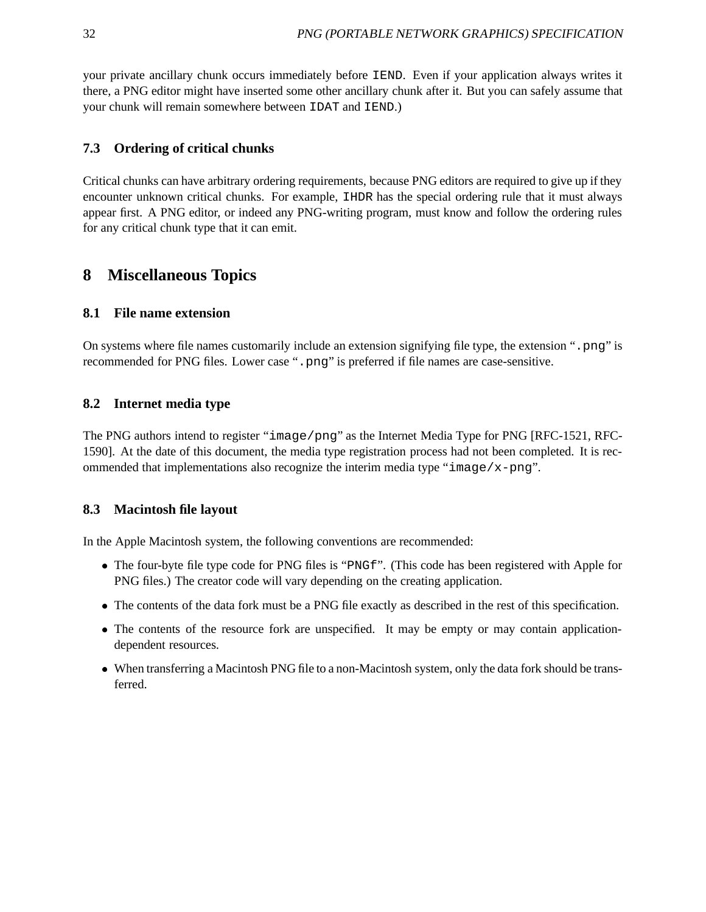your private ancillary chunk occurs immediately before IEND. Even if your application always writes it there, a PNG editor might have inserted some other ancillary chunk after it. But you can safely assume that your chunk will remain somewhere between IDAT and IEND.)

## **7.3 Ordering of critical chunks**

Critical chunks can have arbitrary ordering requirements, because PNG editors are required to give up if they encounter unknown critical chunks. For example, IHDR has the special ordering rule that it must always appear first. A PNG editor, or indeed any PNG-writing program, must know and follow the ordering rules for any critical chunk type that it can emit.

# **8 Miscellaneous Topics**

## **8.1 File name extension**

On systems where file names customarily include an extension signifying file type, the extension ".png" is recommended for PNG files. Lower case ".png" is preferred if file names are case-sensitive.

## **8.2 Internet media type**

The PNG authors intend to register "image/png" as the Internet Media Type for PNG [RFC-1521, RFC-1590]. At the date of this document, the media type registration process had not been completed. It is recommended that implementations also recognize the interim media type "image/x-png".

### **8.3 Macintosh file layout**

In the Apple Macintosh system, the following conventions are recommended:

- The four-byte file type code for PNG files is "PNGf". (This code has been registered with Apple for PNG files.) The creator code will vary depending on the creating application.
- The contents of the data fork must be a PNG file exactly as described in the rest of this specification.
- The contents of the resource fork are unspecified. It may be empty or may contain applicationdependent resources.
- When transferring a Macintosh PNG file to a non-Macintosh system, only the data fork should be transferred.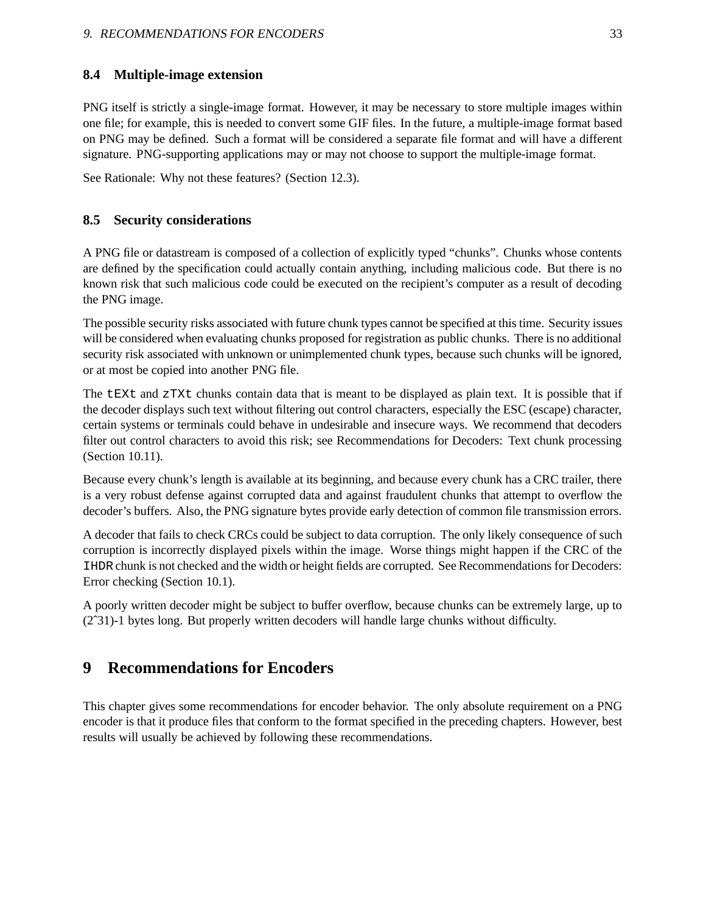### **8.4 Multiple-image extension**

PNG itself is strictly a single-image format. However, it may be necessary to store multiple images within one file; for example, this is needed to convert some GIF files. In the future, a multiple-image format based on PNG may be defined. Such a format will be considered a separate file format and will have a different signature. PNG-supporting applications may or may not choose to support the multiple-image format.

See Rationale: Why not these features? (Section 12.3).

### **8.5 Security considerations**

A PNG file or datastream is composed of a collection of explicitly typed "chunks". Chunks whose contents are defined by the specification could actually contain anything, including malicious code. But there is no known risk that such malicious code could be executed on the recipient's computer as a result of decoding the PNG image.

The possible security risks associated with future chunk types cannot be specified at this time. Security issues will be considered when evaluating chunks proposed for registration as public chunks. There is no additional security risk associated with unknown or unimplemented chunk types, because such chunks will be ignored, or at most be copied into another PNG file.

The tEXt and zTXt chunks contain data that is meant to be displayed as plain text. It is possible that if the decoder displays such text without filtering out control characters, especially the ESC (escape) character, certain systems or terminals could behave in undesirable and insecure ways. We recommend that decoders filter out control characters to avoid this risk; see Recommendations for Decoders: Text chunk processing (Section 10.11).

Because every chunk's length is available at its beginning, and because every chunk has a CRC trailer, there is a very robust defense against corrupted data and against fraudulent chunks that attempt to overflow the decoder's buffers. Also, the PNG signature bytes provide early detection of common file transmission errors.

A decoder that fails to check CRCs could be subject to data corruption. The only likely consequence of such corruption is incorrectly displayed pixels within the image. Worse things might happen if the CRC of the IHDR chunk is not checked and the width or height fields are corrupted. See Recommendations for Decoders: Error checking (Section 10.1).

A poorly written decoder might be subject to buffer overflow, because chunks can be extremely large, up to (2ˆ31)-1 bytes long. But properly written decoders will handle large chunks without difficulty.

# **9 Recommendations for Encoders**

This chapter gives some recommendations for encoder behavior. The only absolute requirement on a PNG encoder is that it produce files that conform to the format specified in the preceding chapters. However, best results will usually be achieved by following these recommendations.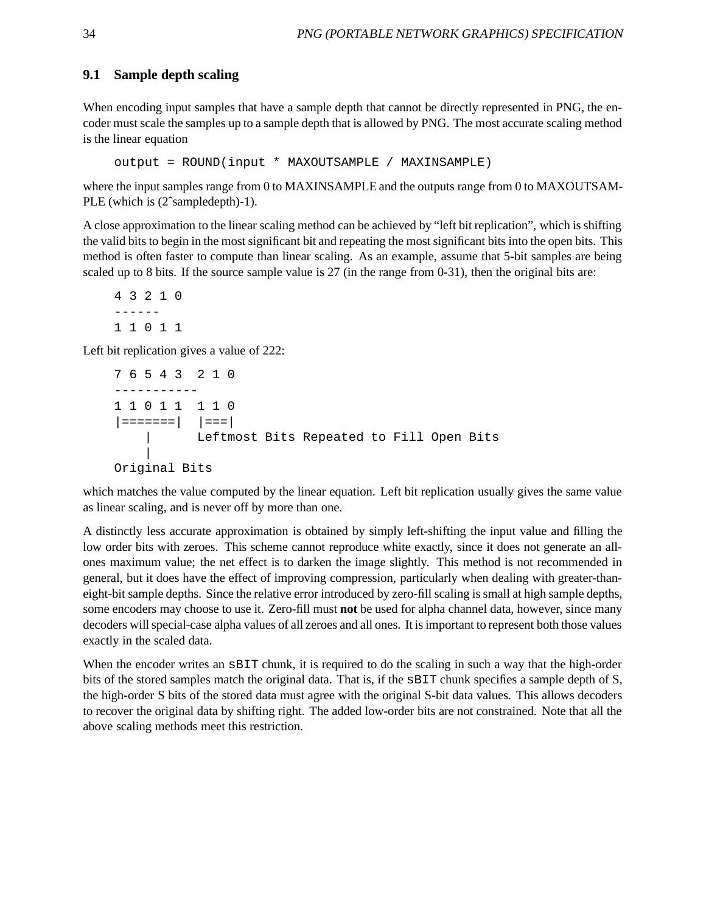### **9.1 Sample depth scaling**

When encoding input samples that have a sample depth that cannot be directly represented in PNG, the encoder must scale the samples up to a sample depth that is allowed by PNG. The most accurate scaling method is the linear equation

```
output = ROUND(input * MAXOUTSAMPLE / MAXINSAMPLE)
```
where the input samples range from 0 to MAXINSAMPLE and the outputs range from 0 to MAXOUTSAM-PLE (which is (2ˆsampledepth)-1).

A close approximation to the linear scaling method can be achieved by "left bit replication", which is shifting the valid bits to begin in the most significant bit and repeating the most significant bits into the open bits. This method is often faster to compute than linear scaling. As an example, assume that 5-bit samples are being scaled up to 8 bits. If the source sample value is 27 (in the range from 0-31), then the original bits are:

43210 ------ 11011

Left bit replication gives a value of 222:

```
76543 210
-----------
11011 110
|=======| |===|
         Leftmost Bits Repeated to Fill Open Bits
   |
Original Bits
```
which matches the value computed by the linear equation. Left bit replication usually gives the same value as linear scaling, and is never off by more than one.

A distinctly less accurate approximation is obtained by simply left-shifting the input value and filling the low order bits with zeroes. This scheme cannot reproduce white exactly, since it does not generate an allones maximum value; the net effect is to darken the image slightly. This method is not recommended in general, but it does have the effect of improving compression, particularly when dealing with greater-thaneight-bit sample depths. Since the relative error introduced by zero-fill scaling is small at high sample depths, some encoders may choose to use it. Zero-fill must **not** be used for alpha channel data, however, since many decoders will special-case alpha values of all zeroes and all ones. It is important to represent both those values exactly in the scaled data.

When the encoder writes an  $SBIT$  chunk, it is required to do the scaling in such a way that the high-order bits of the stored samples match the original data. That is, if the sBIT chunk specifies a sample depth of S, the high-order S bits of the stored data must agree with the original S-bit data values. This allows decoders to recover the original data by shifting right. The added low-order bits are not constrained. Note that all the above scaling methods meet this restriction.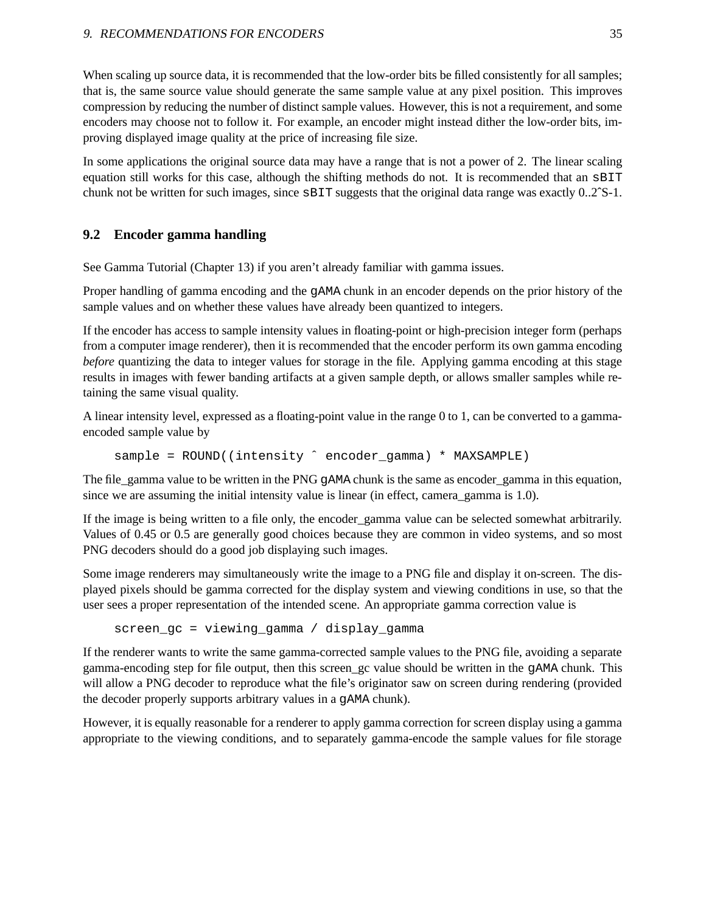When scaling up source data, it is recommended that the low-order bits be filled consistently for all samples; that is, the same source value should generate the same sample value at any pixel position. This improves compression by reducing the number of distinct sample values. However, this is not a requirement, and some encoders may choose not to follow it. For example, an encoder might instead dither the low-order bits, improving displayed image quality at the price of increasing file size.

In some applications the original source data may have a range that is not a power of 2. The linear scaling equation still works for this case, although the shifting methods do not. It is recommended that an sBIT chunk not be written for such images, since sBIT suggests that the original data range was exactly 0..2ˆS-1.

## **9.2 Encoder gamma handling**

See Gamma Tutorial (Chapter 13) if you aren't already familiar with gamma issues.

Proper handling of gamma encoding and the gAMA chunk in an encoder depends on the prior history of the sample values and on whether these values have already been quantized to integers.

If the encoder has access to sample intensity values in floating-point or high-precision integer form (perhaps from a computer image renderer), then it is recommended that the encoder perform its own gamma encoding *before* quantizing the data to integer values for storage in the file. Applying gamma encoding at this stage results in images with fewer banding artifacts at a given sample depth, or allows smaller samples while retaining the same visual quality.

A linear intensity level, expressed as a floating-point value in the range 0 to 1, can be converted to a gammaencoded sample value by

sample = ROUND((intensity ^ encoder\_gamma) \* MAXSAMPLE)

The file\_gamma value to be written in the PNG gAMA chunk is the same as encoder\_gamma in this equation, since we are assuming the initial intensity value is linear (in effect, camera\_gamma is 1.0).

If the image is being written to a file only, the encoder\_gamma value can be selected somewhat arbitrarily. Values of 0.45 or 0.5 are generally good choices because they are common in video systems, and so most PNG decoders should do a good job displaying such images.

Some image renderers may simultaneously write the image to a PNG file and display it on-screen. The displayed pixels should be gamma corrected for the display system and viewing conditions in use, so that the user sees a proper representation of the intended scene. An appropriate gamma correction value is

```
screen_gc = viewing_gamma / display_gamma
```
If the renderer wants to write the same gamma-corrected sample values to the PNG file, avoiding a separate gamma-encoding step for file output, then this screen\_gc value should be written in the gAMA chunk. This will allow a PNG decoder to reproduce what the file's originator saw on screen during rendering (provided the decoder properly supports arbitrary values in a gAMA chunk).

However, it is equally reasonable for a renderer to apply gamma correction for screen display using a gamma appropriate to the viewing conditions, and to separately gamma-encode the sample values for file storage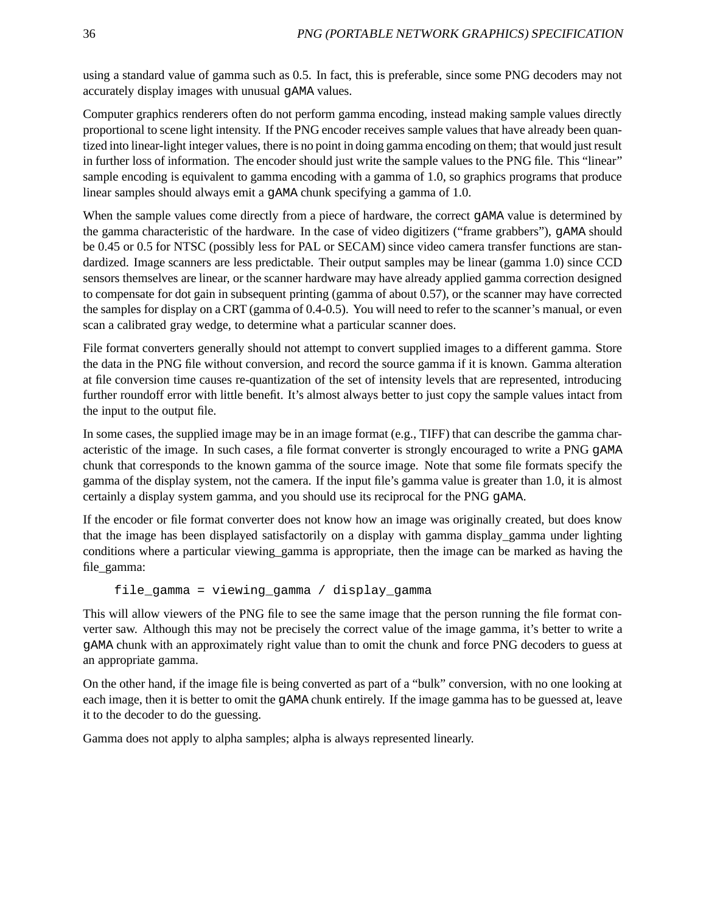using a standard value of gamma such as 0.5. In fact, this is preferable, since some PNG decoders may not accurately display images with unusual gAMA values.

Computer graphics renderers often do not perform gamma encoding, instead making sample values directly proportional to scene light intensity. If the PNG encoder receives sample values that have already been quantized into linear-light integer values, there is no point in doing gamma encoding on them; that would just result in further loss of information. The encoder should just write the sample values to the PNG file. This "linear" sample encoding is equivalent to gamma encoding with a gamma of 1.0, so graphics programs that produce linear samples should always emit a gAMA chunk specifying a gamma of 1.0.

When the sample values come directly from a piece of hardware, the correct gAMA value is determined by the gamma characteristic of the hardware. In the case of video digitizers ("frame grabbers"), gAMA should be 0.45 or 0.5 for NTSC (possibly less for PAL or SECAM) since video camera transfer functions are standardized. Image scanners are less predictable. Their output samples may be linear (gamma 1.0) since CCD sensors themselves are linear, or the scanner hardware may have already applied gamma correction designed to compensate for dot gain in subsequent printing (gamma of about 0.57), or the scanner may have corrected the samples for display on a CRT (gamma of 0.4-0.5). You will need to refer to the scanner's manual, or even scan a calibrated gray wedge, to determine what a particular scanner does.

File format converters generally should not attempt to convert supplied images to a different gamma. Store the data in the PNG file without conversion, and record the source gamma if it is known. Gamma alteration at file conversion time causes re-quantization of the set of intensity levels that are represented, introducing further roundoff error with little benefit. It's almost always better to just copy the sample values intact from the input to the output file.

In some cases, the supplied image may be in an image format (e.g., TIFF) that can describe the gamma characteristic of the image. In such cases, a file format converter is strongly encouraged to write a PNG gAMA chunk that corresponds to the known gamma of the source image. Note that some file formats specify the gamma of the display system, not the camera. If the input file's gamma value is greater than 1.0, it is almost certainly a display system gamma, and you should use its reciprocal for the PNG gAMA.

If the encoder or file format converter does not know how an image was originally created, but does know that the image has been displayed satisfactorily on a display with gamma display\_gamma under lighting conditions where a particular viewing\_gamma is appropriate, then the image can be marked as having the file\_gamma:

```
file gamma = viewing gamma / display gamma
```
This will allow viewers of the PNG file to see the same image that the person running the file format converter saw. Although this may not be precisely the correct value of the image gamma, it's better to write a gAMA chunk with an approximately right value than to omit the chunk and force PNG decoders to guess at an appropriate gamma.

On the other hand, if the image file is being converted as part of a "bulk" conversion, with no one looking at each image, then it is better to omit the gAMA chunk entirely. If the image gamma has to be guessed at, leave it to the decoder to do the guessing.

Gamma does not apply to alpha samples; alpha is always represented linearly.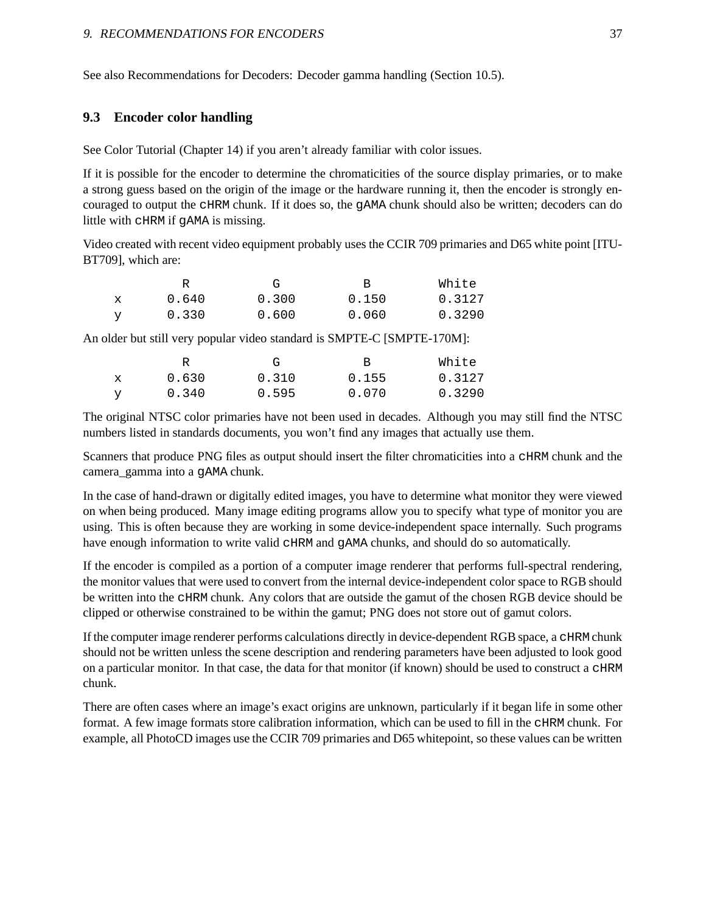See also Recommendations for Decoders: Decoder gamma handling (Section 10.5).

#### **9.3 Encoder color handling**

See Color Tutorial (Chapter 14) if you aren't already familiar with color issues.

If it is possible for the encoder to determine the chromaticities of the source display primaries, or to make a strong guess based on the origin of the image or the hardware running it, then the encoder is strongly encouraged to output the cHRM chunk. If it does so, the gAMA chunk should also be written; decoders can do little with cHRM if gAMA is missing.

Video created with recent video equipment probably uses the CCIR 709 primaries and D65 white point [ITU-BT709], which are:

|             |       | $G_{\tau}$ | R     | White  |
|-------------|-------|------------|-------|--------|
| $\mathbf x$ | 0.640 | 0.300      | 0.150 | 0.3127 |
|             | 0.330 | 0.600      | 0.060 | 0.3290 |

An older but still very popular video standard is SMPTE-C [SMPTE-170M]:

|   |       | G     | R.    | White  |
|---|-------|-------|-------|--------|
| X | 0.630 | 0.310 | 0.155 | 0.3127 |
| v | 0.340 | 0.595 | 0.070 | 0.3290 |

The original NTSC color primaries have not been used in decades. Although you may still find the NTSC numbers listed in standards documents, you won't find any images that actually use them.

Scanners that produce PNG files as output should insert the filter chromaticities into a cHRM chunk and the camera\_gamma into a gAMA chunk.

In the case of hand-drawn or digitally edited images, you have to determine what monitor they were viewed on when being produced. Many image editing programs allow you to specify what type of monitor you are using. This is often because they are working in some device-independent space internally. Such programs have enough information to write valid cHRM and gAMA chunks, and should do so automatically.

If the encoder is compiled as a portion of a computer image renderer that performs full-spectral rendering, the monitor values that were used to convert from the internal device-independent color space to RGB should be written into the cHRM chunk. Any colors that are outside the gamut of the chosen RGB device should be clipped or otherwise constrained to be within the gamut; PNG does not store out of gamut colors.

If the computer image renderer performs calculations directly in device-dependent RGB space, a cHRM chunk should not be written unless the scene description and rendering parameters have been adjusted to look good on a particular monitor. In that case, the data for that monitor (if known) should be used to construct a cHRM chunk.

There are often cases where an image's exact origins are unknown, particularly if it began life in some other format. A few image formats store calibration information, which can be used to fill in the cHRM chunk. For example, all PhotoCD images use the CCIR 709 primaries and D65 whitepoint, so these values can be written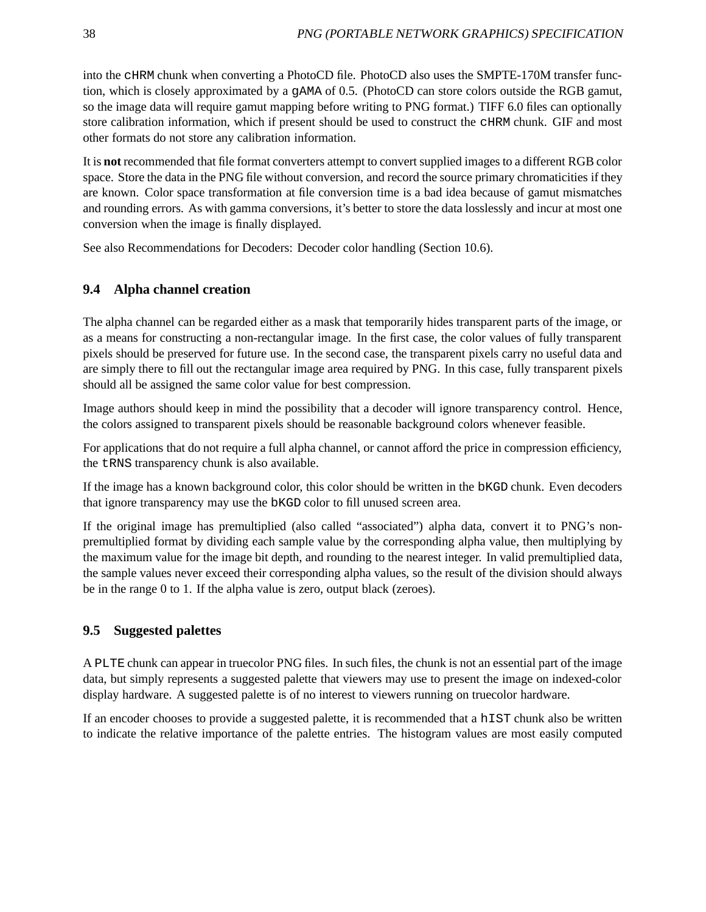into the cHRM chunk when converting a PhotoCD file. PhotoCD also uses the SMPTE-170M transfer function, which is closely approximated by a gAMA of 0.5. (PhotoCD can store colors outside the RGB gamut, so the image data will require gamut mapping before writing to PNG format.) TIFF 6.0 files can optionally store calibration information, which if present should be used to construct the cHRM chunk. GIF and most other formats do not store any calibration information.

It is **not** recommended that file format converters attempt to convert supplied images to a different RGB color space. Store the data in the PNG file without conversion, and record the source primary chromaticities if they are known. Color space transformation at file conversion time is a bad idea because of gamut mismatches and rounding errors. As with gamma conversions, it's better to store the data losslessly and incur at most one conversion when the image is finally displayed.

See also Recommendations for Decoders: Decoder color handling (Section 10.6).

### **9.4 Alpha channel creation**

The alpha channel can be regarded either as a mask that temporarily hides transparent parts of the image, or as a means for constructing a non-rectangular image. In the first case, the color values of fully transparent pixels should be preserved for future use. In the second case, the transparent pixels carry no useful data and are simply there to fill out the rectangular image area required by PNG. In this case, fully transparent pixels should all be assigned the same color value for best compression.

Image authors should keep in mind the possibility that a decoder will ignore transparency control. Hence, the colors assigned to transparent pixels should be reasonable background colors whenever feasible.

For applications that do not require a full alpha channel, or cannot afford the price in compression efficiency, the tRNS transparency chunk is also available.

If the image has a known background color, this color should be written in the bKGD chunk. Even decoders that ignore transparency may use the bKGD color to fill unused screen area.

If the original image has premultiplied (also called "associated") alpha data, convert it to PNG's nonpremultiplied format by dividing each sample value by the corresponding alpha value, then multiplying by the maximum value for the image bit depth, and rounding to the nearest integer. In valid premultiplied data, the sample values never exceed their corresponding alpha values, so the result of the division should always be in the range 0 to 1. If the alpha value is zero, output black (zeroes).

### **9.5 Suggested palettes**

A PLTE chunk can appear in truecolor PNG files. In such files, the chunk is not an essential part of the image data, but simply represents a suggested palette that viewers may use to present the image on indexed-color display hardware. A suggested palette is of no interest to viewers running on truecolor hardware.

If an encoder chooses to provide a suggested palette, it is recommended that a hIST chunk also be written to indicate the relative importance of the palette entries. The histogram values are most easily computed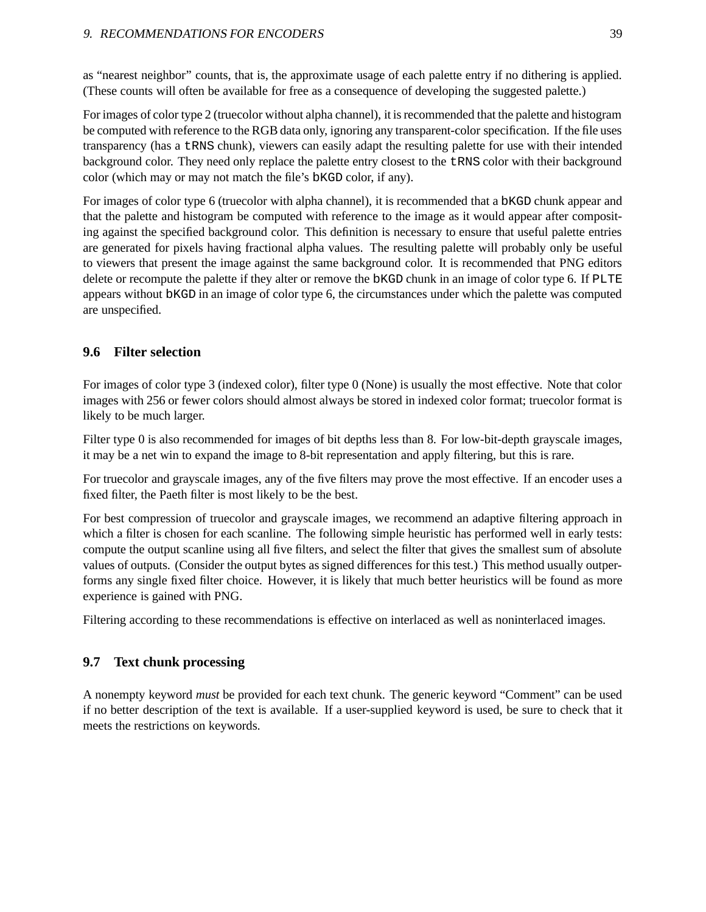as "nearest neighbor" counts, that is, the approximate usage of each palette entry if no dithering is applied. (These counts will often be available for free as a consequence of developing the suggested palette.)

For images of color type 2 (truecolor without alpha channel), it is recommended that the palette and histogram be computed with reference to the RGB data only, ignoring any transparent-color specification. If the file uses transparency (has a tRNS chunk), viewers can easily adapt the resulting palette for use with their intended background color. They need only replace the palette entry closest to the tRNS color with their background color (which may or may not match the file's bKGD color, if any).

For images of color type 6 (truecolor with alpha channel), it is recommended that a bKGD chunk appear and that the palette and histogram be computed with reference to the image as it would appear after compositing against the specified background color. This definition is necessary to ensure that useful palette entries are generated for pixels having fractional alpha values. The resulting palette will probably only be useful to viewers that present the image against the same background color. It is recommended that PNG editors delete or recompute the palette if they alter or remove the bKGD chunk in an image of color type 6. If PLTE appears without bKGD in an image of color type 6, the circumstances under which the palette was computed are unspecified.

## **9.6 Filter selection**

For images of color type 3 (indexed color), filter type 0 (None) is usually the most effective. Note that color images with 256 or fewer colors should almost always be stored in indexed color format; truecolor format is likely to be much larger.

Filter type 0 is also recommended for images of bit depths less than 8. For low-bit-depth grayscale images, it may be a net win to expand the image to 8-bit representation and apply filtering, but this is rare.

For truecolor and grayscale images, any of the five filters may prove the most effective. If an encoder uses a fixed filter, the Paeth filter is most likely to be the best.

For best compression of truecolor and grayscale images, we recommend an adaptive filtering approach in which a filter is chosen for each scanline. The following simple heuristic has performed well in early tests: compute the output scanline using all five filters, and select the filter that gives the smallest sum of absolute values of outputs. (Consider the output bytes as signed differences for this test.) This method usually outperforms any single fixed filter choice. However, it is likely that much better heuristics will be found as more experience is gained with PNG.

Filtering according to these recommendations is effective on interlaced as well as noninterlaced images.

## **9.7 Text chunk processing**

A nonempty keyword *must* be provided for each text chunk. The generic keyword "Comment" can be used if no better description of the text is available. If a user-supplied keyword is used, be sure to check that it meets the restrictions on keywords.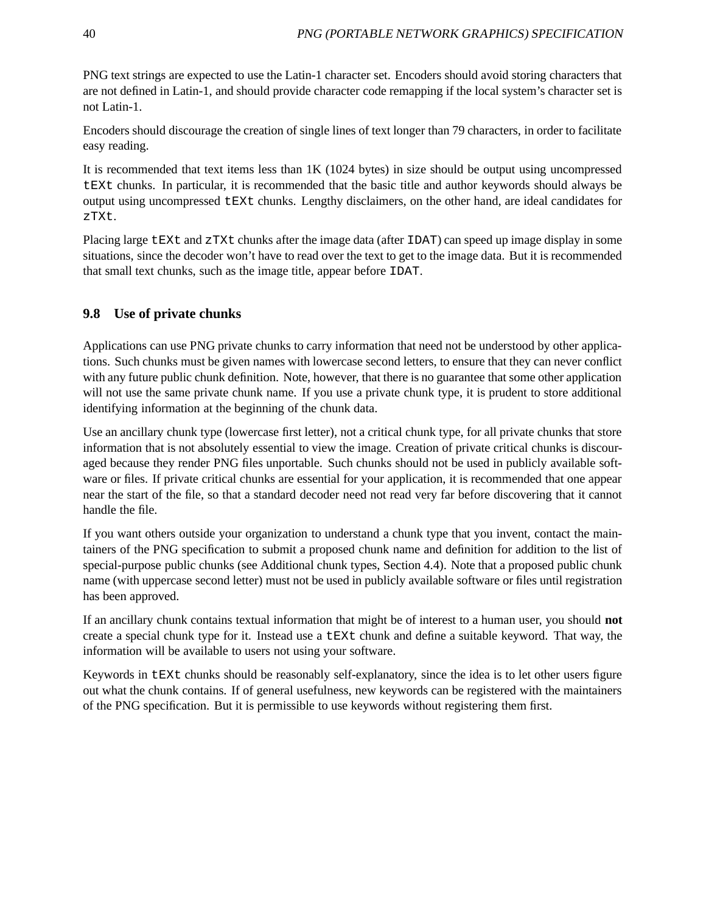PNG text strings are expected to use the Latin-1 character set. Encoders should avoid storing characters that are not defined in Latin-1, and should provide character code remapping if the local system's character set is not Latin-1.

Encoders should discourage the creation of single lines of text longer than 79 characters, in order to facilitate easy reading.

It is recommended that text items less than 1K (1024 bytes) in size should be output using uncompressed tEXt chunks. In particular, it is recommended that the basic title and author keywords should always be output using uncompressed tEXt chunks. Lengthy disclaimers, on the other hand, are ideal candidates for zTXt.

Placing large tEXt and zTXt chunks after the image data (after IDAT) can speed up image display in some situations, since the decoder won't have to read over the text to get to the image data. But it is recommended that small text chunks, such as the image title, appear before IDAT.

## **9.8 Use of private chunks**

Applications can use PNG private chunks to carry information that need not be understood by other applications. Such chunks must be given names with lowercase second letters, to ensure that they can never conflict with any future public chunk definition. Note, however, that there is no guarantee that some other application will not use the same private chunk name. If you use a private chunk type, it is prudent to store additional identifying information at the beginning of the chunk data.

Use an ancillary chunk type (lowercase first letter), not a critical chunk type, for all private chunks that store information that is not absolutely essential to view the image. Creation of private critical chunks is discouraged because they render PNG files unportable. Such chunks should not be used in publicly available software or files. If private critical chunks are essential for your application, it is recommended that one appear near the start of the file, so that a standard decoder need not read very far before discovering that it cannot handle the file.

If you want others outside your organization to understand a chunk type that you invent, contact the maintainers of the PNG specification to submit a proposed chunk name and definition for addition to the list of special-purpose public chunks (see Additional chunk types, Section 4.4). Note that a proposed public chunk name (with uppercase second letter) must not be used in publicly available software or files until registration has been approved.

If an ancillary chunk contains textual information that might be of interest to a human user, you should **not** create a special chunk type for it. Instead use a tEXt chunk and define a suitable keyword. That way, the information will be available to users not using your software.

Keywords in tEXt chunks should be reasonably self-explanatory, since the idea is to let other users figure out what the chunk contains. If of general usefulness, new keywords can be registered with the maintainers of the PNG specification. But it is permissible to use keywords without registering them first.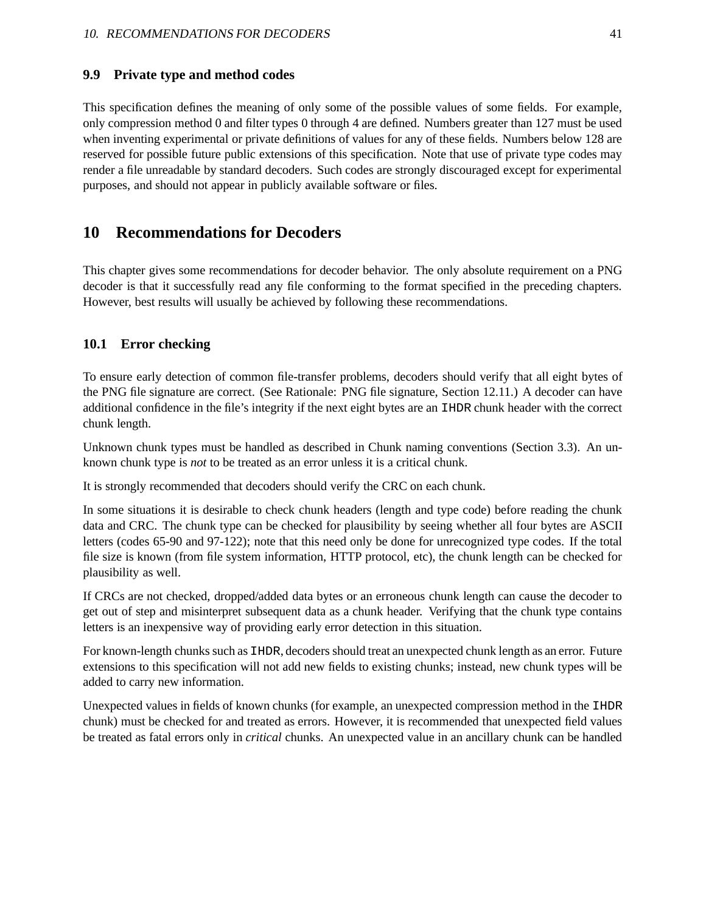#### **9.9 Private type and method codes**

This specification defines the meaning of only some of the possible values of some fields. For example, only compression method 0 and filter types 0 through 4 are defined. Numbers greater than 127 must be used when inventing experimental or private definitions of values for any of these fields. Numbers below 128 are reserved for possible future public extensions of this specification. Note that use of private type codes may render a file unreadable by standard decoders. Such codes are strongly discouraged except for experimental purposes, and should not appear in publicly available software or files.

## **10 Recommendations for Decoders**

This chapter gives some recommendations for decoder behavior. The only absolute requirement on a PNG decoder is that it successfully read any file conforming to the format specified in the preceding chapters. However, best results will usually be achieved by following these recommendations.

#### **10.1 Error checking**

To ensure early detection of common file-transfer problems, decoders should verify that all eight bytes of the PNG file signature are correct. (See Rationale: PNG file signature, Section 12.11.) A decoder can have additional confidence in the file's integrity if the next eight bytes are an IHDR chunk header with the correct chunk length.

Unknown chunk types must be handled as described in Chunk naming conventions (Section 3.3). An unknown chunk type is *not* to be treated as an error unless it is a critical chunk.

It is strongly recommended that decoders should verify the CRC on each chunk.

In some situations it is desirable to check chunk headers (length and type code) before reading the chunk data and CRC. The chunk type can be checked for plausibility by seeing whether all four bytes are ASCII letters (codes 65-90 and 97-122); note that this need only be done for unrecognized type codes. If the total file size is known (from file system information, HTTP protocol, etc), the chunk length can be checked for plausibility as well.

If CRCs are not checked, dropped/added data bytes or an erroneous chunk length can cause the decoder to get out of step and misinterpret subsequent data as a chunk header. Verifying that the chunk type contains letters is an inexpensive way of providing early error detection in this situation.

For known-length chunks such as IHDR, decoders should treat an unexpected chunk length as an error. Future extensions to this specification will not add new fields to existing chunks; instead, new chunk types will be added to carry new information.

Unexpected values in fields of known chunks (for example, an unexpected compression method in the IHDR chunk) must be checked for and treated as errors. However, it is recommended that unexpected field values be treated as fatal errors only in *critical* chunks. An unexpected value in an ancillary chunk can be handled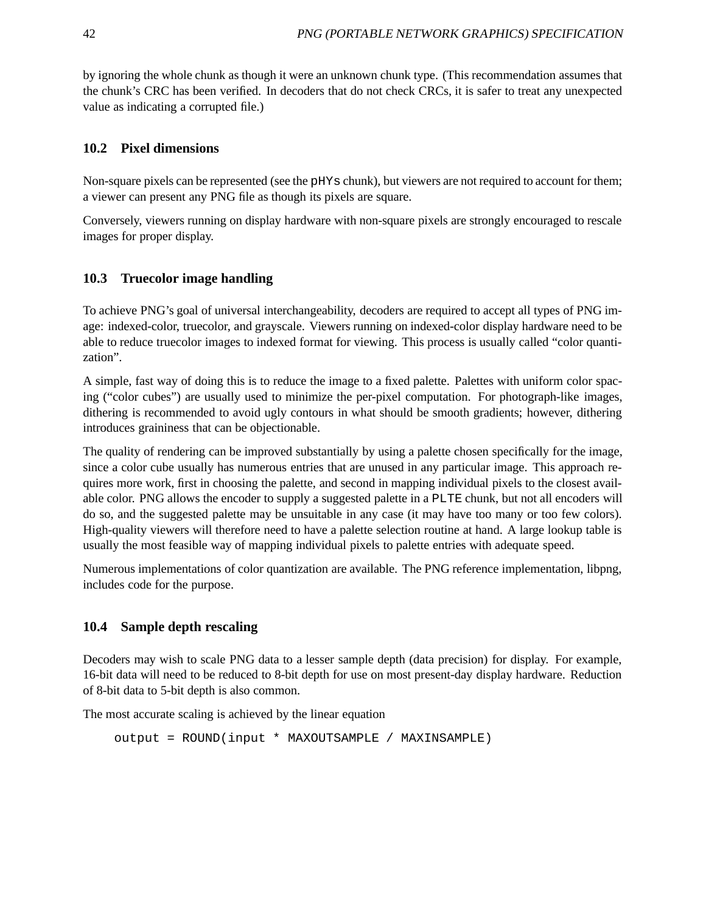by ignoring the whole chunk as though it were an unknown chunk type. (This recommendation assumes that the chunk's CRC has been verified. In decoders that do not check CRCs, it is safer to treat any unexpected value as indicating a corrupted file.)

## **10.2 Pixel dimensions**

Non-square pixels can be represented (see the pHYs chunk), but viewers are not required to account for them; a viewer can present any PNG file as though its pixels are square.

Conversely, viewers running on display hardware with non-square pixels are strongly encouraged to rescale images for proper display.

## **10.3 Truecolor image handling**

To achieve PNG's goal of universal interchangeability, decoders are required to accept all types of PNG image: indexed-color, truecolor, and grayscale. Viewers running on indexed-color display hardware need to be able to reduce truecolor images to indexed format for viewing. This process is usually called "color quantization".

A simple, fast way of doing this is to reduce the image to a fixed palette. Palettes with uniform color spacing ("color cubes") are usually used to minimize the per-pixel computation. For photograph-like images, dithering is recommended to avoid ugly contours in what should be smooth gradients; however, dithering introduces graininess that can be objectionable.

The quality of rendering can be improved substantially by using a palette chosen specifically for the image, since a color cube usually has numerous entries that are unused in any particular image. This approach requires more work, first in choosing the palette, and second in mapping individual pixels to the closest available color. PNG allows the encoder to supply a suggested palette in a PLTE chunk, but not all encoders will do so, and the suggested palette may be unsuitable in any case (it may have too many or too few colors). High-quality viewers will therefore need to have a palette selection routine at hand. A large lookup table is usually the most feasible way of mapping individual pixels to palette entries with adequate speed.

Numerous implementations of color quantization are available. The PNG reference implementation, libpng, includes code for the purpose.

## **10.4 Sample depth rescaling**

Decoders may wish to scale PNG data to a lesser sample depth (data precision) for display. For example, 16-bit data will need to be reduced to 8-bit depth for use on most present-day display hardware. Reduction of 8-bit data to 5-bit depth is also common.

The most accurate scaling is achieved by the linear equation

```
output = ROUND(input * MAXOUTSAMPLE / MAXINSAMPLE)
```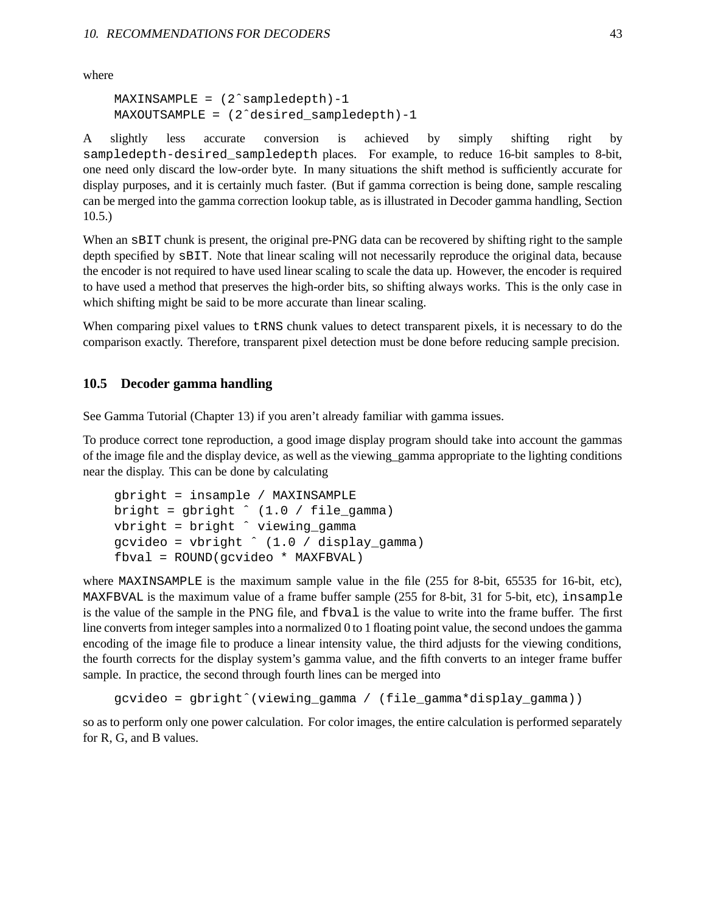where

```
MAXINSAMPLE = (2<sup>^</sup> sample depth) -1MAXOUTSAMPLE = (2ˆdesired_sampledepth)-1
```
A slightly less accurate conversion is achieved by simply shifting right by sampledepth-desired\_sampledepth places. For example, to reduce 16-bit samples to 8-bit, one need only discard the low-order byte. In many situations the shift method is sufficiently accurate for display purposes, and it is certainly much faster. (But if gamma correction is being done, sample rescaling can be merged into the gamma correction lookup table, as is illustrated in Decoder gamma handling, Section 10.5.)

When an  $SBIT$  chunk is present, the original pre-PNG data can be recovered by shifting right to the sample depth specified by sBIT. Note that linear scaling will not necessarily reproduce the original data, because the encoder is not required to have used linear scaling to scale the data up. However, the encoder is required to have used a method that preserves the high-order bits, so shifting always works. This is the only case in which shifting might be said to be more accurate than linear scaling.

When comparing pixel values to  $t$ RNS chunk values to detect transparent pixels, it is necessary to do the comparison exactly. Therefore, transparent pixel detection must be done before reducing sample precision.

#### **10.5 Decoder gamma handling**

See Gamma Tutorial (Chapter 13) if you aren't already familiar with gamma issues.

To produce correct tone reproduction, a good image display program should take into account the gammas of the image file and the display device, as well as the viewing\_gamma appropriate to the lighting conditions near the display. This can be done by calculating

```
gbright = insample / MAXINSAMPLE
bright = gbright \hat{ } (1.0 / file_gamma)
vbright = bright ˆ viewing_gamma
gcvideo = vbright ˆ (1.0 / display_gamma)
fbval = ROUND(gcvideo * MAXFBVAL)
```
where MAXINSAMPLE is the maximum sample value in the file (255 for 8-bit, 65535 for 16-bit, etc), MAXFBVAL is the maximum value of a frame buffer sample (255 for 8-bit, 31 for 5-bit, etc), insample is the value of the sample in the PNG file, and fbval is the value to write into the frame buffer. The first line converts from integer samples into a normalized 0 to 1 floating point value, the second undoes the gamma encoding of the image file to produce a linear intensity value, the third adjusts for the viewing conditions, the fourth corrects for the display system's gamma value, and the fifth converts to an integer frame buffer sample. In practice, the second through fourth lines can be merged into

```
gcvideo = gbrightˆ(viewing_gamma / (file_gamma*display_gamma))
```
so as to perform only one power calculation. For color images, the entire calculation is performed separately for R, G, and B values.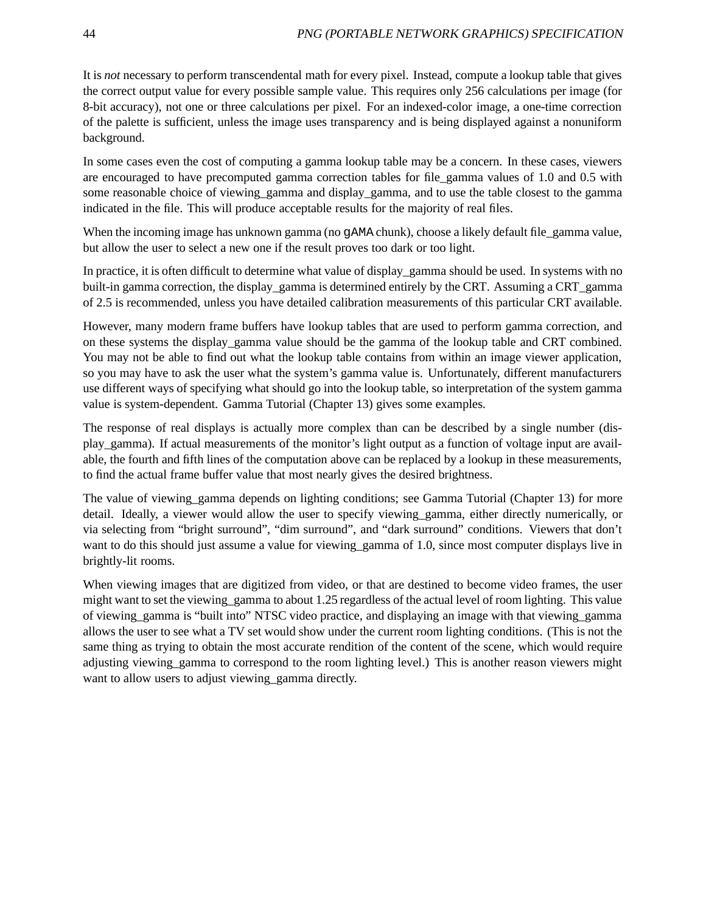It is *not* necessary to perform transcendental math for every pixel. Instead, compute a lookup table that gives the correct output value for every possible sample value. This requires only 256 calculations per image (for 8-bit accuracy), not one or three calculations per pixel. For an indexed-color image, a one-time correction of the palette is sufficient, unless the image uses transparency and is being displayed against a nonuniform background.

In some cases even the cost of computing a gamma lookup table may be a concern. In these cases, viewers are encouraged to have precomputed gamma correction tables for file\_gamma values of 1.0 and 0.5 with some reasonable choice of viewing gamma and display gamma, and to use the table closest to the gamma indicated in the file. This will produce acceptable results for the majority of real files.

When the incoming image has unknown gamma (no gAMA chunk), choose a likely default file\_gamma value, but allow the user to select a new one if the result proves too dark or too light.

In practice, it is often difficult to determine what value of display\_gamma should be used. In systems with no built-in gamma correction, the display gamma is determined entirely by the CRT. Assuming a CRT gamma of 2.5 is recommended, unless you have detailed calibration measurements of this particular CRT available.

However, many modern frame buffers have lookup tables that are used to perform gamma correction, and on these systems the display\_gamma value should be the gamma of the lookup table and CRT combined. You may not be able to find out what the lookup table contains from within an image viewer application, so you may have to ask the user what the system's gamma value is. Unfortunately, different manufacturers use different ways of specifying what should go into the lookup table, so interpretation of the system gamma value is system-dependent. Gamma Tutorial (Chapter 13) gives some examples.

The response of real displays is actually more complex than can be described by a single number (display\_gamma). If actual measurements of the monitor's light output as a function of voltage input are available, the fourth and fifth lines of the computation above can be replaced by a lookup in these measurements, to find the actual frame buffer value that most nearly gives the desired brightness.

The value of viewing gamma depends on lighting conditions; see Gamma Tutorial (Chapter 13) for more detail. Ideally, a viewer would allow the user to specify viewing gamma, either directly numerically, or via selecting from "bright surround", "dim surround", and "dark surround" conditions. Viewers that don't want to do this should just assume a value for viewing\_gamma of 1.0, since most computer displays live in brightly-lit rooms.

When viewing images that are digitized from video, or that are destined to become video frames, the user might want to set the viewing\_gamma to about 1.25 regardless of the actual level of room lighting. This value of viewing\_gamma is "built into" NTSC video practice, and displaying an image with that viewing\_gamma allows the user to see what a TV set would show under the current room lighting conditions. (This is not the same thing as trying to obtain the most accurate rendition of the content of the scene, which would require adjusting viewing\_gamma to correspond to the room lighting level.) This is another reason viewers might want to allow users to adjust viewing\_gamma directly.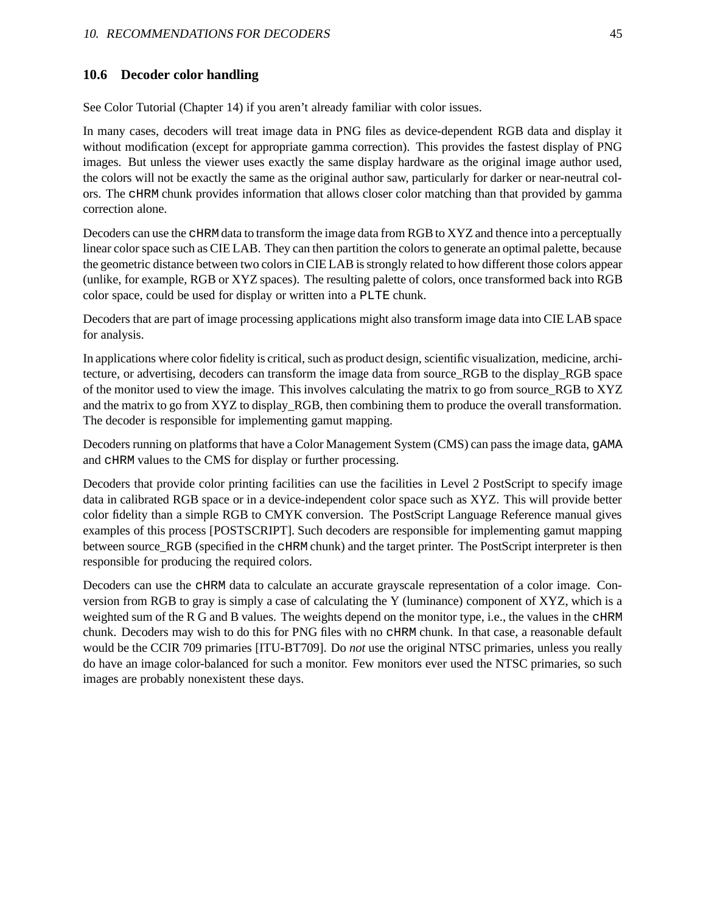#### **10.6 Decoder color handling**

See Color Tutorial (Chapter 14) if you aren't already familiar with color issues.

In many cases, decoders will treat image data in PNG files as device-dependent RGB data and display it without modification (except for appropriate gamma correction). This provides the fastest display of PNG images. But unless the viewer uses exactly the same display hardware as the original image author used, the colors will not be exactly the same as the original author saw, particularly for darker or near-neutral colors. The cHRM chunk provides information that allows closer color matching than that provided by gamma correction alone.

Decoders can use the cHRM data to transform the image data from RGB to XYZ and thence into a perceptually linear color space such as CIE LAB. They can then partition the colors to generate an optimal palette, because the geometric distance between two colors in CIE LAB is strongly related to how different those colors appear (unlike, for example, RGB or XYZ spaces). The resulting palette of colors, once transformed back into RGB color space, could be used for display or written into a PLTE chunk.

Decoders that are part of image processing applications might also transform image data into CIE LAB space for analysis.

In applications where color fidelity is critical, such as product design, scientific visualization, medicine, architecture, or advertising, decoders can transform the image data from source\_RGB to the display\_RGB space of the monitor used to view the image. This involves calculating the matrix to go from source\_RGB to XYZ and the matrix to go from XYZ to display\_RGB, then combining them to produce the overall transformation. The decoder is responsible for implementing gamut mapping.

Decoders running on platforms that have a Color Management System (CMS) can pass the image data, gAMA and cHRM values to the CMS for display or further processing.

Decoders that provide color printing facilities can use the facilities in Level 2 PostScript to specify image data in calibrated RGB space or in a device-independent color space such as XYZ. This will provide better color fidelity than a simple RGB to CMYK conversion. The PostScript Language Reference manual gives examples of this process [POSTSCRIPT]. Such decoders are responsible for implementing gamut mapping between source RGB (specified in the cHRM chunk) and the target printer. The PostScript interpreter is then responsible for producing the required colors.

Decoders can use the cHRM data to calculate an accurate grayscale representation of a color image. Conversion from RGB to gray is simply a case of calculating the Y (luminance) component of XYZ, which is a weighted sum of the R G and B values. The weights depend on the monitor type, i.e., the values in the  $CHRM$ chunk. Decoders may wish to do this for PNG files with no cHRM chunk. In that case, a reasonable default would be the CCIR 709 primaries [ITU-BT709]. Do *not* use the original NTSC primaries, unless you really do have an image color-balanced for such a monitor. Few monitors ever used the NTSC primaries, so such images are probably nonexistent these days.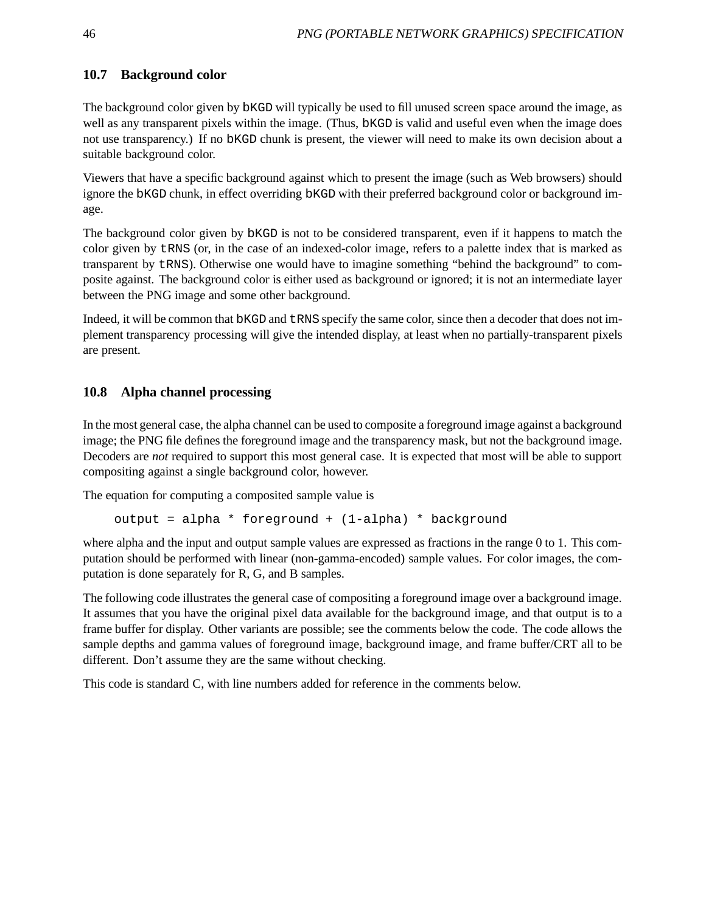## **10.7 Background color**

The background color given by bKGD will typically be used to fill unused screen space around the image, as well as any transparent pixels within the image. (Thus, bKGD is valid and useful even when the image does not use transparency.) If no bKGD chunk is present, the viewer will need to make its own decision about a suitable background color.

Viewers that have a specific background against which to present the image (such as Web browsers) should ignore the bKGD chunk, in effect overriding bKGD with their preferred background color or background image.

The background color given by bKGD is not to be considered transparent, even if it happens to match the color given by tRNS (or, in the case of an indexed-color image, refers to a palette index that is marked as transparent by tRNS). Otherwise one would have to imagine something "behind the background" to composite against. The background color is either used as background or ignored; it is not an intermediate layer between the PNG image and some other background.

Indeed, it will be common that bKGD and  $\text{LRNS}$  specify the same color, since then a decoder that does not implement transparency processing will give the intended display, at least when no partially-transparent pixels are present.

## **10.8 Alpha channel processing**

In the most general case, the alpha channel can be used to composite a foreground image against a background image; the PNG file defines the foreground image and the transparency mask, but not the background image. Decoders are *not* required to support this most general case. It is expected that most will be able to support compositing against a single background color, however.

The equation for computing a composited sample value is

```
output = alpha * foreground + (1-alpha) * background
```
where alpha and the input and output sample values are expressed as fractions in the range 0 to 1. This computation should be performed with linear (non-gamma-encoded) sample values. For color images, the computation is done separately for R, G, and B samples.

The following code illustrates the general case of compositing a foreground image over a background image. It assumes that you have the original pixel data available for the background image, and that output is to a frame buffer for display. Other variants are possible; see the comments below the code. The code allows the sample depths and gamma values of foreground image, background image, and frame buffer/CRT all to be different. Don't assume they are the same without checking.

This code is standard C, with line numbers added for reference in the comments below.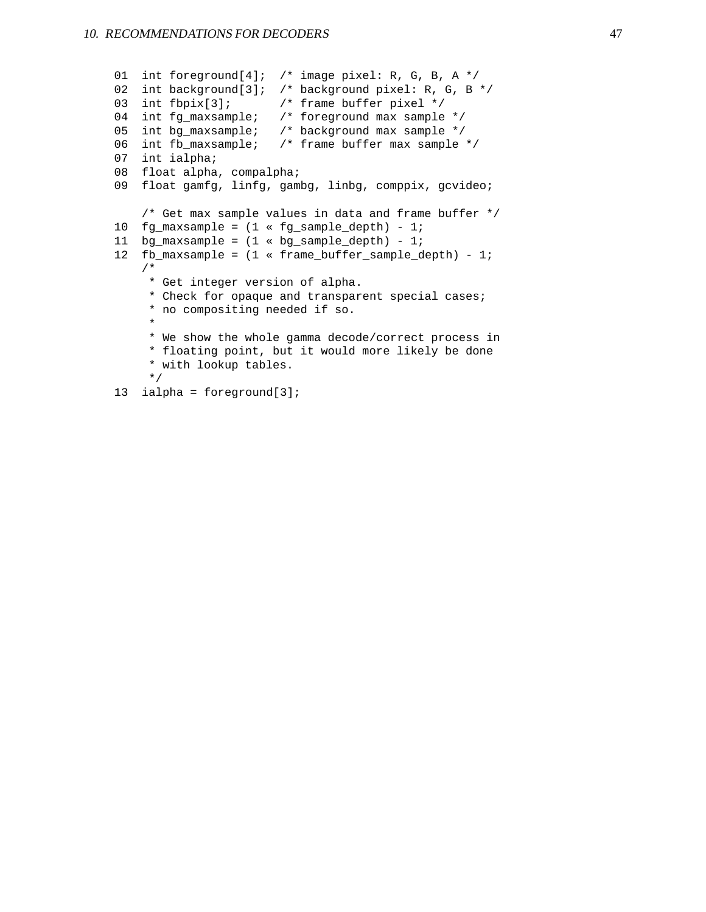```
01 int foreground[4]; /* image pixel: R, G, B, A */
02 int background[3]; /* background pixel: R, G, B */
03 int fbpix[3]; /* frame buffer pixel */
04 int fg_maxsample; /* foreground max sample */
05 int bg_maxsample; /* background max sample */
06 int fb_maxsample; /* frame buffer max sample */
07 int ialpha;
08 float alpha, compalpha;
09 float gamfg, linfg, gambg, linbg, comppix, gcvideo;
    /* Get max sample values in data and frame buffer */
10 fg\_maxsample = (1 * fg\_sample\_depth) - 1;11 bg_maxsample = (1 \times bg\_sample\_depth) - 1;
12 fb_maxsample = (1 « frame_buffer_sample_depth) - 1;
   /*
    * Get integer version of alpha.
     * Check for opaque and transparent special cases;
     * no compositing needed if so.
     *
     * We show the whole gamma decode/correct process in
     * floating point, but it would more likely be done
     * with lookup tables.
     */
13 ialpha = foreground[3];
```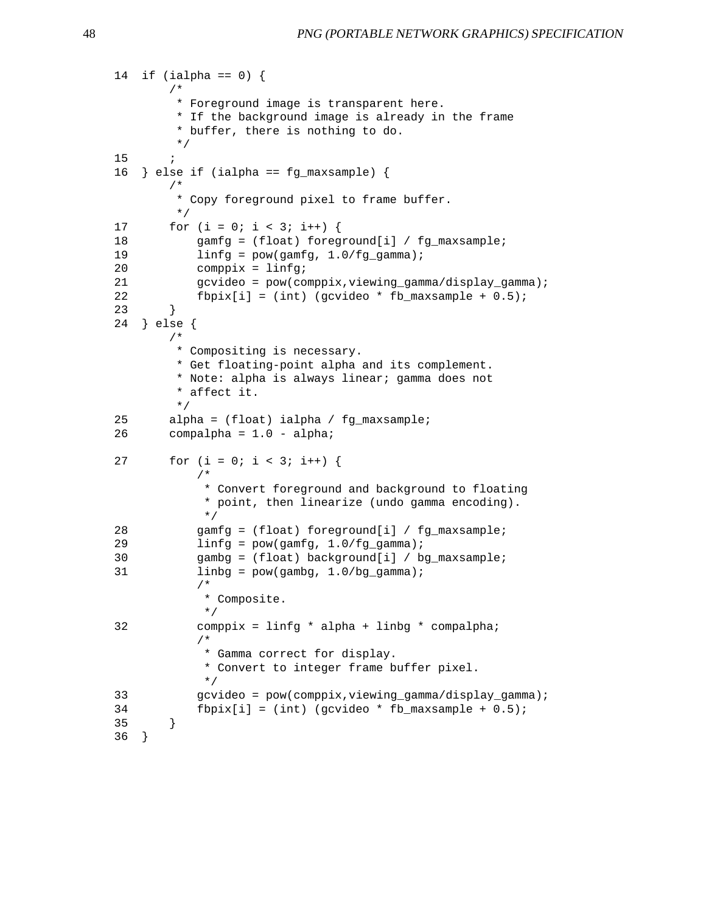```
14 if (ialpha == 0) {
       /*
        * Foreground image is transparent here.
        * If the background image is already in the frame
        * buffer, there is nothing to do.
        */
15 ;
16 } else if (ialpha == fg_maxsample) {
       /*
        * Copy foreground pixel to frame buffer.
        */
17 for (i = 0; i < 3; i++) {
18 gamfg = (float) foreground[i] / fg_maxsample;
19 \text{linfq} = \text{pow}(\text{qamfq}, 1.0/fq \text{qamma});20 comppix = linfg;
21 gcvideo = pow(comppix,viewing_gamma/display_gamma);
22 fbpix[i] = (int) (gcvideo * fb_maxsample + 0.5);
23 }
24 } else {
       /*
        * Compositing is necessary.
        * Get floating-point alpha and its complement.
        * Note: alpha is always linear; gamma does not
        * affect it.
        */
25 alpha = (float) ialpha / fg_maxsample;
26 compalpha = 1.0 - alpha;
27 for (i = 0; i < 3; i++) {
           /*
            * Convert foreground and background to floating
            * point, then linearize (undo gamma encoding).
            */
28 gamfg = (float) foreground[i] / fg_maxsample;
29 linfg = pow(gamfg, 1.0/fg_{\text{g}}amma);
30 gambg = (float) background[i] / bg_maxsample;
31 linbg = pow(gambg, 1.0) bg gamma);
           /*
            * Composite.
            */
32 comppix = linfg * alpha + linbg * compalpha;
           /*
            * Gamma correct for display.
            * Convert to integer frame buffer pixel.
            */
33 gcvideo = pow(comppix,viewing_gamma/display_gamma);
34 fbpix[i] = (int) (gcvideo * fb_maxsample + 0.5);
35 }
36 }
```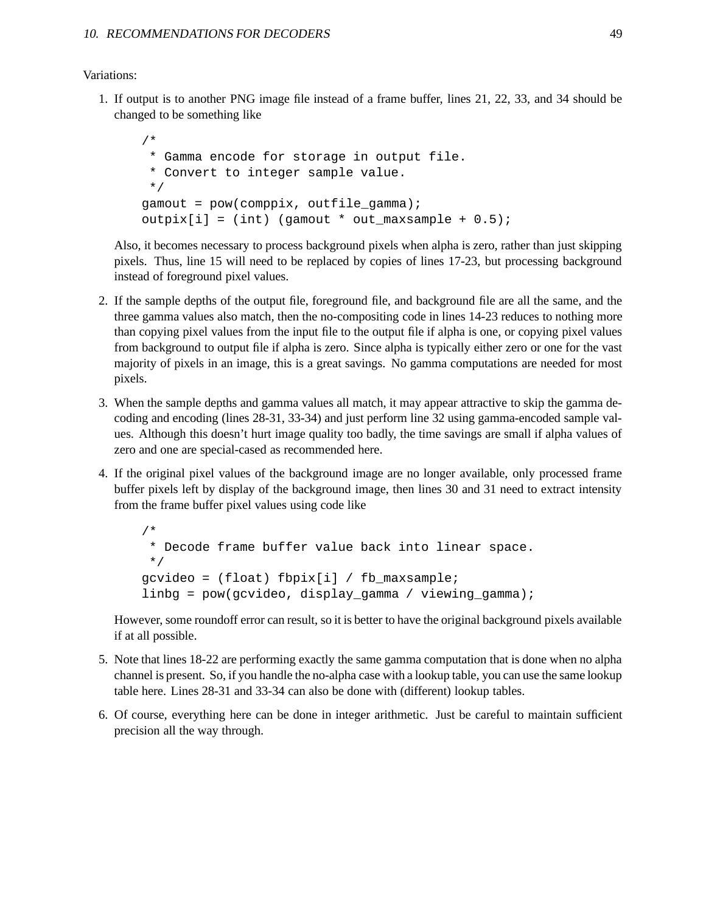Variations:

1. If output is to another PNG image file instead of a frame buffer, lines 21, 22, 33, and 34 should be changed to be something like

```
/*
 * Gamma encode for storage in output file.
 * Convert to integer sample value.
 */
qamout = pow(compix, outfile gamma);output[i] = (int) (gamount * out_maxsample + 0.5);
```
Also, it becomes necessary to process background pixels when alpha is zero, rather than just skipping pixels. Thus, line 15 will need to be replaced by copies of lines 17-23, but processing background instead of foreground pixel values.

- 2. If the sample depths of the output file, foreground file, and background file are all the same, and the three gamma values also match, then the no-compositing code in lines 14-23 reduces to nothing more than copying pixel values from the input file to the output file if alpha is one, or copying pixel values from background to output file if alpha is zero. Since alpha is typically either zero or one for the vast majority of pixels in an image, this is a great savings. No gamma computations are needed for most pixels.
- 3. When the sample depths and gamma values all match, it may appear attractive to skip the gamma decoding and encoding (lines 28-31, 33-34) and just perform line 32 using gamma-encoded sample values. Although this doesn't hurt image quality too badly, the time savings are small if alpha values of zero and one are special-cased as recommended here.
- 4. If the original pixel values of the background image are no longer available, only processed frame buffer pixels left by display of the background image, then lines 30 and 31 need to extract intensity from the frame buffer pixel values using code like

```
/*
 * Decode frame buffer value back into linear space.
 */
gcvideo = (float) fbpix[i] / fb_maxsample;
linbg = pow(gcvideo, display_gamma / viewing_gamma);
```
However, some roundoff error can result, so it is better to have the original background pixels available if at all possible.

- 5. Note that lines 18-22 are performing exactly the same gamma computation that is done when no alpha channel is present. So, if you handle the no-alpha case with a lookup table, you can use the same lookup table here. Lines 28-31 and 33-34 can also be done with (different) lookup tables.
- 6. Of course, everything here can be done in integer arithmetic. Just be careful to maintain sufficient precision all the way through.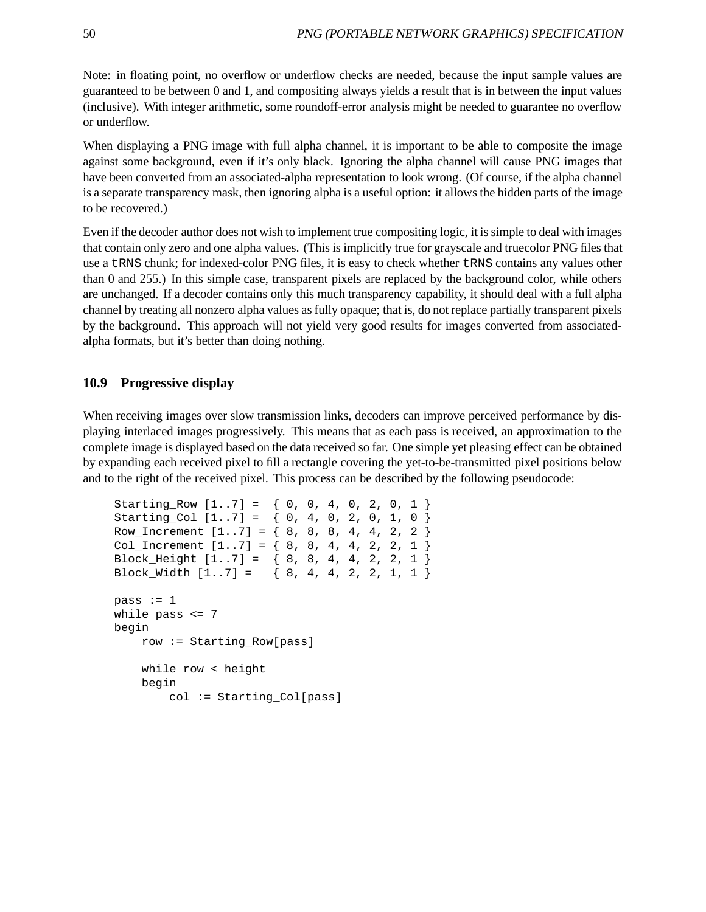Note: in floating point, no overflow or underflow checks are needed, because the input sample values are guaranteed to be between 0 and 1, and compositing always yields a result that is in between the input values (inclusive). With integer arithmetic, some roundoff-error analysis might be needed to guarantee no overflow or underflow.

When displaying a PNG image with full alpha channel, it is important to be able to composite the image against some background, even if it's only black. Ignoring the alpha channel will cause PNG images that have been converted from an associated-alpha representation to look wrong. (Of course, if the alpha channel is a separate transparency mask, then ignoring alpha is a useful option: it allows the hidden parts of the image to be recovered.)

Even if the decoder author does not wish to implement true compositing logic, it is simple to deal with images that contain only zero and one alpha values. (This is implicitly true for grayscale and truecolor PNG files that use a tRNS chunk; for indexed-color PNG files, it is easy to check whether tRNS contains any values other than 0 and 255.) In this simple case, transparent pixels are replaced by the background color, while others are unchanged. If a decoder contains only this much transparency capability, it should deal with a full alpha channel by treating all nonzero alpha values as fully opaque; that is, do not replace partially transparent pixels by the background. This approach will not yield very good results for images converted from associatedalpha formats, but it's better than doing nothing.

## **10.9 Progressive display**

When receiving images over slow transmission links, decoders can improve perceived performance by displaying interlaced images progressively. This means that as each pass is received, an approximation to the complete image is displayed based on the data received so far. One simple yet pleasing effect can be obtained by expanding each received pixel to fill a rectangle covering the yet-to-be-transmitted pixel positions below and to the right of the received pixel. This process can be described by the following pseudocode:

```
Starting Row [1..7] = \{ 0, 0, 4, 0, 2, 0, 1 \}Starting_Col [1..7] = \{ 0, 4, 0, 2, 0, 1, 0 \}Row_Increment [1..7] = \{ 8, 8, 8, 4, 4, 2, 2 \}Col_Increment [1..7] = \{ 8, 8, 4, 4, 2, 2, 1 \}Block_Height [1..7] = { 8, 8, 4, 4, 2, 2, 1 }
Block_Width [1..7] = \{ 8, 4, 4, 2, 2, 1, 1 \}pass := 1while pass <= 7
begin
    row := Starting_Row[pass]
    while row < height
    begin
        col := Starting_Col[pass]
```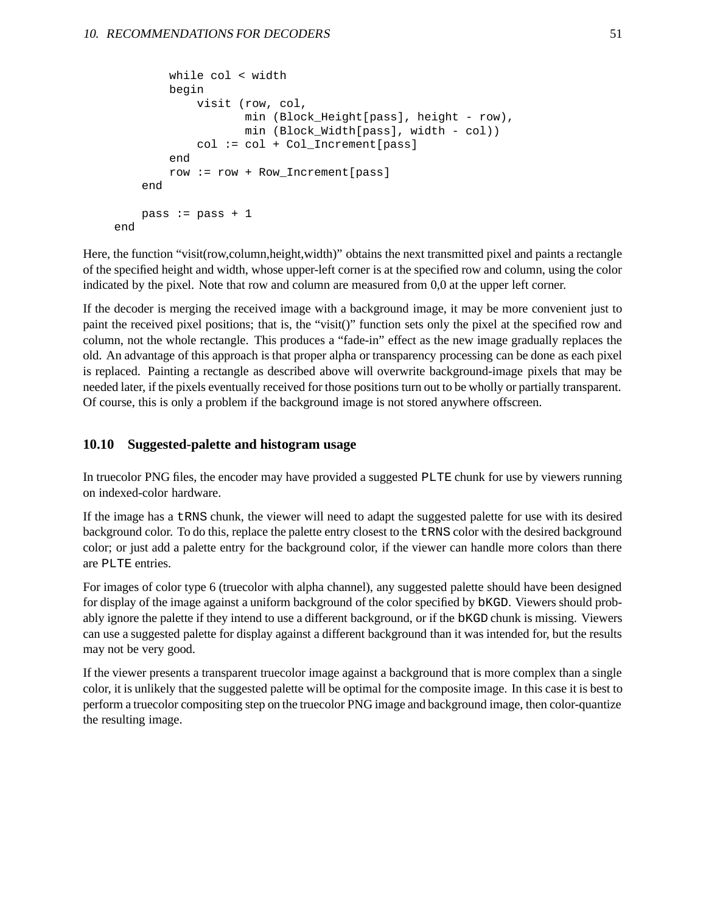```
while col < width
       begin
            visit (row, col,
                   min (Block_Height[pass], height - row),
                   min (Block_Width[pass], width - col))
            col := col + Col_Increment[pass]
        end
       row := row + Row_Increment[pass]
   end
   pass := pass +1end
```
Here, the function "visit(row,column,height,width)" obtains the next transmitted pixel and paints a rectangle of the specified height and width, whose upper-left corner is at the specified row and column, using the color indicated by the pixel. Note that row and column are measured from 0,0 at the upper left corner.

If the decoder is merging the received image with a background image, it may be more convenient just to paint the received pixel positions; that is, the "visit()" function sets only the pixel at the specified row and column, not the whole rectangle. This produces a "fade-in" effect as the new image gradually replaces the old. An advantage of this approach is that proper alpha or transparency processing can be done as each pixel is replaced. Painting a rectangle as described above will overwrite background-image pixels that may be needed later, if the pixels eventually received for those positions turn out to be wholly or partially transparent. Of course, this is only a problem if the background image is not stored anywhere offscreen.

#### **10.10 Suggested-palette and histogram usage**

In truecolor PNG files, the encoder may have provided a suggested PLTE chunk for use by viewers running on indexed-color hardware.

If the image has a tRNS chunk, the viewer will need to adapt the suggested palette for use with its desired background color. To do this, replace the palette entry closest to the tRNS color with the desired background color; or just add a palette entry for the background color, if the viewer can handle more colors than there are PLTE entries.

For images of color type 6 (truecolor with alpha channel), any suggested palette should have been designed for display of the image against a uniform background of the color specified by bKGD. Viewers should probably ignore the palette if they intend to use a different background, or if the bKGD chunk is missing. Viewers can use a suggested palette for display against a different background than it was intended for, but the results may not be very good.

If the viewer presents a transparent truecolor image against a background that is more complex than a single color, it is unlikely that the suggested palette will be optimal for the composite image. In this case it is best to perform a truecolor compositing step on the truecolor PNG image and background image, then color-quantize the resulting image.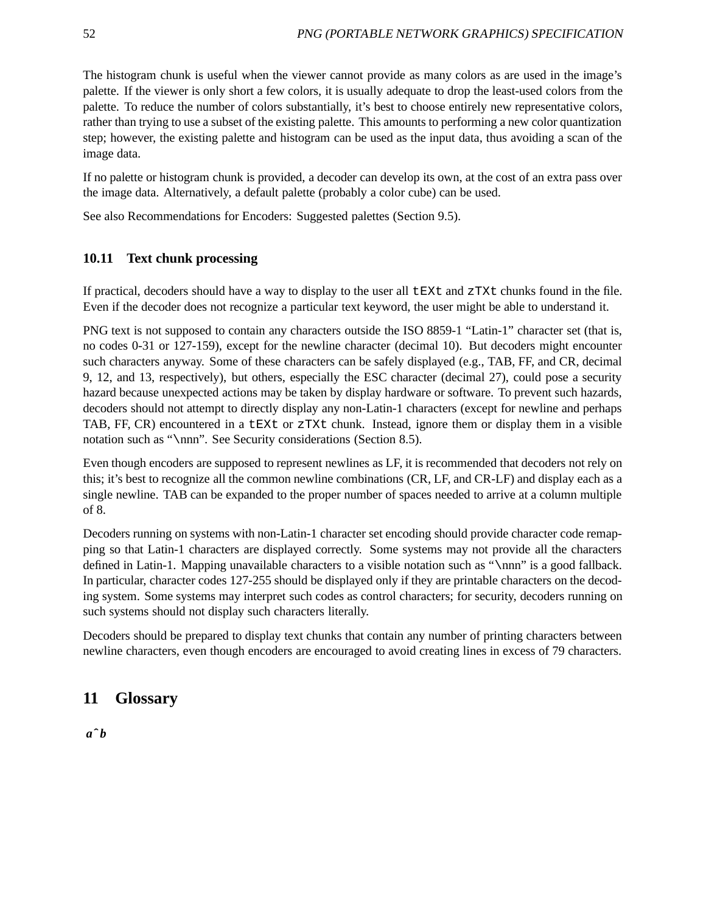The histogram chunk is useful when the viewer cannot provide as many colors as are used in the image's palette. If the viewer is only short a few colors, it is usually adequate to drop the least-used colors from the palette. To reduce the number of colors substantially, it's best to choose entirely new representative colors, rather than trying to use a subset of the existing palette. This amounts to performing a new color quantization step; however, the existing palette and histogram can be used as the input data, thus avoiding a scan of the image data.

If no palette or histogram chunk is provided, a decoder can develop its own, at the cost of an extra pass over the image data. Alternatively, a default palette (probably a color cube) can be used.

See also Recommendations for Encoders: Suggested palettes (Section 9.5).

## **10.11 Text chunk processing**

If practical, decoders should have a way to display to the user all tEXt and zTXt chunks found in the file. Even if the decoder does not recognize a particular text keyword, the user might be able to understand it.

PNG text is not supposed to contain any characters outside the ISO 8859-1 "Latin-1" character set (that is, no codes 0-31 or 127-159), except for the newline character (decimal 10). But decoders might encounter such characters anyway. Some of these characters can be safely displayed (e.g., TAB, FF, and CR, decimal 9, 12, and 13, respectively), but others, especially the ESC character (decimal 27), could pose a security hazard because unexpected actions may be taken by display hardware or software. To prevent such hazards, decoders should not attempt to directly display any non-Latin-1 characters (except for newline and perhaps TAB, FF, CR) encountered in a tEXt or zTXt chunk. Instead, ignore them or display them in a visible notation such as "\nnn". See Security considerations (Section 8.5).

Even though encoders are supposed to represent newlines as LF, it is recommended that decoders not rely on this; it's best to recognize all the common newline combinations (CR, LF, and CR-LF) and display each as a single newline. TAB can be expanded to the proper number of spaces needed to arrive at a column multiple of 8.

Decoders running on systems with non-Latin-1 character set encoding should provide character code remapping so that Latin-1 characters are displayed correctly. Some systems may not provide all the characters defined in Latin-1. Mapping unavailable characters to a visible notation such as "\nnn" is a good fallback. In particular, character codes 127-255 should be displayed only if they are printable characters on the decoding system. Some systems may interpret such codes as control characters; for security, decoders running on such systems should not display such characters literally.

Decoders should be prepared to display text chunks that contain any number of printing characters between newline characters, even though encoders are encouraged to avoid creating lines in excess of 79 characters.

# **11 Glossary**

 $a^{\wedge}b$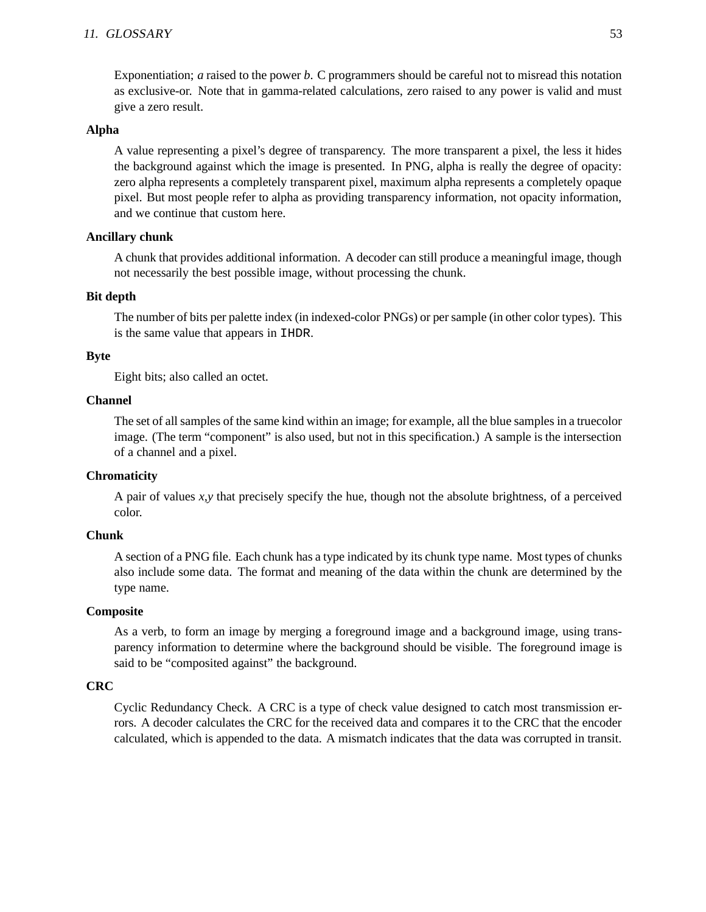#### 11. GLOSSARY 53

Exponentiation; *a* raised to the power *b*. C programmers should be careful not to misread this notation as exclusive-or. Note that in gamma-related calculations, zero raised to any power is valid and must give a zero result.

#### **Alpha**

A value representing a pixel's degree of transparency. The more transparent a pixel, the less it hides the background against which the image is presented. In PNG, alpha is really the degree of opacity: zero alpha represents a completely transparent pixel, maximum alpha represents a completely opaque pixel. But most people refer to alpha as providing transparency information, not opacity information, and we continue that custom here.

#### **Ancillary chunk**

A chunk that provides additional information. A decoder can still produce a meaningful image, though not necessarily the best possible image, without processing the chunk.

#### **Bit depth**

The number of bits per palette index (in indexed-color PNGs) or per sample (in other color types). This is the same value that appears in IHDR.

#### **Byte**

Eight bits; also called an octet.

#### **Channel**

The set of all samples of the same kind within an image; for example, all the blue samples in a truecolor image. (The term "component" is also used, but not in this specification.) A sample is the intersection of a channel and a pixel.

### **Chromaticity**

A pair of values *x,y* that precisely specify the hue, though not the absolute brightness, of a perceived color.

#### **Chunk**

A section of a PNG file. Each chunk has a type indicated by its chunk type name. Most types of chunks also include some data. The format and meaning of the data within the chunk are determined by the type name.

#### **Composite**

As a verb, to form an image by merging a foreground image and a background image, using transparency information to determine where the background should be visible. The foreground image is said to be "composited against" the background.

#### **CRC**

Cyclic Redundancy Check. A CRC is a type of check value designed to catch most transmission errors. A decoder calculates the CRC for the received data and compares it to the CRC that the encoder calculated, which is appended to the data. A mismatch indicates that the data was corrupted in transit.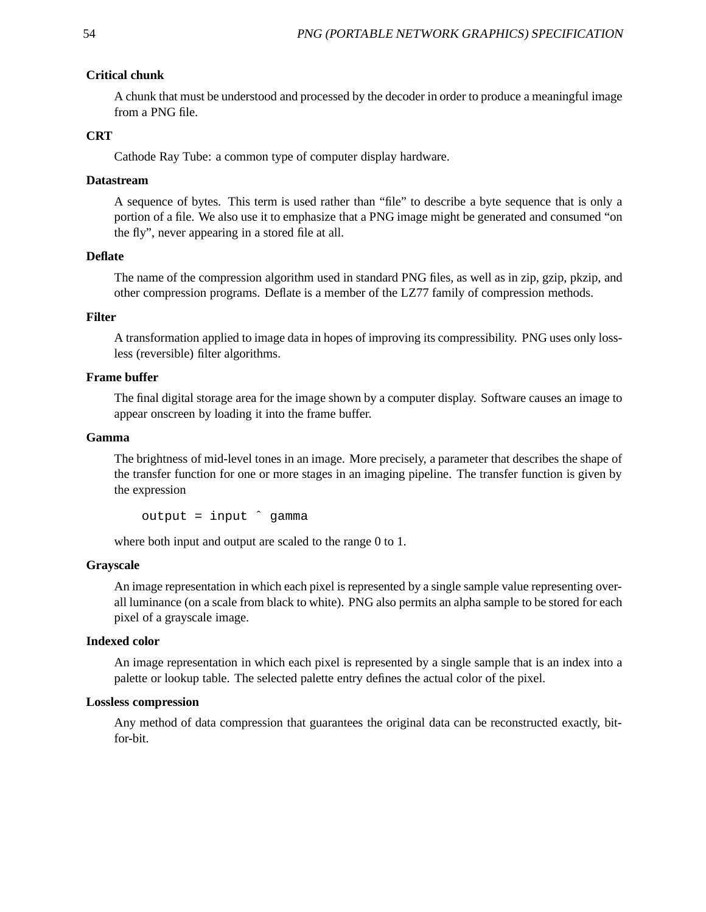### **Critical chunk**

A chunk that must be understood and processed by the decoder in order to produce a meaningful image from a PNG file.

### **CRT**

Cathode Ray Tube: a common type of computer display hardware.

#### **Datastream**

A sequence of bytes. This term is used rather than "file" to describe a byte sequence that is only a portion of a file. We also use it to emphasize that a PNG image might be generated and consumed "on the fly", never appearing in a stored file at all.

#### **Deflate**

The name of the compression algorithm used in standard PNG files, as well as in zip, gzip, pkzip, and other compression programs. Deflate is a member of the LZ77 family of compression methods.

### **Filter**

A transformation applied to image data in hopes of improving its compressibility. PNG uses only lossless (reversible) filter algorithms.

#### **Frame buffer**

The final digital storage area for the image shown by a computer display. Software causes an image to appear onscreen by loading it into the frame buffer.

#### **Gamma**

The brightness of mid-level tones in an image. More precisely, a parameter that describes the shape of the transfer function for one or more stages in an imaging pipeline. The transfer function is given by the expression

output = input ˆ gamma

where both input and output are scaled to the range 0 to 1.

#### **Grayscale**

An image representation in which each pixel is represented by a single sample value representing overall luminance (on a scale from black to white). PNG also permits an alpha sample to be stored for each pixel of a grayscale image.

#### **Indexed color**

An image representation in which each pixel is represented by a single sample that is an index into a palette or lookup table. The selected palette entry defines the actual color of the pixel.

#### **Lossless compression**

Any method of data compression that guarantees the original data can be reconstructed exactly, bitfor-bit.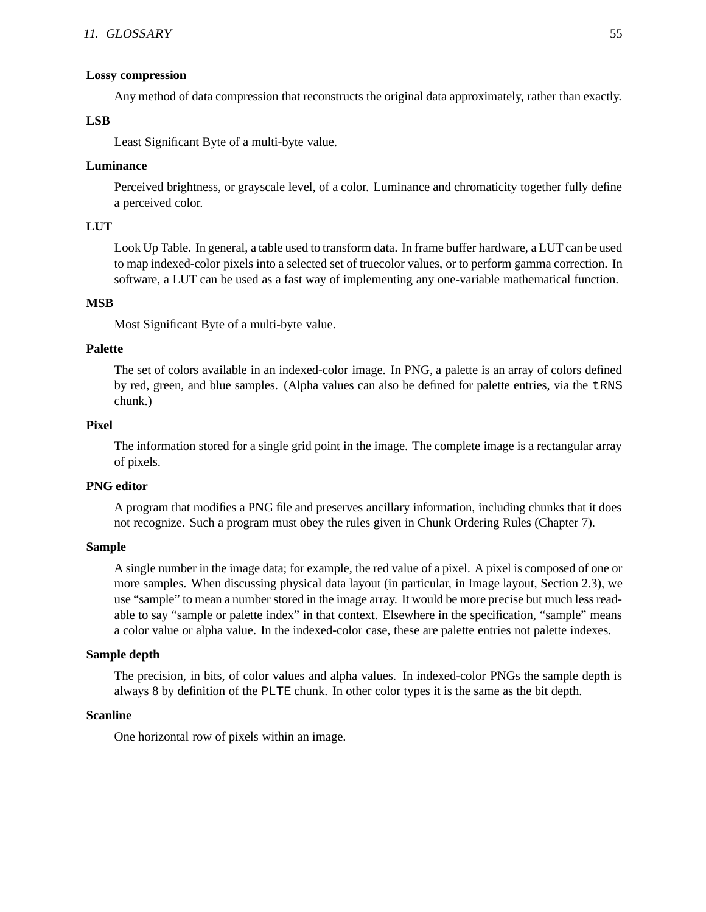#### **Lossy compression**

Any method of data compression that reconstructs the original data approximately, rather than exactly.

### **LSB**

Least Significant Byte of a multi-byte value.

### **Luminance**

Perceived brightness, or grayscale level, of a color. Luminance and chromaticity together fully define a perceived color.

### **LUT**

Look Up Table. In general, a table used to transform data. In frame buffer hardware, a LUT can be used to map indexed-color pixels into a selected set of truecolor values, or to perform gamma correction. In software, a LUT can be used as a fast way of implementing any one-variable mathematical function.

### **MSB**

Most Significant Byte of a multi-byte value.

### **Palette**

The set of colors available in an indexed-color image. In PNG, a palette is an array of colors defined by red, green, and blue samples. (Alpha values can also be defined for palette entries, via the tRNS chunk.)

### **Pixel**

The information stored for a single grid point in the image. The complete image is a rectangular array of pixels.

#### **PNG editor**

A program that modifies a PNG file and preserves ancillary information, including chunks that it does not recognize. Such a program must obey the rules given in Chunk Ordering Rules (Chapter 7).

#### **Sample**

A single number in the image data; for example, the red value of a pixel. A pixel is composed of one or more samples. When discussing physical data layout (in particular, in Image layout, Section 2.3), we use "sample" to mean a number stored in the image array. It would be more precise but much less readable to say "sample or palette index" in that context. Elsewhere in the specification, "sample" means a color value or alpha value. In the indexed-color case, these are palette entries not palette indexes.

#### **Sample depth**

The precision, in bits, of color values and alpha values. In indexed-color PNGs the sample depth is always 8 by definition of the PLTE chunk. In other color types it is the same as the bit depth.

#### **Scanline**

One horizontal row of pixels within an image.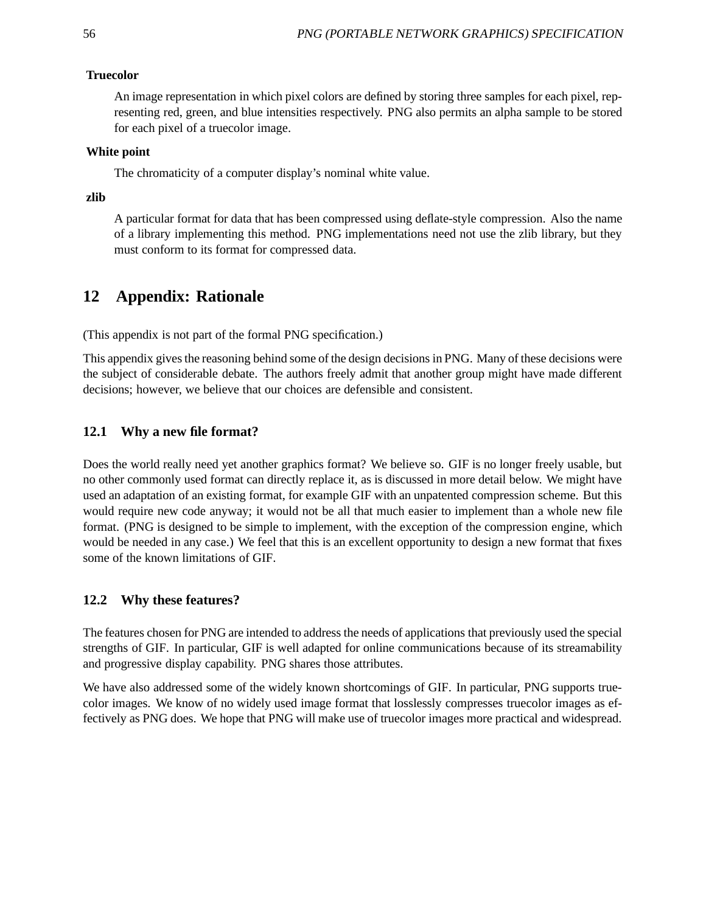#### **Truecolor**

An image representation in which pixel colors are defined by storing three samples for each pixel, representing red, green, and blue intensities respectively. PNG also permits an alpha sample to be stored for each pixel of a truecolor image.

### **White point**

The chromaticity of a computer display's nominal white value.

#### **zlib**

A particular format for data that has been compressed using deflate-style compression. Also the name of a library implementing this method. PNG implementations need not use the zlib library, but they must conform to its format for compressed data.

# **12 Appendix: Rationale**

(This appendix is not part of the formal PNG specification.)

This appendix gives the reasoning behind some of the design decisions in PNG. Many of these decisions were the subject of considerable debate. The authors freely admit that another group might have made different decisions; however, we believe that our choices are defensible and consistent.

### **12.1 Why a new file format?**

Does the world really need yet another graphics format? We believe so. GIF is no longer freely usable, but no other commonly used format can directly replace it, as is discussed in more detail below. We might have used an adaptation of an existing format, for example GIF with an unpatented compression scheme. But this would require new code anyway; it would not be all that much easier to implement than a whole new file format. (PNG is designed to be simple to implement, with the exception of the compression engine, which would be needed in any case.) We feel that this is an excellent opportunity to design a new format that fixes some of the known limitations of GIF.

### **12.2 Why these features?**

The features chosen for PNG are intended to address the needs of applications that previously used the special strengths of GIF. In particular, GIF is well adapted for online communications because of its streamability and progressive display capability. PNG shares those attributes.

We have also addressed some of the widely known shortcomings of GIF. In particular, PNG supports truecolor images. We know of no widely used image format that losslessly compresses truecolor images as effectively as PNG does. We hope that PNG will make use of truecolor images more practical and widespread.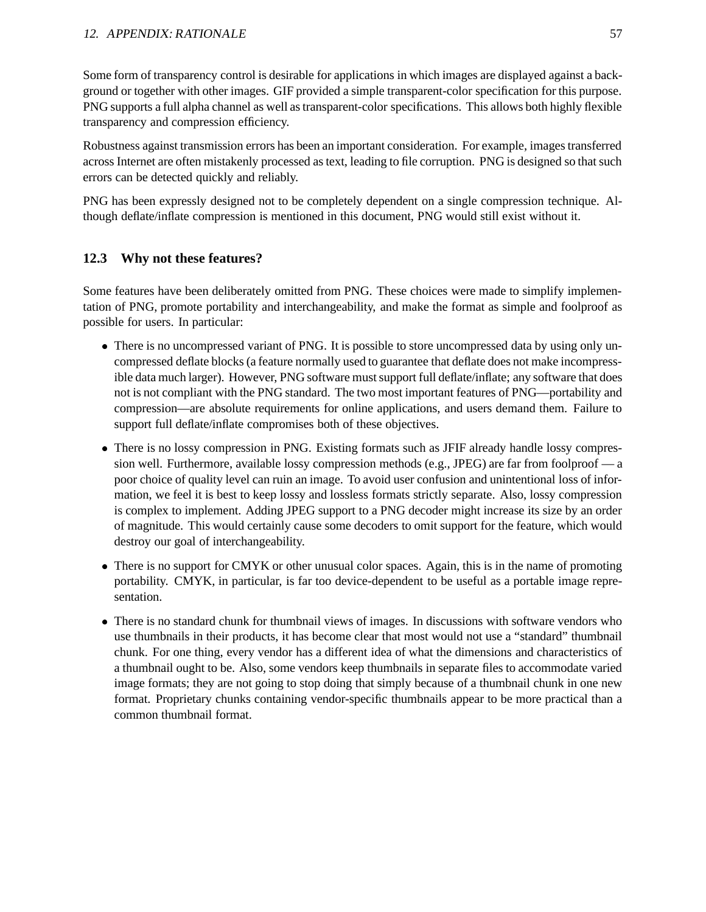Some form of transparency control is desirable for applications in which images are displayed against a background or together with other images. GIF provided a simple transparent-color specification for this purpose. PNG supports a full alpha channel as well as transparent-color specifications. This allows both highly flexible transparency and compression efficiency.

Robustness against transmission errors has been an important consideration. For example, images transferred across Internet are often mistakenly processed as text, leading to file corruption. PNG is designed so that such errors can be detected quickly and reliably.

PNG has been expressly designed not to be completely dependent on a single compression technique. Although deflate/inflate compression is mentioned in this document, PNG would still exist without it.

## **12.3 Why not these features?**

Some features have been deliberately omitted from PNG. These choices were made to simplify implementation of PNG, promote portability and interchangeability, and make the format as simple and foolproof as possible for users. In particular:

- There is no uncompressed variant of PNG. It is possible to store uncompressed data by using only uncompressed deflate blocks (a feature normally used to guarantee that deflate does not make incompressible data much larger). However, PNG software must support full deflate/inflate; any software that does not is not compliant with the PNG standard. The two most important features of PNG—portability and compression—are absolute requirements for online applications, and users demand them. Failure to support full deflate/inflate compromises both of these objectives.
- There is no lossy compression in PNG. Existing formats such as JFIF already handle lossy compression well. Furthermore, available lossy compression methods (e.g., JPEG) are far from foolproof — a poor choice of quality level can ruin an image. To avoid user confusion and unintentional loss of information, we feel it is best to keep lossy and lossless formats strictly separate. Also, lossy compression is complex to implement. Adding JPEG support to a PNG decoder might increase its size by an order of magnitude. This would certainly cause some decoders to omit support for the feature, which would destroy our goal of interchangeability.
- There is no support for CMYK or other unusual color spaces. Again, this is in the name of promoting portability. CMYK, in particular, is far too device-dependent to be useful as a portable image representation.
- There is no standard chunk for thumbnail views of images. In discussions with software vendors who use thumbnails in their products, it has become clear that most would not use a "standard" thumbnail chunk. For one thing, every vendor has a different idea of what the dimensions and characteristics of a thumbnail ought to be. Also, some vendors keep thumbnails in separate files to accommodate varied image formats; they are not going to stop doing that simply because of a thumbnail chunk in one new format. Proprietary chunks containing vendor-specific thumbnails appear to be more practical than a common thumbnail format.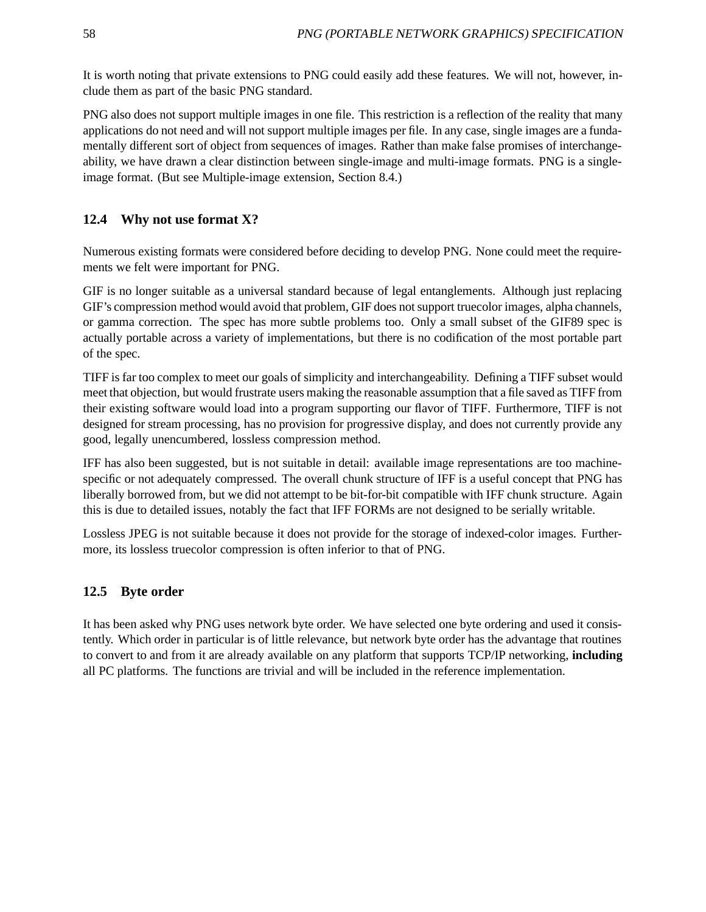It is worth noting that private extensions to PNG could easily add these features. We will not, however, include them as part of the basic PNG standard.

PNG also does not support multiple images in one file. This restriction is a reflection of the reality that many applications do not need and will not support multiple images per file. In any case, single images are a fundamentally different sort of object from sequences of images. Rather than make false promises of interchangeability, we have drawn a clear distinction between single-image and multi-image formats. PNG is a singleimage format. (But see Multiple-image extension, Section 8.4.)

## **12.4 Why not use format X?**

Numerous existing formats were considered before deciding to develop PNG. None could meet the requirements we felt were important for PNG.

GIF is no longer suitable as a universal standard because of legal entanglements. Although just replacing GIF's compression method would avoid that problem, GIF does not support truecolor images, alpha channels, or gamma correction. The spec has more subtle problems too. Only a small subset of the GIF89 spec is actually portable across a variety of implementations, but there is no codification of the most portable part of the spec.

TIFF is far too complex to meet our goals of simplicity and interchangeability. Defining a TIFF subset would meet that objection, but would frustrate users making the reasonable assumption that a file saved as TIFF from their existing software would load into a program supporting our flavor of TIFF. Furthermore, TIFF is not designed for stream processing, has no provision for progressive display, and does not currently provide any good, legally unencumbered, lossless compression method.

IFF has also been suggested, but is not suitable in detail: available image representations are too machinespecific or not adequately compressed. The overall chunk structure of IFF is a useful concept that PNG has liberally borrowed from, but we did not attempt to be bit-for-bit compatible with IFF chunk structure. Again this is due to detailed issues, notably the fact that IFF FORMs are not designed to be serially writable.

Lossless JPEG is not suitable because it does not provide for the storage of indexed-color images. Furthermore, its lossless truecolor compression is often inferior to that of PNG.

## **12.5 Byte order**

It has been asked why PNG uses network byte order. We have selected one byte ordering and used it consistently. Which order in particular is of little relevance, but network byte order has the advantage that routines to convert to and from it are already available on any platform that supports TCP/IP networking, **including** all PC platforms. The functions are trivial and will be included in the reference implementation.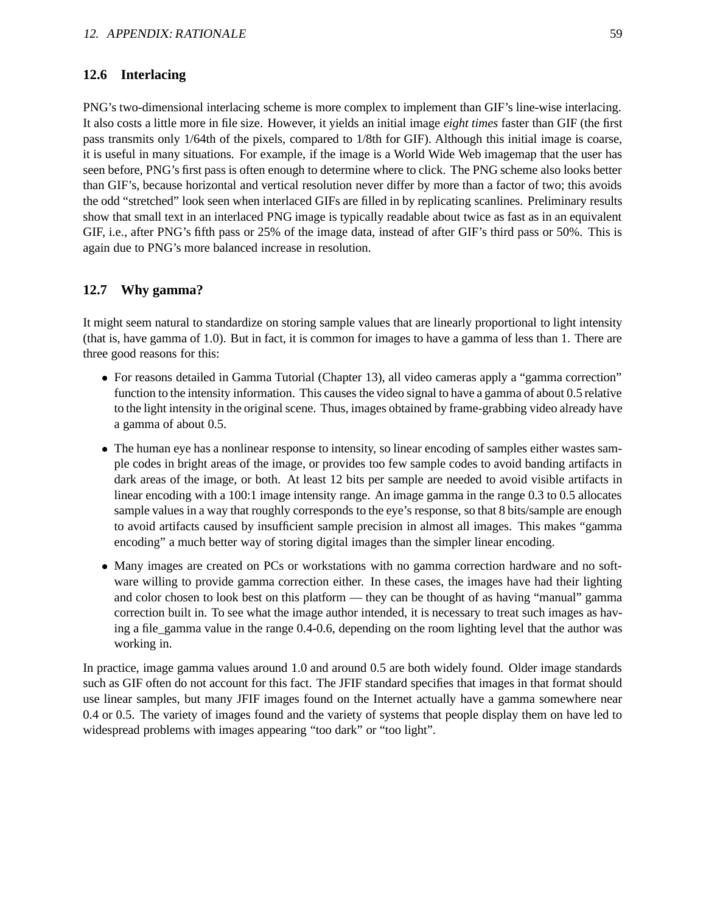### **12.6 Interlacing**

PNG's two-dimensional interlacing scheme is more complex to implement than GIF's line-wise interlacing. It also costs a little more in file size. However, it yields an initial image *eight times* faster than GIF (the first pass transmits only 1/64th of the pixels, compared to 1/8th for GIF). Although this initial image is coarse, it is useful in many situations. For example, if the image is a World Wide Web imagemap that the user has seen before, PNG's first pass is often enough to determine where to click. The PNG scheme also looks better than GIF's, because horizontal and vertical resolution never differ by more than a factor of two; this avoids the odd "stretched" look seen when interlaced GIFs are filled in by replicating scanlines. Preliminary results show that small text in an interlaced PNG image is typically readable about twice as fast as in an equivalent GIF, i.e., after PNG's fifth pass or 25% of the image data, instead of after GIF's third pass or 50%. This is again due to PNG's more balanced increase in resolution.

### **12.7 Why gamma?**

It might seem natural to standardize on storing sample values that are linearly proportional to light intensity (that is, have gamma of 1.0). But in fact, it is common for images to have a gamma of less than 1. There are three good reasons for this:

- For reasons detailed in Gamma Tutorial (Chapter 13), all video cameras apply a "gamma correction" function to the intensity information. This causes the video signal to have a gamma of about 0.5 relative to the light intensity in the original scene. Thus, images obtained by frame-grabbing video already have a gamma of about 0.5.
- The human eye has a nonlinear response to intensity, so linear encoding of samples either wastes sample codes in bright areas of the image, or provides too few sample codes to avoid banding artifacts in dark areas of the image, or both. At least 12 bits per sample are needed to avoid visible artifacts in linear encoding with a 100:1 image intensity range. An image gamma in the range 0.3 to 0.5 allocates sample values in a way that roughly corresponds to the eye's response, so that 8 bits/sample are enough to avoid artifacts caused by insufficient sample precision in almost all images. This makes "gamma encoding" a much better way of storing digital images than the simpler linear encoding.
- Many images are created on PCs or workstations with no gamma correction hardware and no software willing to provide gamma correction either. In these cases, the images have had their lighting and color chosen to look best on this platform — they can be thought of as having "manual" gamma correction built in. To see what the image author intended, it is necessary to treat such images as having a file gamma value in the range 0.4-0.6, depending on the room lighting level that the author was working in.

In practice, image gamma values around 1.0 and around 0.5 are both widely found. Older image standards such as GIF often do not account for this fact. The JFIF standard specifies that images in that format should use linear samples, but many JFIF images found on the Internet actually have a gamma somewhere near 0.4 or 0.5. The variety of images found and the variety of systems that people display them on have led to widespread problems with images appearing "too dark" or "too light".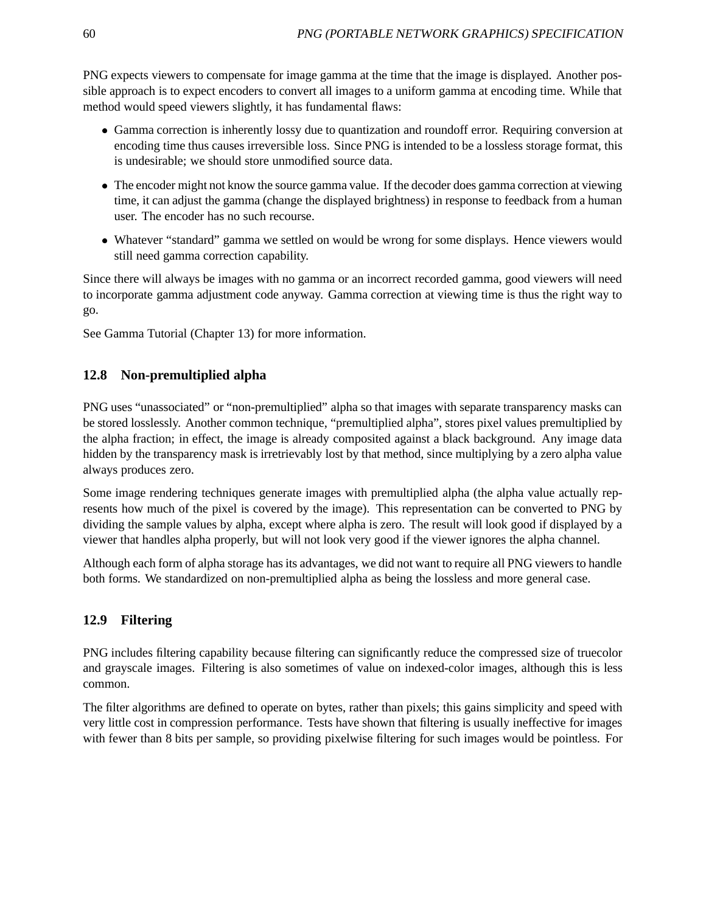PNG expects viewers to compensate for image gamma at the time that the image is displayed. Another possible approach is to expect encoders to convert all images to a uniform gamma at encoding time. While that method would speed viewers slightly, it has fundamental flaws:

- Gamma correction is inherently lossy due to quantization and roundoff error. Requiring conversion at encoding time thus causes irreversible loss. Since PNG is intended to be a lossless storage format, this is undesirable; we should store unmodified source data.
- The encoder might not know the source gamma value. If the decoder does gamma correction at viewing time, it can adjust the gamma (change the displayed brightness) in response to feedback from a human user. The encoder has no such recourse.
- Whatever "standard" gamma we settled on would be wrong for some displays. Hence viewers would still need gamma correction capability.

Since there will always be images with no gamma or an incorrect recorded gamma, good viewers will need to incorporate gamma adjustment code anyway. Gamma correction at viewing time is thus the right way to go.

See Gamma Tutorial (Chapter 13) for more information.

## **12.8 Non-premultiplied alpha**

PNG uses "unassociated" or "non-premultiplied" alpha so that images with separate transparency masks can be stored losslessly. Another common technique, "premultiplied alpha", stores pixel values premultiplied by the alpha fraction; in effect, the image is already composited against a black background. Any image data hidden by the transparency mask is irretrievably lost by that method, since multiplying by a zero alpha value always produces zero.

Some image rendering techniques generate images with premultiplied alpha (the alpha value actually represents how much of the pixel is covered by the image). This representation can be converted to PNG by dividing the sample values by alpha, except where alpha is zero. The result will look good if displayed by a viewer that handles alpha properly, but will not look very good if the viewer ignores the alpha channel.

Although each form of alpha storage has its advantages, we did not want to require all PNG viewers to handle both forms. We standardized on non-premultiplied alpha as being the lossless and more general case.

## **12.9 Filtering**

PNG includes filtering capability because filtering can significantly reduce the compressed size of truecolor and grayscale images. Filtering is also sometimes of value on indexed-color images, although this is less common.

The filter algorithms are defined to operate on bytes, rather than pixels; this gains simplicity and speed with very little cost in compression performance. Tests have shown that filtering is usually ineffective for images with fewer than 8 bits per sample, so providing pixelwise filtering for such images would be pointless. For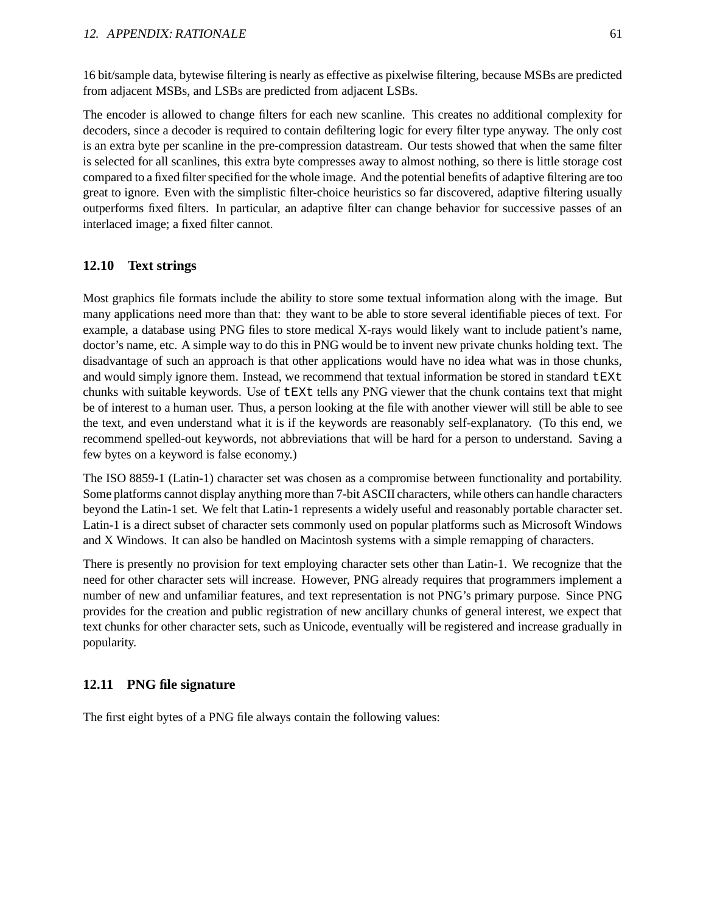16 bit/sample data, bytewise filtering is nearly as effective as pixelwise filtering, because MSBs are predicted from adjacent MSBs, and LSBs are predicted from adjacent LSBs.

The encoder is allowed to change filters for each new scanline. This creates no additional complexity for decoders, since a decoder is required to contain defiltering logic for every filter type anyway. The only cost is an extra byte per scanline in the pre-compression datastream. Our tests showed that when the same filter is selected for all scanlines, this extra byte compresses away to almost nothing, so there is little storage cost compared to a fixed filter specified for the whole image. And the potential benefits of adaptive filtering are too great to ignore. Even with the simplistic filter-choice heuristics so far discovered, adaptive filtering usually outperforms fixed filters. In particular, an adaptive filter can change behavior for successive passes of an interlaced image; a fixed filter cannot.

## **12.10 Text strings**

Most graphics file formats include the ability to store some textual information along with the image. But many applications need more than that: they want to be able to store several identifiable pieces of text. For example, a database using PNG files to store medical X-rays would likely want to include patient's name, doctor's name, etc. A simple way to do this in PNG would be to invent new private chunks holding text. The disadvantage of such an approach is that other applications would have no idea what was in those chunks, and would simply ignore them. Instead, we recommend that textual information be stored in standard  $\text{E}\Sigma\text{t}$ chunks with suitable keywords. Use of tEXt tells any PNG viewer that the chunk contains text that might be of interest to a human user. Thus, a person looking at the file with another viewer will still be able to see the text, and even understand what it is if the keywords are reasonably self-explanatory. (To this end, we recommend spelled-out keywords, not abbreviations that will be hard for a person to understand. Saving a few bytes on a keyword is false economy.)

The ISO 8859-1 (Latin-1) character set was chosen as a compromise between functionality and portability. Some platforms cannot display anything more than 7-bit ASCII characters, while others can handle characters beyond the Latin-1 set. We felt that Latin-1 represents a widely useful and reasonably portable character set. Latin-1 is a direct subset of character sets commonly used on popular platforms such as Microsoft Windows and X Windows. It can also be handled on Macintosh systems with a simple remapping of characters.

There is presently no provision for text employing character sets other than Latin-1. We recognize that the need for other character sets will increase. However, PNG already requires that programmers implement a number of new and unfamiliar features, and text representation is not PNG's primary purpose. Since PNG provides for the creation and public registration of new ancillary chunks of general interest, we expect that text chunks for other character sets, such as Unicode, eventually will be registered and increase gradually in popularity.

## **12.11 PNG file signature**

The first eight bytes of a PNG file always contain the following values: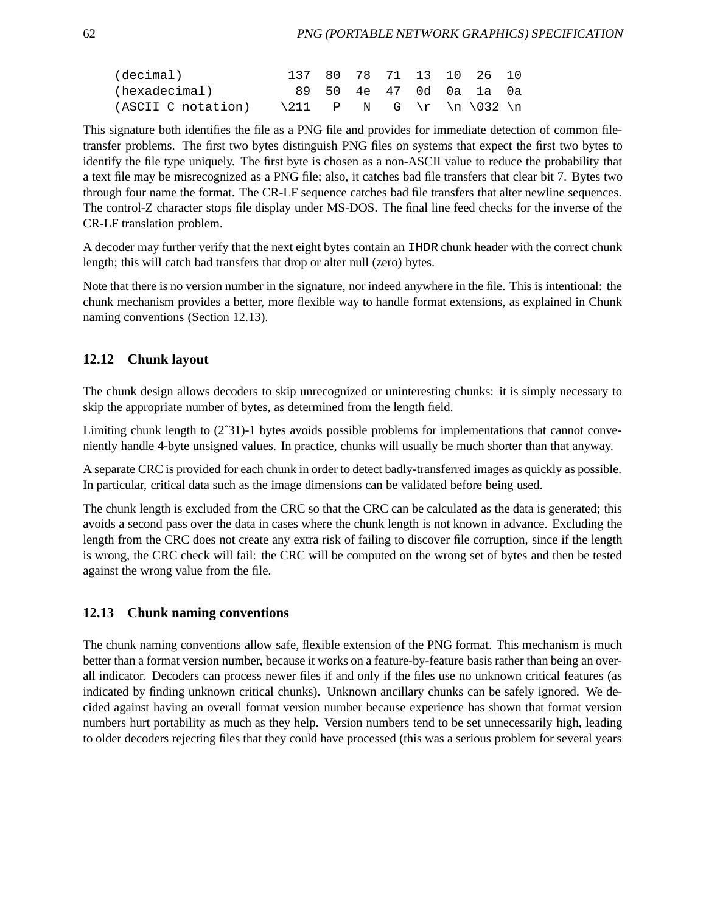| (decimal)                                                                    |  |  |  | 137 80 78 71 13 10 26 10 |  |
|------------------------------------------------------------------------------|--|--|--|--------------------------|--|
| (hexadecimal)                                                                |  |  |  | 89 50 4e 47 0d 0a 1a 0a  |  |
| (ASCII C notation) $\{211 \quad P \quad N \quad G \quad r \quad 032 \quad n$ |  |  |  |                          |  |

This signature both identifies the file as a PNG file and provides for immediate detection of common filetransfer problems. The first two bytes distinguish PNG files on systems that expect the first two bytes to identify the file type uniquely. The first byte is chosen as a non-ASCII value to reduce the probability that a text file may be misrecognized as a PNG file; also, it catches bad file transfers that clear bit 7. Bytes two through four name the format. The CR-LF sequence catches bad file transfers that alter newline sequences. The control-Z character stops file display under MS-DOS. The final line feed checks for the inverse of the CR-LF translation problem.

A decoder may further verify that the next eight bytes contain an IHDR chunk header with the correct chunk length; this will catch bad transfers that drop or alter null (zero) bytes.

Note that there is no version number in the signature, nor indeed anywhere in the file. This is intentional: the chunk mechanism provides a better, more flexible way to handle format extensions, as explained in Chunk naming conventions (Section 12.13).

## **12.12 Chunk layout**

The chunk design allows decoders to skip unrecognized or uninteresting chunks: it is simply necessary to skip the appropriate number of bytes, as determined from the length field.

Limiting chunk length to (2ˆ31)-1 bytes avoids possible problems for implementations that cannot conveniently handle 4-byte unsigned values. In practice, chunks will usually be much shorter than that anyway.

A separate CRC is provided for each chunk in order to detect badly-transferred images as quickly as possible. In particular, critical data such as the image dimensions can be validated before being used.

The chunk length is excluded from the CRC so that the CRC can be calculated as the data is generated; this avoids a second pass over the data in cases where the chunk length is not known in advance. Excluding the length from the CRC does not create any extra risk of failing to discover file corruption, since if the length is wrong, the CRC check will fail: the CRC will be computed on the wrong set of bytes and then be tested against the wrong value from the file.

## **12.13 Chunk naming conventions**

The chunk naming conventions allow safe, flexible extension of the PNG format. This mechanism is much better than a format version number, because it works on a feature-by-feature basis rather than being an overall indicator. Decoders can process newer files if and only if the files use no unknown critical features (as indicated by finding unknown critical chunks). Unknown ancillary chunks can be safely ignored. We decided against having an overall format version number because experience has shown that format version numbers hurt portability as much as they help. Version numbers tend to be set unnecessarily high, leading to older decoders rejecting files that they could have processed (this was a serious problem for several years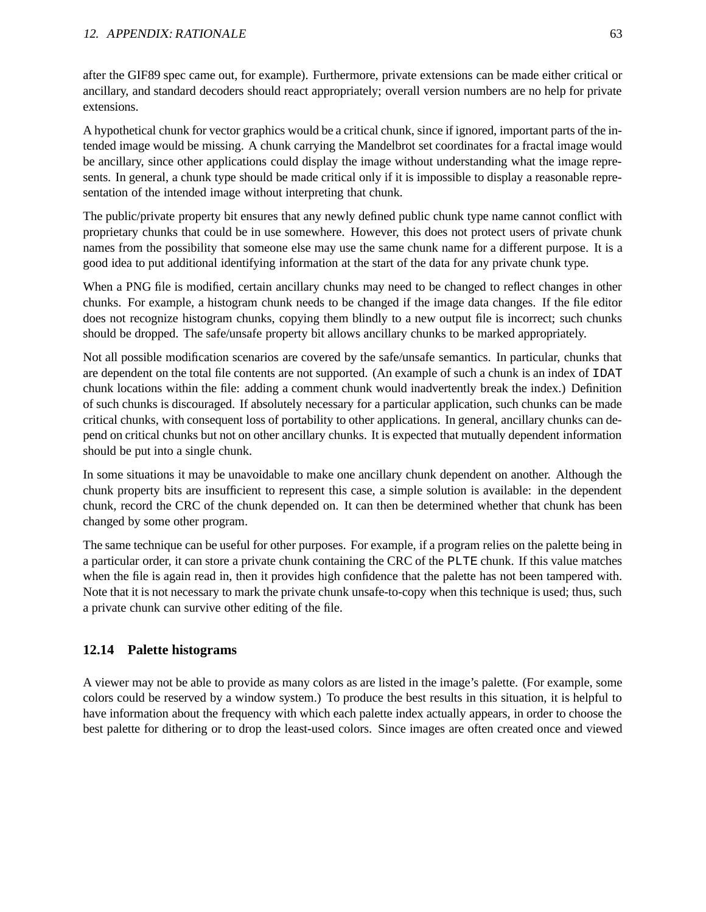after the GIF89 spec came out, for example). Furthermore, private extensions can be made either critical or ancillary, and standard decoders should react appropriately; overall version numbers are no help for private extensions.

A hypothetical chunk for vector graphics would be a critical chunk, since if ignored, important parts of the intended image would be missing. A chunk carrying the Mandelbrot set coordinates for a fractal image would be ancillary, since other applications could display the image without understanding what the image represents. In general, a chunk type should be made critical only if it is impossible to display a reasonable representation of the intended image without interpreting that chunk.

The public/private property bit ensures that any newly defined public chunk type name cannot conflict with proprietary chunks that could be in use somewhere. However, this does not protect users of private chunk names from the possibility that someone else may use the same chunk name for a different purpose. It is a good idea to put additional identifying information at the start of the data for any private chunk type.

When a PNG file is modified, certain ancillary chunks may need to be changed to reflect changes in other chunks. For example, a histogram chunk needs to be changed if the image data changes. If the file editor does not recognize histogram chunks, copying them blindly to a new output file is incorrect; such chunks should be dropped. The safe/unsafe property bit allows ancillary chunks to be marked appropriately.

Not all possible modification scenarios are covered by the safe/unsafe semantics. In particular, chunks that are dependent on the total file contents are not supported. (An example of such a chunk is an index of IDAT chunk locations within the file: adding a comment chunk would inadvertently break the index.) Definition of such chunks is discouraged. If absolutely necessary for a particular application, such chunks can be made critical chunks, with consequent loss of portability to other applications. In general, ancillary chunks can depend on critical chunks but not on other ancillary chunks. It is expected that mutually dependent information should be put into a single chunk.

In some situations it may be unavoidable to make one ancillary chunk dependent on another. Although the chunk property bits are insufficient to represent this case, a simple solution is available: in the dependent chunk, record the CRC of the chunk depended on. It can then be determined whether that chunk has been changed by some other program.

The same technique can be useful for other purposes. For example, if a program relies on the palette being in a particular order, it can store a private chunk containing the CRC of the PLTE chunk. If this value matches when the file is again read in, then it provides high confidence that the palette has not been tampered with. Note that it is not necessary to mark the private chunk unsafe-to-copy when this technique is used; thus, such a private chunk can survive other editing of the file.

## **12.14 Palette histograms**

A viewer may not be able to provide as many colors as are listed in the image's palette. (For example, some colors could be reserved by a window system.) To produce the best results in this situation, it is helpful to have information about the frequency with which each palette index actually appears, in order to choose the best palette for dithering or to drop the least-used colors. Since images are often created once and viewed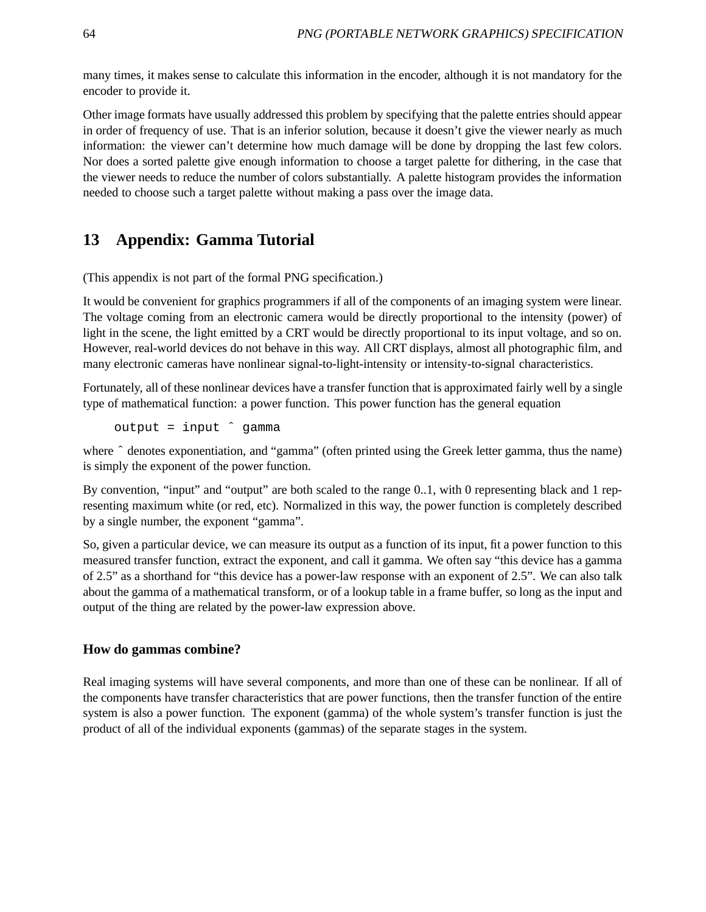many times, it makes sense to calculate this information in the encoder, although it is not mandatory for the encoder to provide it.

Other image formats have usually addressed this problem by specifying that the palette entries should appear in order of frequency of use. That is an inferior solution, because it doesn't give the viewer nearly as much information: the viewer can't determine how much damage will be done by dropping the last few colors. Nor does a sorted palette give enough information to choose a target palette for dithering, in the case that the viewer needs to reduce the number of colors substantially. A palette histogram provides the information needed to choose such a target palette without making a pass over the image data.

# **13 Appendix: Gamma Tutorial**

(This appendix is not part of the formal PNG specification.)

It would be convenient for graphics programmers if all of the components of an imaging system were linear. The voltage coming from an electronic camera would be directly proportional to the intensity (power) of light in the scene, the light emitted by a CRT would be directly proportional to its input voltage, and so on. However, real-world devices do not behave in this way. All CRT displays, almost all photographic film, and many electronic cameras have nonlinear signal-to-light-intensity or intensity-to-signal characteristics.

Fortunately, all of these nonlinear devices have a transfer function that is approximated fairly well by a single type of mathematical function: a power function. This power function has the general equation

output = input ˆ gamma

where  $\hat{ }$  denotes exponentiation, and "gamma" (often printed using the Greek letter gamma, thus the name) is simply the exponent of the power function.

By convention, "input" and "output" are both scaled to the range 0..1, with 0 representing black and 1 representing maximum white (or red, etc). Normalized in this way, the power function is completely described by a single number, the exponent "gamma".

So, given a particular device, we can measure its output as a function of its input, fit a power function to this measured transfer function, extract the exponent, and call it gamma. We often say "this device has a gamma of 2.5" as a shorthand for "this device has a power-law response with an exponent of 2.5". We can also talk about the gamma of a mathematical transform, or of a lookup table in a frame buffer, so long as the input and output of the thing are related by the power-law expression above.

## **How do gammas combine?**

Real imaging systems will have several components, and more than one of these can be nonlinear. If all of the components have transfer characteristics that are power functions, then the transfer function of the entire system is also a power function. The exponent (gamma) of the whole system's transfer function is just the product of all of the individual exponents (gammas) of the separate stages in the system.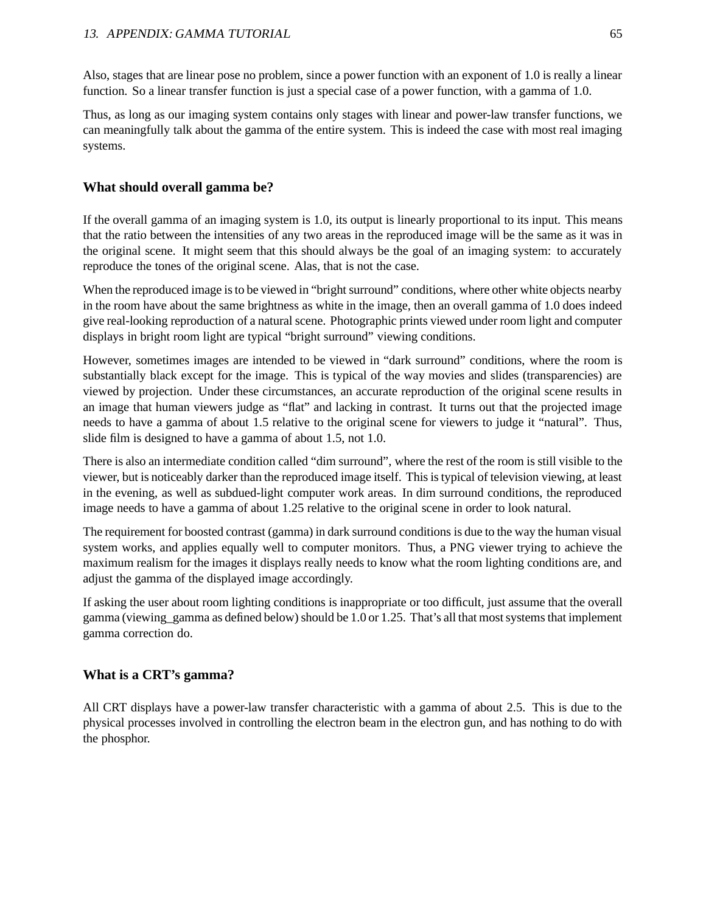Also, stages that are linear pose no problem, since a power function with an exponent of 1.0 is really a linear function. So a linear transfer function is just a special case of a power function, with a gamma of 1.0.

Thus, as long as our imaging system contains only stages with linear and power-law transfer functions, we can meaningfully talk about the gamma of the entire system. This is indeed the case with most real imaging systems.

## **What should overall gamma be?**

If the overall gamma of an imaging system is 1.0, its output is linearly proportional to its input. This means that the ratio between the intensities of any two areas in the reproduced image will be the same as it was in the original scene. It might seem that this should always be the goal of an imaging system: to accurately reproduce the tones of the original scene. Alas, that is not the case.

When the reproduced image is to be viewed in "bright surround" conditions, where other white objects nearby in the room have about the same brightness as white in the image, then an overall gamma of 1.0 does indeed give real-looking reproduction of a natural scene. Photographic prints viewed under room light and computer displays in bright room light are typical "bright surround" viewing conditions.

However, sometimes images are intended to be viewed in "dark surround" conditions, where the room is substantially black except for the image. This is typical of the way movies and slides (transparencies) are viewed by projection. Under these circumstances, an accurate reproduction of the original scene results in an image that human viewers judge as "flat" and lacking in contrast. It turns out that the projected image needs to have a gamma of about 1.5 relative to the original scene for viewers to judge it "natural". Thus, slide film is designed to have a gamma of about 1.5, not 1.0.

There is also an intermediate condition called "dim surround", where the rest of the room is still visible to the viewer, but is noticeably darker than the reproduced image itself. This is typical of television viewing, at least in the evening, as well as subdued-light computer work areas. In dim surround conditions, the reproduced image needs to have a gamma of about 1.25 relative to the original scene in order to look natural.

The requirement for boosted contrast (gamma) in dark surround conditions is due to the way the human visual system works, and applies equally well to computer monitors. Thus, a PNG viewer trying to achieve the maximum realism for the images it displays really needs to know what the room lighting conditions are, and adjust the gamma of the displayed image accordingly.

If asking the user about room lighting conditions is inappropriate or too difficult, just assume that the overall gamma (viewing\_gamma as defined below) should be 1.0 or 1.25. That's all that most systems that implement gamma correction do.

## **What is a CRT's gamma?**

All CRT displays have a power-law transfer characteristic with a gamma of about 2.5. This is due to the physical processes involved in controlling the electron beam in the electron gun, and has nothing to do with the phosphor.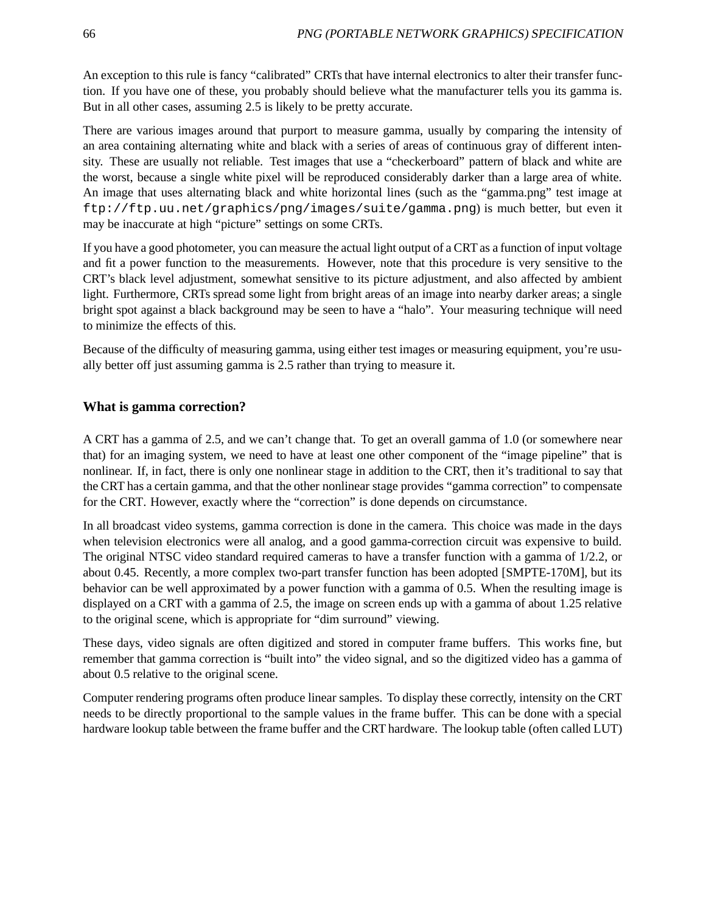An exception to this rule is fancy "calibrated" CRTs that have internal electronics to alter their transfer function. If you have one of these, you probably should believe what the manufacturer tells you its gamma is. But in all other cases, assuming 2.5 is likely to be pretty accurate.

There are various images around that purport to measure gamma, usually by comparing the intensity of an area containing alternating white and black with a series of areas of continuous gray of different intensity. These are usually not reliable. Test images that use a "checkerboard" pattern of black and white are the worst, because a single white pixel will be reproduced considerably darker than a large area of white. An image that uses alternating black and white horizontal lines (such as the "gamma.png" test image at ftp://ftp.uu.net/graphics/png/images/suite/gamma.png) is much better, but even it may be inaccurate at high "picture" settings on some CRTs.

If you have a good photometer, you can measure the actual light output of a CRT as a function of input voltage and fit a power function to the measurements. However, note that this procedure is very sensitive to the CRT's black level adjustment, somewhat sensitive to its picture adjustment, and also affected by ambient light. Furthermore, CRTs spread some light from bright areas of an image into nearby darker areas; a single bright spot against a black background may be seen to have a "halo". Your measuring technique will need to minimize the effects of this.

Because of the difficulty of measuring gamma, using either test images or measuring equipment, you're usually better off just assuming gamma is 2.5 rather than trying to measure it.

### **What is gamma correction?**

A CRT has a gamma of 2.5, and we can't change that. To get an overall gamma of 1.0 (or somewhere near that) for an imaging system, we need to have at least one other component of the "image pipeline" that is nonlinear. If, in fact, there is only one nonlinear stage in addition to the CRT, then it's traditional to say that the CRT has a certain gamma, and that the other nonlinear stage provides "gamma correction" to compensate for the CRT. However, exactly where the "correction" is done depends on circumstance.

In all broadcast video systems, gamma correction is done in the camera. This choice was made in the days when television electronics were all analog, and a good gamma-correction circuit was expensive to build. The original NTSC video standard required cameras to have a transfer function with a gamma of 1/2.2, or about 0.45. Recently, a more complex two-part transfer function has been adopted [SMPTE-170M], but its behavior can be well approximated by a power function with a gamma of 0.5. When the resulting image is displayed on a CRT with a gamma of 2.5, the image on screen ends up with a gamma of about 1.25 relative to the original scene, which is appropriate for "dim surround" viewing.

These days, video signals are often digitized and stored in computer frame buffers. This works fine, but remember that gamma correction is "built into" the video signal, and so the digitized video has a gamma of about 0.5 relative to the original scene.

Computer rendering programs often produce linear samples. To display these correctly, intensity on the CRT needs to be directly proportional to the sample values in the frame buffer. This can be done with a special hardware lookup table between the frame buffer and the CRT hardware. The lookup table (often called LUT)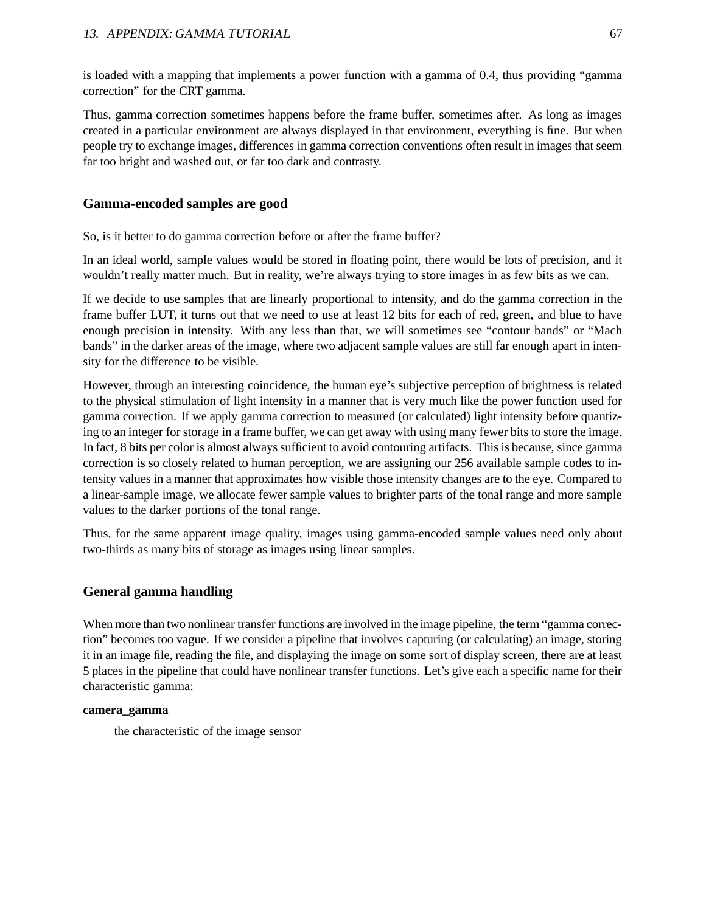is loaded with a mapping that implements a power function with a gamma of 0.4, thus providing "gamma correction" for the CRT gamma.

Thus, gamma correction sometimes happens before the frame buffer, sometimes after. As long as images created in a particular environment are always displayed in that environment, everything is fine. But when people try to exchange images, differences in gamma correction conventions often result in images that seem far too bright and washed out, or far too dark and contrasty.

### **Gamma-encoded samples are good**

So, is it better to do gamma correction before or after the frame buffer?

In an ideal world, sample values would be stored in floating point, there would be lots of precision, and it wouldn't really matter much. But in reality, we're always trying to store images in as few bits as we can.

If we decide to use samples that are linearly proportional to intensity, and do the gamma correction in the frame buffer LUT, it turns out that we need to use at least 12 bits for each of red, green, and blue to have enough precision in intensity. With any less than that, we will sometimes see "contour bands" or "Mach bands" in the darker areas of the image, where two adjacent sample values are still far enough apart in intensity for the difference to be visible.

However, through an interesting coincidence, the human eye's subjective perception of brightness is related to the physical stimulation of light intensity in a manner that is very much like the power function used for gamma correction. If we apply gamma correction to measured (or calculated) light intensity before quantizing to an integer for storage in a frame buffer, we can get away with using many fewer bits to store the image. In fact, 8 bits per color is almost always sufficient to avoid contouring artifacts. This is because, since gamma correction is so closely related to human perception, we are assigning our 256 available sample codes to intensity values in a manner that approximates how visible those intensity changes are to the eye. Compared to a linear-sample image, we allocate fewer sample values to brighter parts of the tonal range and more sample values to the darker portions of the tonal range.

Thus, for the same apparent image quality, images using gamma-encoded sample values need only about two-thirds as many bits of storage as images using linear samples.

## **General gamma handling**

When more than two nonlinear transfer functions are involved in the image pipeline, the term "gamma correction" becomes too vague. If we consider a pipeline that involves capturing (or calculating) an image, storing it in an image file, reading the file, and displaying the image on some sort of display screen, there are at least 5 places in the pipeline that could have nonlinear transfer functions. Let's give each a specific name for their characteristic gamma:

### **camera\_gamma**

the characteristic of the image sensor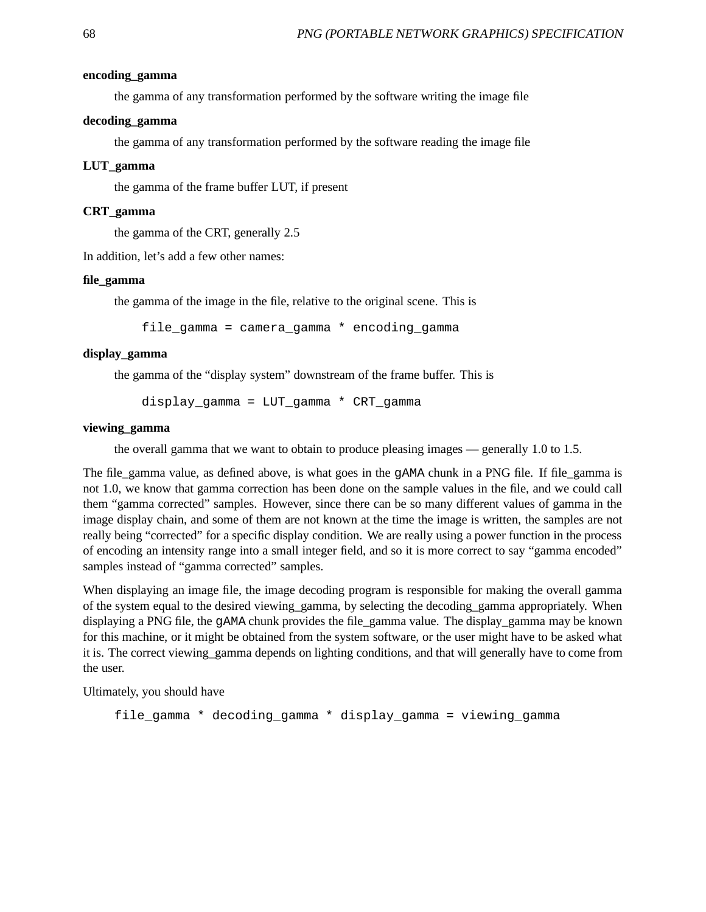#### **encoding\_gamma**

the gamma of any transformation performed by the software writing the image file

#### **decoding\_gamma**

the gamma of any transformation performed by the software reading the image file

#### **LUT\_gamma**

the gamma of the frame buffer LUT, if present

#### **CRT\_gamma**

the gamma of the CRT, generally 2.5

In addition, let's add a few other names:

#### **file\_gamma**

the gamma of the image in the file, relative to the original scene. This is

file\_gamma = camera\_gamma \* encoding\_gamma

#### **display\_gamma**

the gamma of the "display system" downstream of the frame buffer. This is

display\_gamma = LUT\_gamma \* CRT\_gamma

#### **viewing\_gamma**

the overall gamma that we want to obtain to produce pleasing images — generally 1.0 to 1.5.

The file\_gamma value, as defined above, is what goes in the gAMA chunk in a PNG file. If file\_gamma is not 1.0, we know that gamma correction has been done on the sample values in the file, and we could call them "gamma corrected" samples. However, since there can be so many different values of gamma in the image display chain, and some of them are not known at the time the image is written, the samples are not really being "corrected" for a specific display condition. We are really using a power function in the process of encoding an intensity range into a small integer field, and so it is more correct to say "gamma encoded" samples instead of "gamma corrected" samples.

When displaying an image file, the image decoding program is responsible for making the overall gamma of the system equal to the desired viewing\_gamma, by selecting the decoding\_gamma appropriately. When displaying a PNG file, the gAMA chunk provides the file\_gamma value. The display\_gamma may be known for this machine, or it might be obtained from the system software, or the user might have to be asked what it is. The correct viewing\_gamma depends on lighting conditions, and that will generally have to come from the user.

Ultimately, you should have

```
file_gamma * decoding_gamma * display_gamma = viewing_gamma
```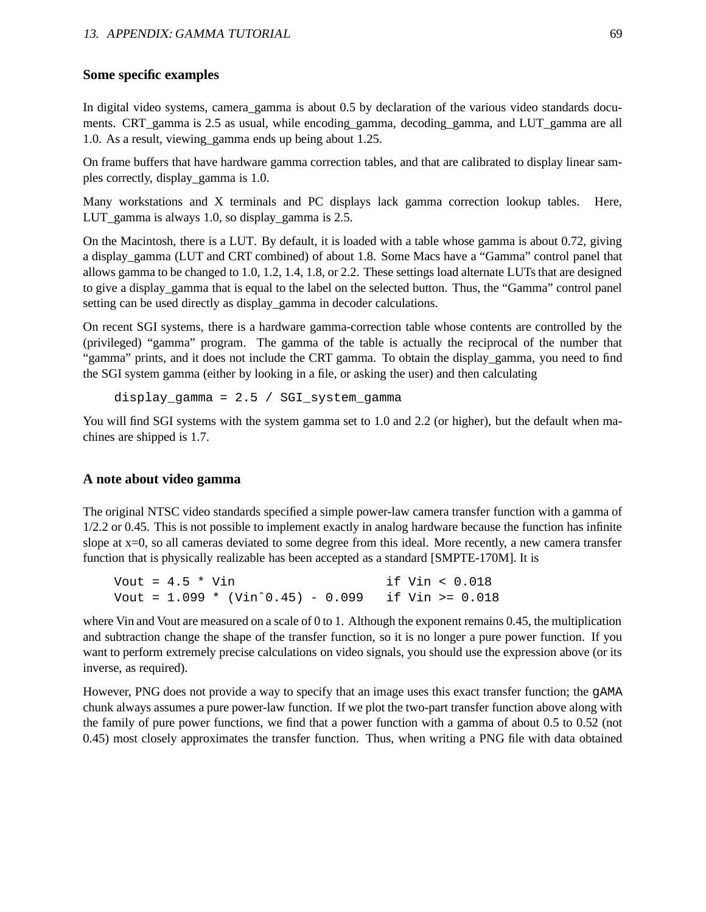### **Some specific examples**

In digital video systems, camera\_gamma is about 0.5 by declaration of the various video standards documents. CRT gamma is 2.5 as usual, while encoding gamma, decoding gamma, and LUT gamma are all 1.0. As a result, viewing\_gamma ends up being about 1.25.

On frame buffers that have hardware gamma correction tables, and that are calibrated to display linear samples correctly, display\_gamma is 1.0.

Many workstations and X terminals and PC displays lack gamma correction lookup tables. Here, LUT gamma is always 1.0, so display gamma is 2.5.

On the Macintosh, there is a LUT. By default, it is loaded with a table whose gamma is about 0.72, giving a display gamma (LUT and CRT combined) of about 1.8. Some Macs have a "Gamma" control panel that allows gamma to be changed to 1.0, 1.2, 1.4, 1.8, or 2.2. These settings load alternate LUTs that are designed to give a display\_gamma that is equal to the label on the selected button. Thus, the "Gamma" control panel setting can be used directly as display\_gamma in decoder calculations.

On recent SGI systems, there is a hardware gamma-correction table whose contents are controlled by the (privileged) "gamma" program. The gamma of the table is actually the reciprocal of the number that "gamma" prints, and it does not include the CRT gamma. To obtain the display\_gamma, you need to find the SGI system gamma (either by looking in a file, or asking the user) and then calculating

display gamma =  $2.5 / SGI$  system gamma

You will find SGI systems with the system gamma set to 1.0 and 2.2 (or higher), but the default when machines are shipped is 1.7.

### **A note about video gamma**

The original NTSC video standards specified a simple power-law camera transfer function with a gamma of 1/2.2 or 0.45. This is not possible to implement exactly in analog hardware because the function has infinite slope at x=0, so all cameras deviated to some degree from this ideal. More recently, a new camera transfer function that is physically realizable has been accepted as a standard [SMPTE-170M]. It is

Vout = 4.5 \* Vin if Vin < 0.018 Vout = 1.099 \* (Vinˆ0.45) - 0.099 if Vin >= 0.018

where Vin and Vout are measured on a scale of 0 to 1. Although the exponent remains 0.45, the multiplication and subtraction change the shape of the transfer function, so it is no longer a pure power function. If you want to perform extremely precise calculations on video signals, you should use the expression above (or its inverse, as required).

However, PNG does not provide a way to specify that an image uses this exact transfer function; the gAMA chunk always assumes a pure power-law function. If we plot the two-part transfer function above along with the family of pure power functions, we find that a power function with a gamma of about 0.5 to 0.52 (not 0.45) most closely approximates the transfer function. Thus, when writing a PNG file with data obtained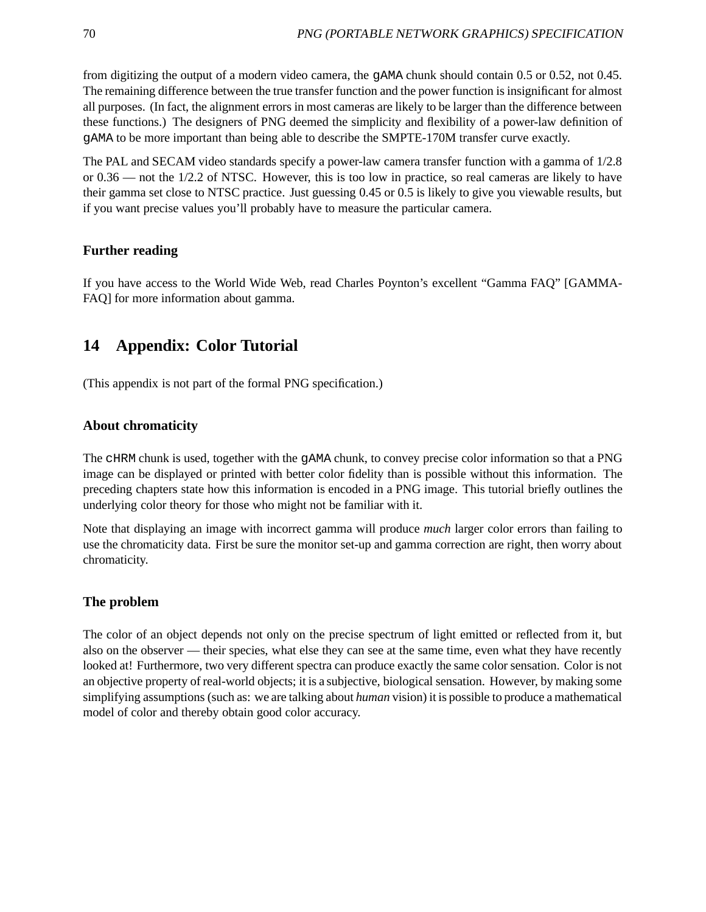from digitizing the output of a modern video camera, the gAMA chunk should contain 0.5 or 0.52, not 0.45. The remaining difference between the true transfer function and the power function is insignificant for almost all purposes. (In fact, the alignment errors in most cameras are likely to be larger than the difference between these functions.) The designers of PNG deemed the simplicity and flexibility of a power-law definition of gAMA to be more important than being able to describe the SMPTE-170M transfer curve exactly.

The PAL and SECAM video standards specify a power-law camera transfer function with a gamma of 1/2.8 or 0.36 — not the 1/2.2 of NTSC. However, this is too low in practice, so real cameras are likely to have their gamma set close to NTSC practice. Just guessing 0.45 or 0.5 is likely to give you viewable results, but if you want precise values you'll probably have to measure the particular camera.

### **Further reading**

If you have access to the World Wide Web, read Charles Poynton's excellent "Gamma FAQ" [GAMMA-FAQ] for more information about gamma.

## **14 Appendix: Color Tutorial**

(This appendix is not part of the formal PNG specification.)

### **About chromaticity**

The cHRM chunk is used, together with the gAMA chunk, to convey precise color information so that a PNG image can be displayed or printed with better color fidelity than is possible without this information. The preceding chapters state how this information is encoded in a PNG image. This tutorial briefly outlines the underlying color theory for those who might not be familiar with it.

Note that displaying an image with incorrect gamma will produce *much* larger color errors than failing to use the chromaticity data. First be sure the monitor set-up and gamma correction are right, then worry about chromaticity.

### **The problem**

The color of an object depends not only on the precise spectrum of light emitted or reflected from it, but also on the observer — their species, what else they can see at the same time, even what they have recently looked at! Furthermore, two very different spectra can produce exactly the same color sensation. Color is not an objective property of real-world objects; it is a subjective, biological sensation. However, by making some simplifying assumptions (such as: we are talking about *human* vision) it is possible to produce a mathematical model of color and thereby obtain good color accuracy.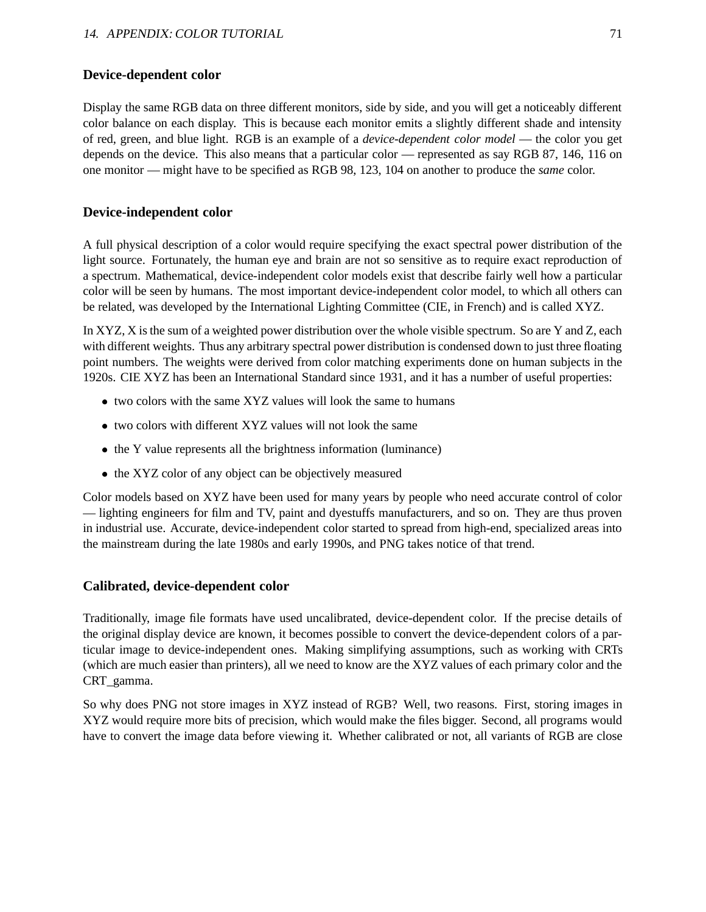### **Device-dependent color**

Display the same RGB data on three different monitors, side by side, and you will get a noticeably different color balance on each display. This is because each monitor emits a slightly different shade and intensity of red, green, and blue light. RGB is an example of a *device-dependent color model* — the color you get depends on the device. This also means that a particular color — represented as say RGB 87, 146, 116 on one monitor — might have to be specified as RGB 98, 123, 104 on another to produce the *same* color.

### **Device-independent color**

A full physical description of a color would require specifying the exact spectral power distribution of the light source. Fortunately, the human eye and brain are not so sensitive as to require exact reproduction of a spectrum. Mathematical, device-independent color models exist that describe fairly well how a particular color will be seen by humans. The most important device-independent color model, to which all others can be related, was developed by the International Lighting Committee (CIE, in French) and is called XYZ.

In XYZ, X is the sum of a weighted power distribution over the whole visible spectrum. So are Y and Z, each with different weights. Thus any arbitrary spectral power distribution is condensed down to just three floating point numbers. The weights were derived from color matching experiments done on human subjects in the 1920s. CIE XYZ has been an International Standard since 1931, and it has a number of useful properties:

- two colors with the same XYZ values will look the same to humans
- two colors with different XYZ values will not look the same
- the Y value represents all the brightness information (luminance)
- the XYZ color of any object can be objectively measured

Color models based on XYZ have been used for many years by people who need accurate control of color — lighting engineers for film and TV, paint and dyestuffs manufacturers, and so on. They are thus proven in industrial use. Accurate, device-independent color started to spread from high-end, specialized areas into the mainstream during the late 1980s and early 1990s, and PNG takes notice of that trend.

### **Calibrated, device-dependent color**

Traditionally, image file formats have used uncalibrated, device-dependent color. If the precise details of the original display device are known, it becomes possible to convert the device-dependent colors of a particular image to device-independent ones. Making simplifying assumptions, such as working with CRTs (which are much easier than printers), all we need to know are the XYZ values of each primary color and the CRT\_gamma.

So why does PNG not store images in XYZ instead of RGB? Well, two reasons. First, storing images in XYZ would require more bits of precision, which would make the files bigger. Second, all programs would have to convert the image data before viewing it. Whether calibrated or not, all variants of RGB are close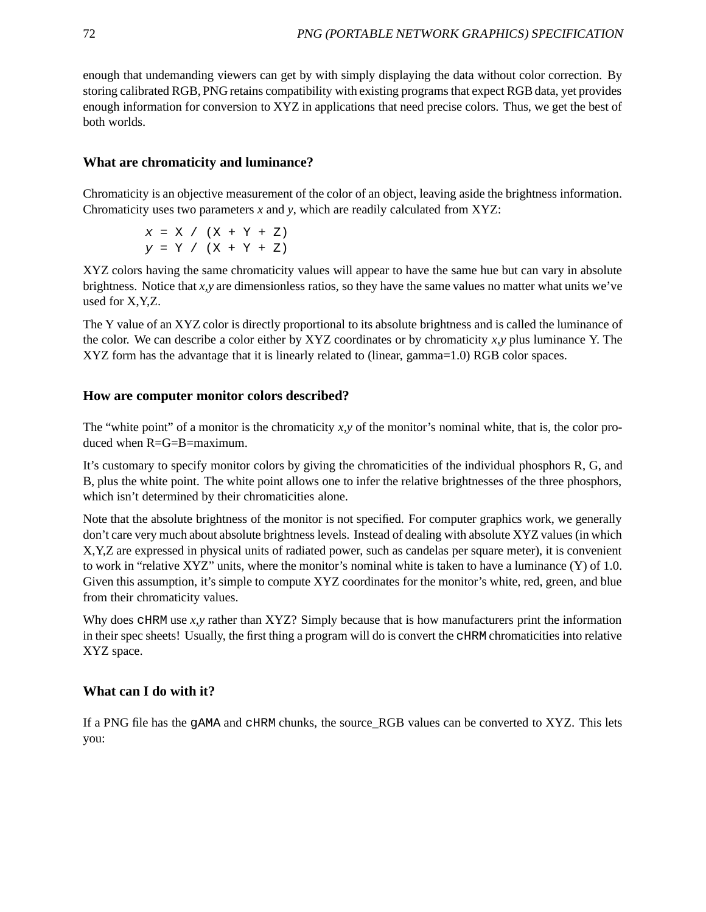enough that undemanding viewers can get by with simply displaying the data without color correction. By storing calibrated RGB, PNG retains compatibility with existing programs that expect RGB data, yet provides enough information for conversion to XYZ in applications that need precise colors. Thus, we get the best of both worlds.

## **What are chromaticity and luminance?**

Chromaticity is an objective measurement of the color of an object, leaving aside the brightness information. Chromaticity uses two parameters *x* and *y*, which are readily calculated from XYZ:

> $x = X / (X + Y + Z)$  $y = Y / (X + Y + Z)$

XYZ colors having the same chromaticity values will appear to have the same hue but can vary in absolute brightness. Notice that *x,y* are dimensionless ratios, so they have the same values no matter what units we've used for X,Y,Z.

The Y value of an XYZ color is directly proportional to its absolute brightness and is called the luminance of the color. We can describe a color either by XYZ coordinates or by chromaticity *x,y* plus luminance Y. The XYZ form has the advantage that it is linearly related to (linear, gamma=1.0) RGB color spaces.

### **How are computer monitor colors described?**

The "white point" of a monitor is the chromaticity  $x, y$  of the monitor's nominal white, that is, the color produced when R=G=B=maximum.

It's customary to specify monitor colors by giving the chromaticities of the individual phosphors R, G, and B, plus the white point. The white point allows one to infer the relative brightnesses of the three phosphors, which isn't determined by their chromaticities alone.

Note that the absolute brightness of the monitor is not specified. For computer graphics work, we generally don't care very much about absolute brightness levels. Instead of dealing with absolute XYZ values (in which X,Y,Z are expressed in physical units of radiated power, such as candelas per square meter), it is convenient to work in "relative XYZ" units, where the monitor's nominal white is taken to have a luminance  $(Y)$  of 1.0. Given this assumption, it's simple to compute XYZ coordinates for the monitor's white, red, green, and blue from their chromaticity values.

Why does cHRM use *x,y* rather than XYZ? Simply because that is how manufacturers print the information in their spec sheets! Usually, the first thing a program will do is convert the cHRM chromaticities into relative XYZ space.

### **What can I do with it?**

If a PNG file has the gAMA and cHRM chunks, the source RGB values can be converted to XYZ. This lets you: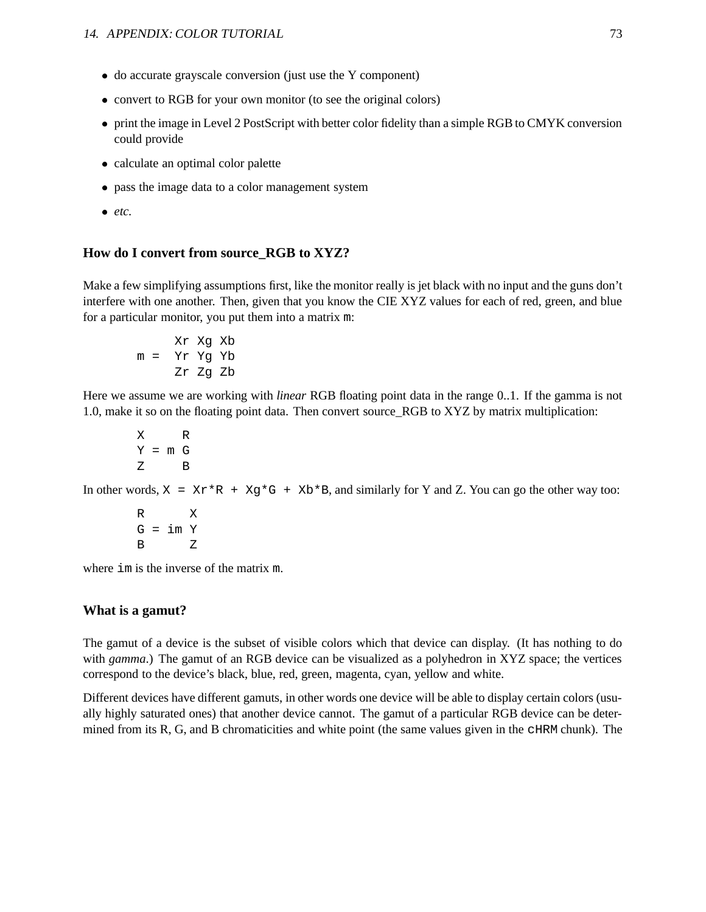- do accurate grayscale conversion (just use the Y component)
- convert to RGB for your own monitor (to see the original colors)
- print the image in Level 2 PostScript with better color fidelity than a simple RGB to CMYK conversion could provide
- calculate an optimal color palette
- pass the image data to a color management system
- *etc.*

### **How do I convert from source\_RGB to XYZ?**

Make a few simplifying assumptions first, like the monitor really is jet black with no input and the guns don't interfere with one another. Then, given that you know the CIE XYZ values for each of red, green, and blue for a particular monitor, you put them into a matrix m:

$$
mr Xg Xb
$$
  

$$
m = Yr Yg Yb
$$
  

$$
Zr Zg Zb
$$

Here we assume we are working with *linear* RGB floating point data in the range 0..1. If the gamma is not 1.0, make it so on the floating point data. Then convert source\_RGB to XYZ by matrix multiplication:

X R  $Y = m G$ Z B

In other words,  $X = Xr^*R + Xg^*G + Xb^*B$ , and similarly for Y and Z. You can go the other way too:

$$
\begin{array}{ccc}\nR & & X \\
G & = & \text{im } Y \\
B & & Z\n\end{array}
$$

where im is the inverse of the matrix m.

#### **What is a gamut?**

The gamut of a device is the subset of visible colors which that device can display. (It has nothing to do with *gamma*.) The gamut of an RGB device can be visualized as a polyhedron in XYZ space; the vertices correspond to the device's black, blue, red, green, magenta, cyan, yellow and white.

Different devices have different gamuts, in other words one device will be able to display certain colors (usually highly saturated ones) that another device cannot. The gamut of a particular RGB device can be determined from its R, G, and B chromaticities and white point (the same values given in the cHRM chunk). The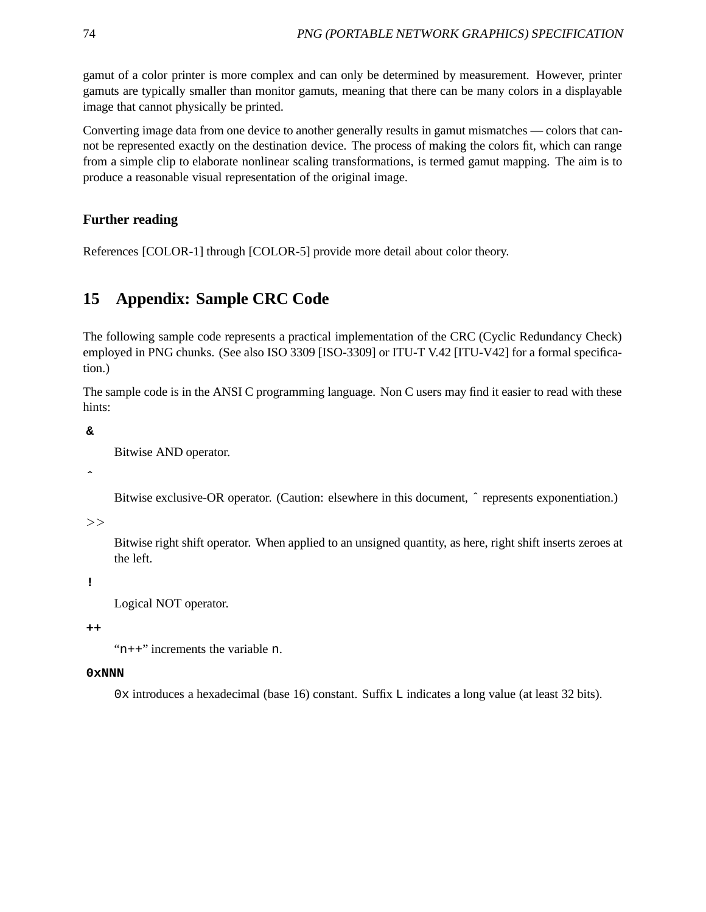gamut of a color printer is more complex and can only be determined by measurement. However, printer gamuts are typically smaller than monitor gamuts, meaning that there can be many colors in a displayable image that cannot physically be printed.

Converting image data from one device to another generally results in gamut mismatches — colors that cannot be represented exactly on the destination device. The process of making the colors fit, which can range from a simple clip to elaborate nonlinear scaling transformations, is termed gamut mapping. The aim is to produce a reasonable visual representation of the original image.

## **Further reading**

References [COLOR-1] through [COLOR-5] provide more detail about color theory.

# **15 Appendix: Sample CRC Code**

The following sample code represents a practical implementation of the CRC (Cyclic Redundancy Check) employed in PNG chunks. (See also ISO 3309 [ISO-3309] or ITU-T V.42 [ITU-V42] for a formal specification.)

The sample code is in the ANSI C programming language. Non C users may find it easier to read with these hints:

**&**

```
Bitwise AND operator.
```
**ˆ**

Bitwise exclusive-OR operator. (Caution: elsewhere in this document,  $\hat{ }$  represents exponentiation.)

 $>>$ 

Bitwise right shift operator. When applied to an unsigned quantity, as here, right shift inserts zeroes at the left.

**!**

Logical NOT operator.

**++**

"n++" increments the variable n.

#### **0xNNN**

0x introduces a hexadecimal (base 16) constant. Suffix L indicates a long value (at least 32 bits).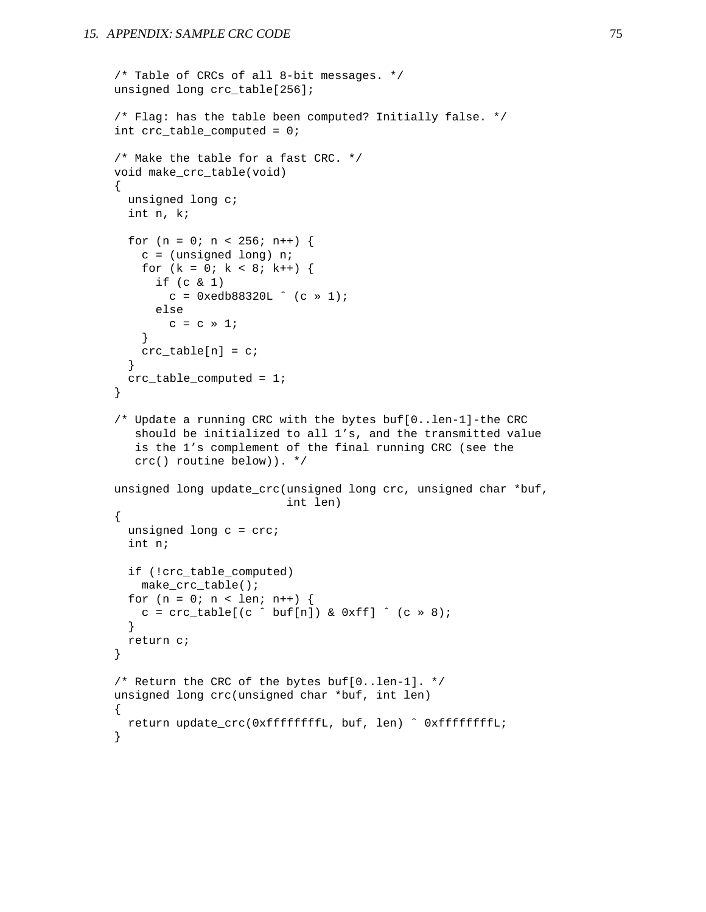```
/* Table of CRCs of all 8-bit messages. */
unsigned long crc_table[256];
/* Flag: has the table been computed? Initially false. */
int crc_table_computed = 0;
/* Make the table for a fast CRC. */
void make_crc_table(void)
{
  unsigned long c;
  int n, k;
  for (n = 0; n < 256; n++) {
    c = (unsigned long) n;
    for (k = 0; k < 8; k++) {
      if (c & 1)
        c = 0xedb88320L (c \gg 1);else
        c = c \times 1;}
    crc\_table[n] = ci}
  crc_table_computed = 1;
}
/* Update a running CRC with the bytes buf[0..len-1]-the CRC
   should be initialized to all 1's, and the transmitted value
   is the 1's complement of the final running CRC (see the
   crc() routine below)). */
unsigned long update_crc(unsigned long crc, unsigned char *buf,
                          int len)
{
  unsigned long c = cre;
  int n;
  if (!crc_table_computed)
   make_crc_table();
  for (n = 0; n < len; n++) {
    c = crc\_table[(c \cap but[n]) & 0xff] \land (c \gg 8);}
  return c;
}
/* Return the CRC of the bytes buf[0..len-1]. */
unsigned long crc(unsigned char *buf, int len)
{
 return update_crc(0xffffffffL, buf, len) ˆ 0xffffffffL;
}
```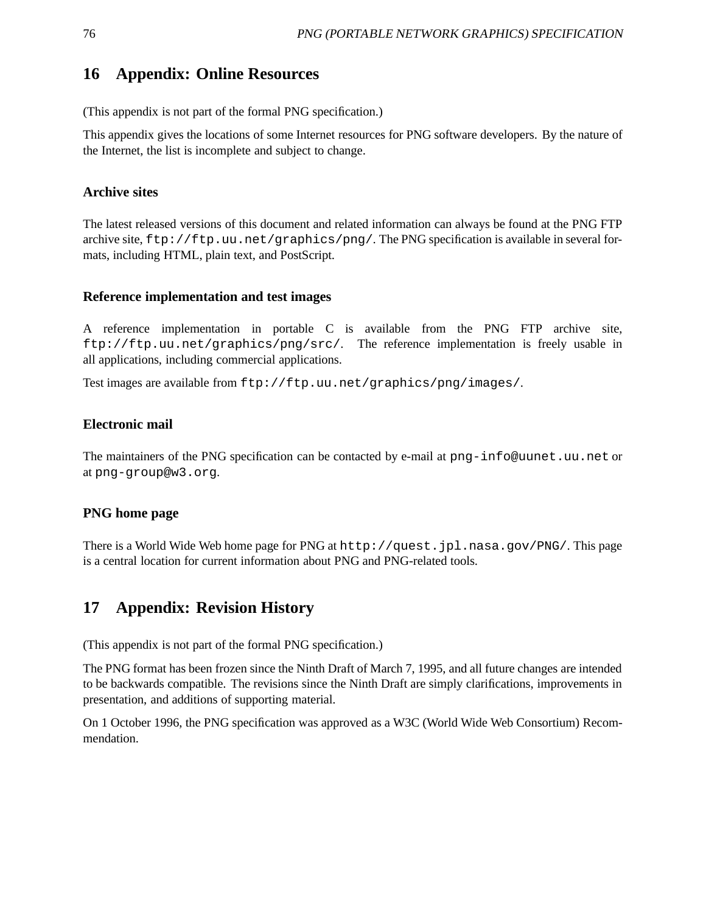# **16 Appendix: Online Resources**

(This appendix is not part of the formal PNG specification.)

This appendix gives the locations of some Internet resources for PNG software developers. By the nature of the Internet, the list is incomplete and subject to change.

## **Archive sites**

The latest released versions of this document and related information can always be found at the PNG FTP archive site, ftp://ftp.uu.net/graphics/png/. The PNG specification is available in several formats, including HTML, plain text, and PostScript.

## **Reference implementation and test images**

A reference implementation in portable C is available from the PNG FTP archive site, ftp://ftp.uu.net/graphics/png/src/. The reference implementation is freely usable in all applications, including commercial applications.

Test images are available from ftp://ftp.uu.net/graphics/png/images/.

## **Electronic mail**

The maintainers of the PNG specification can be contacted by e-mail at png-info@uunet.uu.net or at png-group@w3.org.

## **PNG home page**

There is a World Wide Web home page for PNG at http://quest.jpl.nasa.gov/PNG/. This page is a central location for current information about PNG and PNG-related tools.

# **17 Appendix: Revision History**

(This appendix is not part of the formal PNG specification.)

The PNG format has been frozen since the Ninth Draft of March 7, 1995, and all future changes are intended to be backwards compatible. The revisions since the Ninth Draft are simply clarifications, improvements in presentation, and additions of supporting material.

On 1 October 1996, the PNG specification was approved as a W3C (World Wide Web Consortium) Recommendation.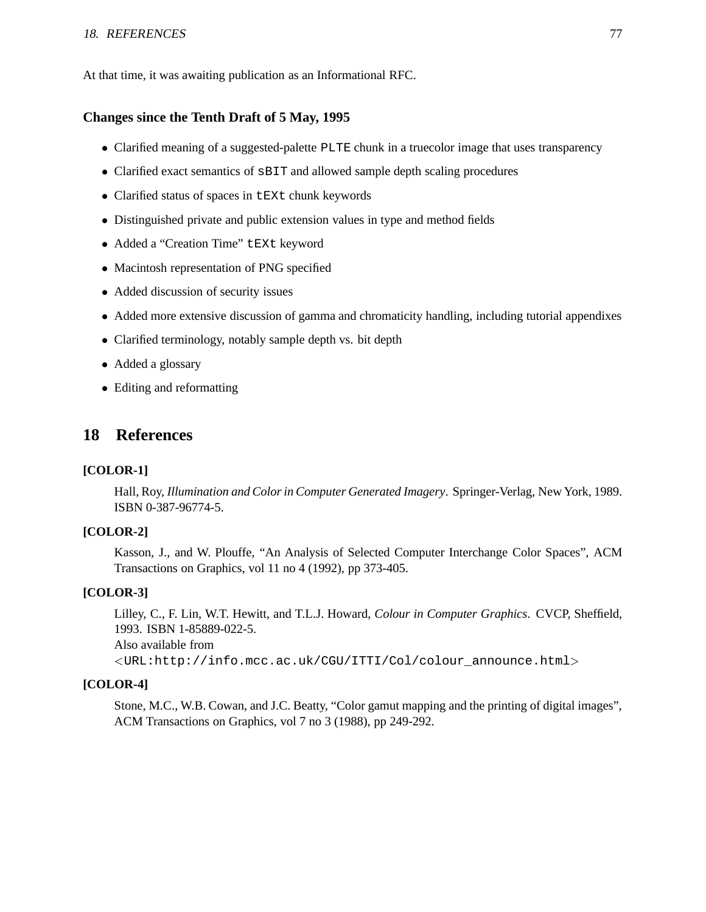#### 18. REFERENCES 77

At that time, it was awaiting publication as an Informational RFC.

### **Changes since the Tenth Draft of 5 May, 1995**

- Clarified meaning of a suggested-palette PLTE chunk in a truecolor image that uses transparency
- Clarified exact semantics of sBIT and allowed sample depth scaling procedures
- Clarified status of spaces in tEXt chunk keywords
- Distinguished private and public extension values in type and method fields
- Added a "Creation Time" tEXt keyword
- Macintosh representation of PNG specified
- Added discussion of security issues
- Added more extensive discussion of gamma and chromaticity handling, including tutorial appendixes
- Clarified terminology, notably sample depth vs. bit depth
- Added a glossary
- Editing and reformatting

# **18 References**

#### **[COLOR-1]**

Hall, Roy, *Illumination and Color in Computer Generated Imagery*. Springer-Verlag, New York, 1989. ISBN 0-387-96774-5.

### **[COLOR-2]**

Kasson, J., and W. Plouffe, "An Analysis of Selected Computer Interchange Color Spaces", ACM Transactions on Graphics, vol 11 no 4 (1992), pp 373-405.

### **[COLOR-3]**

Lilley, C., F. Lin, W.T. Hewitt, and T.L.J. Howard, *Colour in Computer Graphics*. CVCP, Sheffield, 1993. ISBN 1-85889-022-5. Also available from

<sup>&</sup>lt;URL:http://info.mcc.ac.uk/CGU/ITTI/Col/colour\_announce.html<sup>&</sup>gt;

#### **[COLOR-4]**

Stone, M.C., W.B. Cowan, and J.C. Beatty, "Color gamut mapping and the printing of digital images", ACM Transactions on Graphics, vol 7 no 3 (1988), pp 249-292.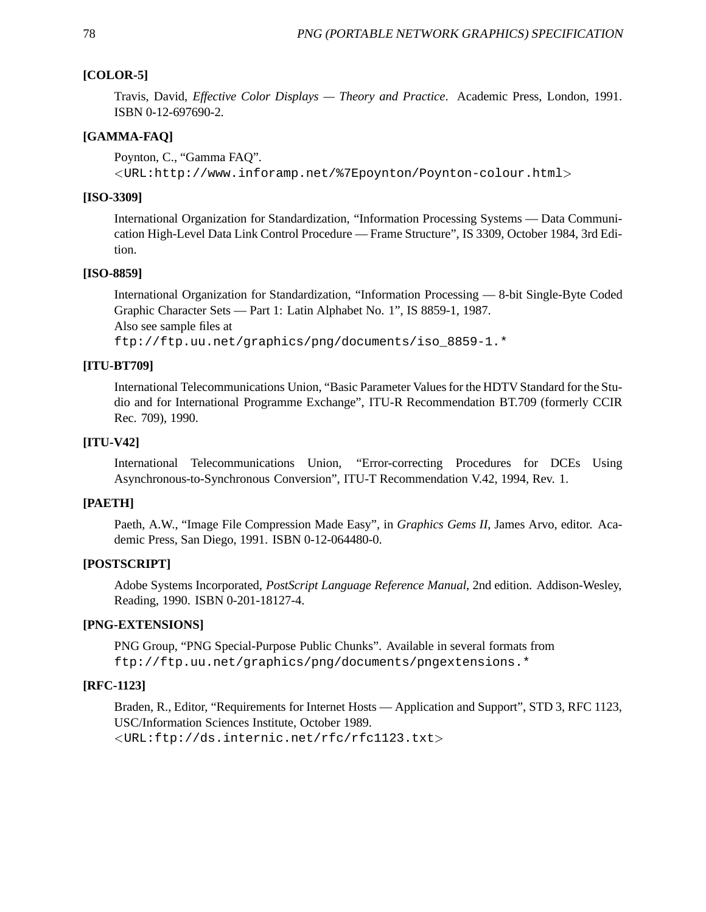### **[COLOR-5]**

Travis, David, *Effective Color Displays — Theory and Practice*. Academic Press, London, 1991. ISBN 0-12-697690-2.

#### **[GAMMA-FAQ]**

Poynton, C., "Gamma FAQ".

<sup>&</sup>lt;URL:http://www.inforamp.net/%7Epoynton/Poynton-colour.html<sup>&</sup>gt;

#### **[ISO-3309]**

International Organization for Standardization, "Information Processing Systems — Data Communication High-Level Data Link Control Procedure — Frame Structure", IS 3309, October 1984, 3rd Edition.

#### **[ISO-8859]**

International Organization for Standardization, "Information Processing — 8-bit Single-Byte Coded Graphic Character Sets — Part 1: Latin Alphabet No. 1", IS 8859-1, 1987. Also see sample files at ftp://ftp.uu.net/graphics/png/documents/iso\_8859-1.\*

#### **[ITU-BT709]**

International Telecommunications Union, "Basic Parameter Values for the HDTV Standard for the Studio and for International Programme Exchange", ITU-R Recommendation BT.709 (formerly CCIR Rec. 709), 1990.

### **[ITU-V42]**

International Telecommunications Union, "Error-correcting Procedures for DCEs Using Asynchronous-to-Synchronous Conversion", ITU-T Recommendation V.42, 1994, Rev. 1.

#### **[PAETH]**

Paeth, A.W., "Image File Compression Made Easy", in *Graphics Gems II*, James Arvo, editor. Academic Press, San Diego, 1991. ISBN 0-12-064480-0.

### **[POSTSCRIPT]**

Adobe Systems Incorporated, *PostScript Language Reference Manual*, 2nd edition. Addison-Wesley, Reading, 1990. ISBN 0-201-18127-4.

#### **[PNG-EXTENSIONS]**

PNG Group, "PNG Special-Purpose Public Chunks". Available in several formats from ftp://ftp.uu.net/graphics/png/documents/pngextensions.\*

#### **[RFC-1123]**

Braden, R., Editor, "Requirements for Internet Hosts — Application and Support", STD 3, RFC 1123, USC/Information Sciences Institute, October 1989. <URL:ftp://ds.internic.net/rfc/rfc1123.txt>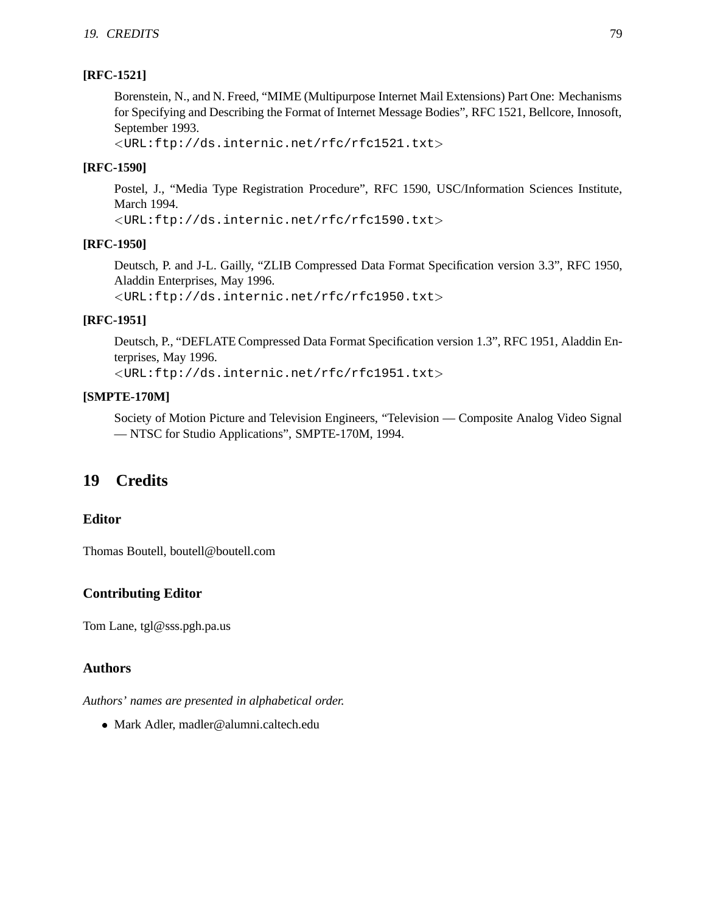## **[RFC-1521]**

Borenstein, N., and N. Freed, "MIME (Multipurpose Internet Mail Extensions) Part One: Mechanisms for Specifying and Describing the Format of Internet Message Bodies", RFC 1521, Bellcore, Innosoft, September 1993.

<sup>&</sup>lt;URL:ftp://ds.internic.net/rfc/rfc1521.txt<sup>&</sup>gt;

## **[RFC-1590]**

Postel, J., "Media Type Registration Procedure", RFC 1590, USC/Information Sciences Institute, March 1994.

<sup>&</sup>lt;URL:ftp://ds.internic.net/rfc/rfc1590.txt<sup>&</sup>gt;

## **[RFC-1950]**

Deutsch, P. and J-L. Gailly, "ZLIB Compressed Data Format Specification version 3.3", RFC 1950, Aladdin Enterprises, May 1996.

<sup>&</sup>lt;URL:ftp://ds.internic.net/rfc/rfc1950.txt<sup>&</sup>gt;

## **[RFC-1951]**

Deutsch, P., "DEFLATE Compressed Data Format Specification version 1.3", RFC 1951, Aladdin Enterprises, May 1996.

<sup>&</sup>lt;URL:ftp://ds.internic.net/rfc/rfc1951.txt<sup>&</sup>gt;

## **[SMPTE-170M]**

Society of Motion Picture and Television Engineers, "Television — Composite Analog Video Signal — NTSC for Studio Applications", SMPTE-170M, 1994.

# **19 Credits**

## **Editor**

Thomas Boutell, boutell@boutell.com

## **Contributing Editor**

Tom Lane, tgl@sss.pgh.pa.us

## **Authors**

*Authors' names are presented in alphabetical order.*

Mark Adler, madler@alumni.caltech.edu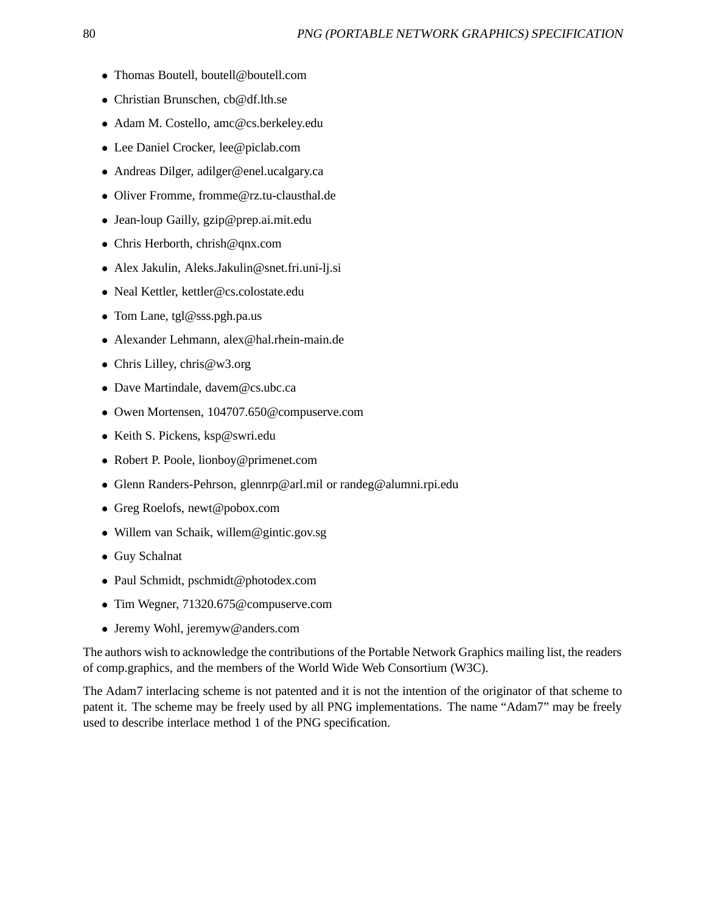- Thomas Boutell, boutell@boutell.com
- Christian Brunschen, cb@df.lth.se
- Adam M. Costello, amc@cs.berkeley.edu
- Lee Daniel Crocker, lee@piclab.com
- Andreas Dilger, adilger@enel.ucalgary.ca
- Oliver Fromme, fromme@rz.tu-clausthal.de
- Jean-loup Gailly, gzip@prep.ai.mit.edu
- Chris Herborth, chrish@qnx.com
- Alex Jakulin, Aleks.Jakulin@snet.fri.uni-lj.si
- Neal Kettler, kettler@cs.colostate.edu
- Tom Lane, tgl@sss.pgh.pa.us
- Alexander Lehmann, alex@hal.rhein-main.de
- Chris Lilley, chris@w3.org
- Dave Martindale, davem@cs.ubc.ca
- Owen Mortensen, 104707.650@compuserve.com
- Keith S. Pickens, ksp@swri.edu
- Robert P. Poole, lionboy@primenet.com
- Glenn Randers-Pehrson, glennrp@arl.mil or randeg@alumni.rpi.edu
- Greg Roelofs, newt@pobox.com
- Willem van Schaik, willem@gintic.gov.sg
- Guy Schalnat
- Paul Schmidt, pschmidt@photodex.com
- Tim Wegner, 71320.675@compuserve.com
- Jeremy Wohl, jeremyw@anders.com

The authors wish to acknowledge the contributions of the Portable Network Graphics mailing list, the readers of comp.graphics, and the members of the World Wide Web Consortium (W3C).

The Adam7 interlacing scheme is not patented and it is not the intention of the originator of that scheme to patent it. The scheme may be freely used by all PNG implementations. The name "Adam7" may be freely used to describe interlace method 1 of the PNG specification.